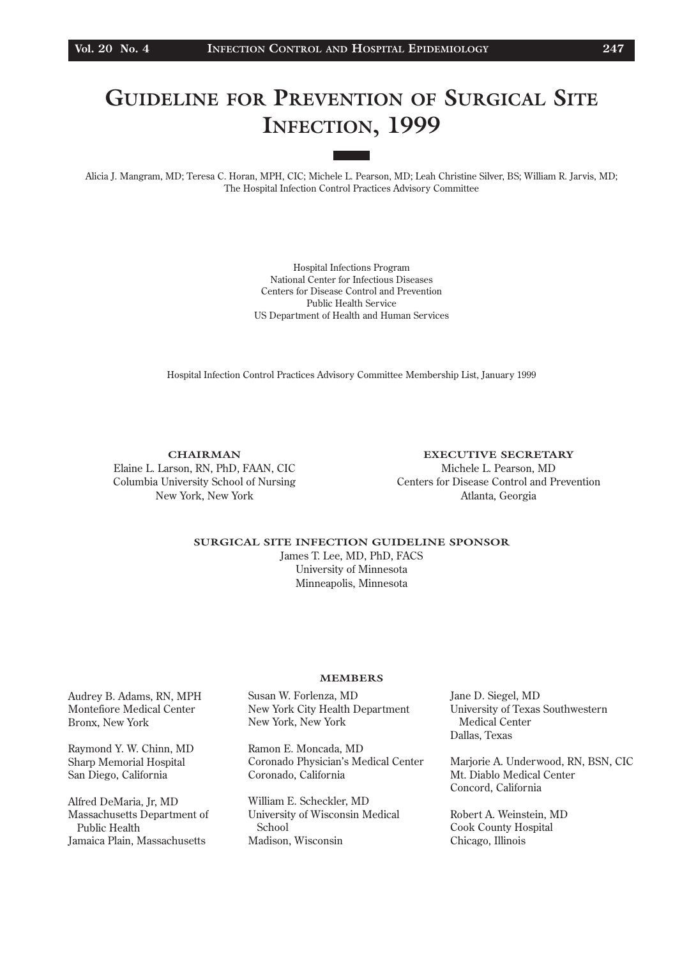## **GUIDELINE FOR PREVENTION OF SURGICAL SITE INFECTION, 1999**

Alicia J. Mangram, MD; Teresa C. Horan, MPH, CIC; Michele L. Pearson, MD; Leah Christine Silver, BS; William R. Jarvis, MD; The Hospital Infection Control Practices Advisory Committee

> Hospital Infections Program National Center for Infectious Diseases Centers for Disease Control and Prevention Public Health Service US Department of Health and Human Services

Hospital Infection Control Practices Advisory Committee Membership List, January 1999

**CHAIRMAN** Elaine L. Larson, RN, PhD, FAAN, CIC Columbia University School of Nursing New York, New York

**EXECUTIVE SECRETARY** Michele L. Pearson, MD Centers for Disease Control and Prevention Atlanta, Georgia

**SURGICAL SITE INFECTION GUIDELINE SPONSOR** James T. Lee, MD, PhD, FACS University of Minnesota Minneapolis, Minnesota

Audrey B. Adams, RN, MPH Montefiore Medical Center Bronx, New York

Raymond Y. W. Chinn, MD Sharp Memorial Hospital San Diego, California

Alfred DeMaria, Jr, MD Massachusetts Department of Public Health Jamaica Plain, Massachusetts

#### **MEMBERS**

Susan W. Forlenza, MD New York City Health Department New York, New York

Ramon E. Moncada, MD Coronado Physician's Medical Center Coronado, California

William E. Scheckler, MD University of Wisconsin Medical School Madison, Wisconsin

Jane D. Siegel, MD University of Texas Southwestern Medical Center Dallas, Texas

Marjorie A. Underwood, RN, BSN, CIC Mt. Diablo Medical Center Concord, California

Robert A. Weinstein, MD Cook County Hospital Chicago, Illinois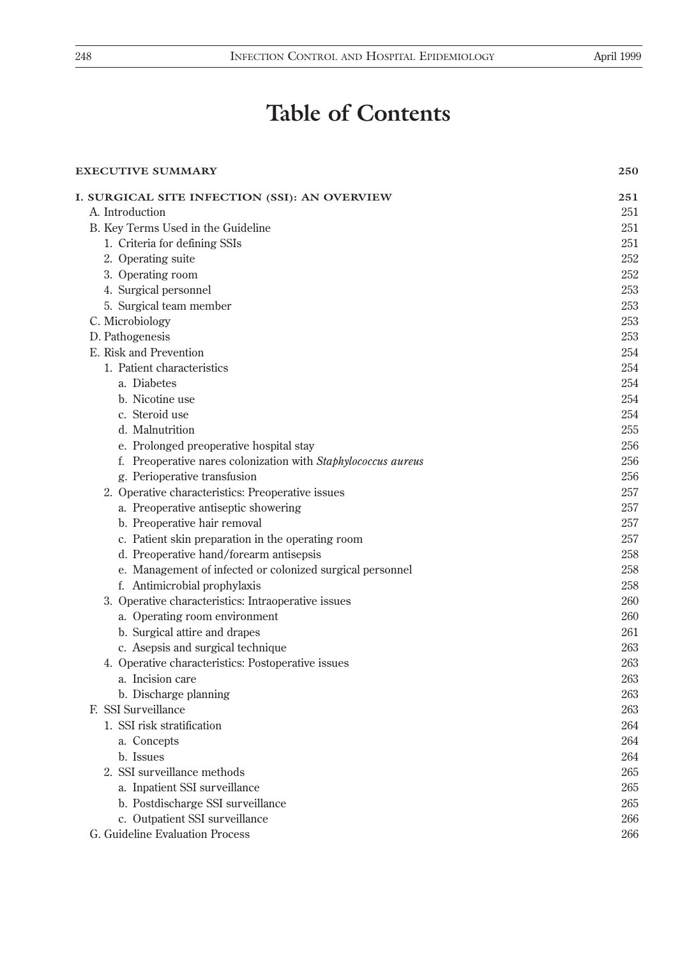# **Table of Contents**

| <b>EXECUTIVE SUMMARY</b>                                      | 250 |
|---------------------------------------------------------------|-----|
| I. SURGICAL SITE INFECTION (SSI): AN OVERVIEW                 | 251 |
| A. Introduction                                               | 251 |
| B. Key Terms Used in the Guideline                            | 251 |
| 1. Criteria for defining SSIs                                 | 251 |
| 2. Operating suite                                            | 252 |
| 3. Operating room                                             | 252 |
| 4. Surgical personnel                                         | 253 |
| 5. Surgical team member                                       | 253 |
| C. Microbiology                                               | 253 |
| D. Pathogenesis                                               | 253 |
| E. Risk and Prevention                                        | 254 |
| 1. Patient characteristics                                    | 254 |
| a. Diabetes                                                   | 254 |
| b. Nicotine use                                               | 254 |
| c. Steroid use                                                | 254 |
| d. Malnutrition                                               | 255 |
| e. Prolonged preoperative hospital stay                       | 256 |
| f. Preoperative nares colonization with Staphylococcus aureus | 256 |
| g. Perioperative transfusion                                  | 256 |
| 2. Operative characteristics: Preoperative issues             | 257 |
| a. Preoperative antiseptic showering                          | 257 |
| b. Preoperative hair removal                                  | 257 |
| c. Patient skin preparation in the operating room             | 257 |
| d. Preoperative hand/forearm antisepsis                       | 258 |
| e. Management of infected or colonized surgical personnel     | 258 |
| f. Antimicrobial prophylaxis                                  | 258 |
| 3. Operative characteristics: Intraoperative issues           | 260 |
| a. Operating room environment                                 | 260 |
| b. Surgical attire and drapes                                 | 261 |
| c. Asepsis and surgical technique                             | 263 |
| 4. Operative characteristics: Postoperative issues            | 263 |
| a. Incision care                                              | 263 |
| b. Discharge planning                                         | 263 |
| F. SSI Surveillance                                           | 263 |
| 1. SSI risk stratification                                    | 264 |
| a. Concepts                                                   | 264 |
| b. Issues                                                     | 264 |
| 2. SSI surveillance methods                                   | 265 |
| a. Inpatient SSI surveillance                                 | 265 |
| b. Postdischarge SSI surveillance                             | 265 |
| c. Outpatient SSI surveillance                                | 266 |
| G. Guideline Evaluation Process                               | 266 |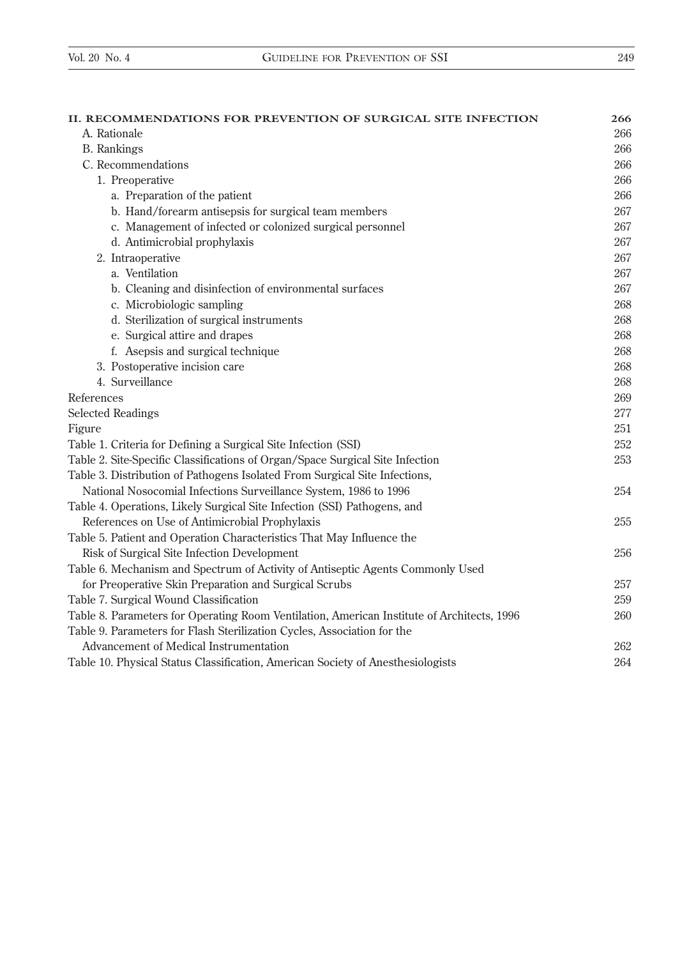| II. RECOMMENDATIONS FOR PREVENTION OF SURGICAL SITE INFECTION                              | 266 |
|--------------------------------------------------------------------------------------------|-----|
| A. Rationale                                                                               | 266 |
| <b>B.</b> Rankings                                                                         | 266 |
| C. Recommendations                                                                         | 266 |
| 1. Preoperative                                                                            | 266 |
| a. Preparation of the patient                                                              | 266 |
| b. Hand/forearm antisepsis for surgical team members                                       | 267 |
| c. Management of infected or colonized surgical personnel                                  | 267 |
| d. Antimicrobial prophylaxis                                                               | 267 |
| 2. Intraoperative                                                                          | 267 |
| a. Ventilation                                                                             | 267 |
| b. Cleaning and disinfection of environmental surfaces                                     | 267 |
| c. Microbiologic sampling                                                                  | 268 |
| d. Sterilization of surgical instruments                                                   | 268 |
| e. Surgical attire and drapes                                                              | 268 |
| f. Asepsis and surgical technique                                                          | 268 |
| 3. Postoperative incision care                                                             | 268 |
| 4. Surveillance                                                                            | 268 |
| References                                                                                 | 269 |
| <b>Selected Readings</b>                                                                   | 277 |
| Figure                                                                                     | 251 |
| Table 1. Criteria for Defining a Surgical Site Infection (SSI)                             | 252 |
| Table 2. Site-Specific Classifications of Organ/Space Surgical Site Infection              | 253 |
| Table 3. Distribution of Pathogens Isolated From Surgical Site Infections,                 |     |
| National Nosocomial Infections Surveillance System, 1986 to 1996                           | 254 |
| Table 4. Operations, Likely Surgical Site Infection (SSI) Pathogens, and                   |     |
| References on Use of Antimicrobial Prophylaxis                                             | 255 |
| Table 5. Patient and Operation Characteristics That May Influence the                      |     |
| Risk of Surgical Site Infection Development                                                | 256 |
| Table 6. Mechanism and Spectrum of Activity of Antiseptic Agents Commonly Used             |     |
| for Preoperative Skin Preparation and Surgical Scrubs                                      | 257 |
| Table 7. Surgical Wound Classification                                                     | 259 |
| Table 8. Parameters for Operating Room Ventilation, American Institute of Architects, 1996 | 260 |
| Table 9. Parameters for Flash Sterilization Cycles, Association for the                    |     |
| Advancement of Medical Instrumentation                                                     | 262 |
| Table 10. Physical Status Classification, American Society of Anesthesiologists            | 264 |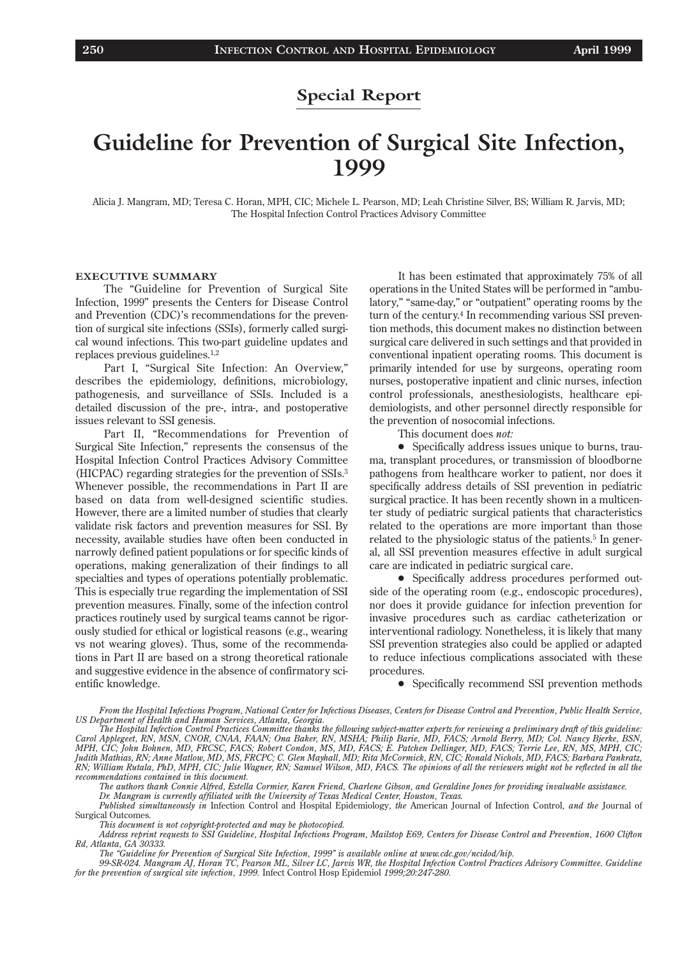## **Special Report**

## **Guideline for Prevention of Surgical Site Infection, 1999**

Alicia J. Mangram, MD; Teresa C. Horan, MPH, CIC; Michele L. Pearson, MD; Leah Christine Silver, BS; William R. Jarvis, MD; The Hospital Infection Control Practices Advisory Committee

#### **EXECUTIVE SUMMARY**

The "Guideline for Prevention of Surgical Site Infection, 1999" presents the Centers for Disease Control and Prevention (CDC)'s recommendations for the prevention of surgical site infections (SSIs), formerly called surgical wound infections. This two-part guideline updates and replaces previous guidelines.1,2

Part I, "Surgical Site Infection: An Overview," describes the epidemiology, definitions, microbiology, pathogenesis, and surveillance of SSIs. Included is a detailed discussion of the pre-, intra-, and postoperative issues relevant to SSI genesis.

Part II, "Recommendations for Prevention of Surgical Site Infection," represents the consensus of the Hospital Infection Control Practices Advisory Committee (HICPAC) regarding strategies for the prevention of SSIs.3 Whenever possible, the recommendations in Part II are based on data from well-designed scientific studies. However, there are a limited number of studies that clearly validate risk factors and prevention measures for SSI. By necessity, available studies have often been conducted in narrowly defined patient populations or for specific kinds of operations, making generalization of their findings to all specialties and types of operations potentially problematic. This is especially true regarding the implementation of SSI prevention measures. Finally, some of the infection control practices routinely used by surgical teams cannot be rigorously studied for ethical or logistical reasons (e.g., wearing vs not wearing gloves). Thus, some of the recommendations in Part II are based on a strong theoretical rationale and suggestive evidence in the absence of confirmatory scientific knowledge.

It has been estimated that approximately 75% of all operations in the United States will be performed in "ambulatory," "same-day," or "outpatient" operating rooms by the turn of the century.4 In recommending various SSI prevention methods, this document makes no distinction between surgical care delivered in such settings and that provided in conventional inpatient operating rooms. This document is primarily intended for use by surgeons, operating room nurses, postoperative inpatient and clinic nurses, infection control professionals, anesthesiologists, healthcare epidemiologists, and other personnel directly responsible for the prevention of nosocomial infections.

This document does *not:*

● Specifically address issues unique to burns, trauma, transplant procedures, or transmission of bloodborne pathogens from healthcare worker to patient, nor does it specifically address details of SSI prevention in pediatric surgical practice. It has been recently shown in a multicenter study of pediatric surgical patients that characteristics related to the operations are more important than those related to the physiologic status of the patients.<sup>5</sup> In general, all SSI prevention measures effective in adult surgical care are indicated in pediatric surgical care.

● Specifically address procedures performed outside of the operating room (e.g., endoscopic procedures), nor does it provide guidance for infection prevention for invasive procedures such as cardiac catheterization or interventional radiology. Nonetheless, it is likely that many SSI prevention strategies also could be applied or adapted to reduce infectious complications associated with these procedures.

• Specifically recommend SSI prevention methods

*From the Hospital Infections Program, National Center for Infectious Diseases, Centers for Disease Control and Prevention, Public Health Service, US Department of Health and Human Services, Atlanta, Georgia.*

*The Hospital Infection Control Practices Committee thanks the following subject-matter experts for reviewing a preliminary draft of this guideline: Carol Applegeet, RN, MSN, CNOR, CNAA, FAAN; Ona Baker, RN, MSHA; Philip Barie, MD, FACS; Arnold Berry, MD; Col. Nancy Bjerke, BSN, MPH, CIC; John Bohnen, MD, FRCSC, FACS; Robert Condon, MS, MD, FACS; E. Patchen Dellinger, MD, FACS; Terrie Lee, RN, MS, MPH, CIC; Judith Mathias, RN; Anne Matlow, MD, MS, FRCPC; C. Glen Mayhall, MD; Rita McCormick, RN, CIC; Ronald Nichols, MD, FACS; Barbara Pankratz, RN; William Rutala, PhD, MPH, CIC; Julie Wagner, RN; Samuel Wilson, MD, FACS. The opinions of all the reviewers might not be reflected in all the recommendations contained in this document.*

*The authors thank Connie Alfred, Estella Cormier, Karen Friend, Charlene Gibson, and Geraldine Jones for providing invaluable assistance.*

*Dr. Mangram is currently affiliated with the University of Texas Medical Center, Houston, Texas.*

*Published simultaneously in* Infection Control and Hospital Epidemiology*, the* American Journal of Infection Control*, and the* Journal of Surgical Outcomes*.*

*This document is not copyright-protected and may be photocopied.*

*Address reprint requests to SSI Guideline, Hospital Infections Program, Mailstop E69, Centers for Disease Control and Prevention, 1600 Clifton Rd, Atlanta, GA 30333.*

*The "Guideline for Prevention of Surgical Site Infection, 1999" is available online at www.cdc.gov/ncidod/hip.*

*99-SR-024. Mangram AJ, Horan TC, Pearson ML, Silver LC, Jarvis WR, the Hospital Infection Control Practices Advisory Committee. Guideline for the prevention of surgical site infection, 1999.* Infect Control Hosp Epidemiol *1999;20:247-280.*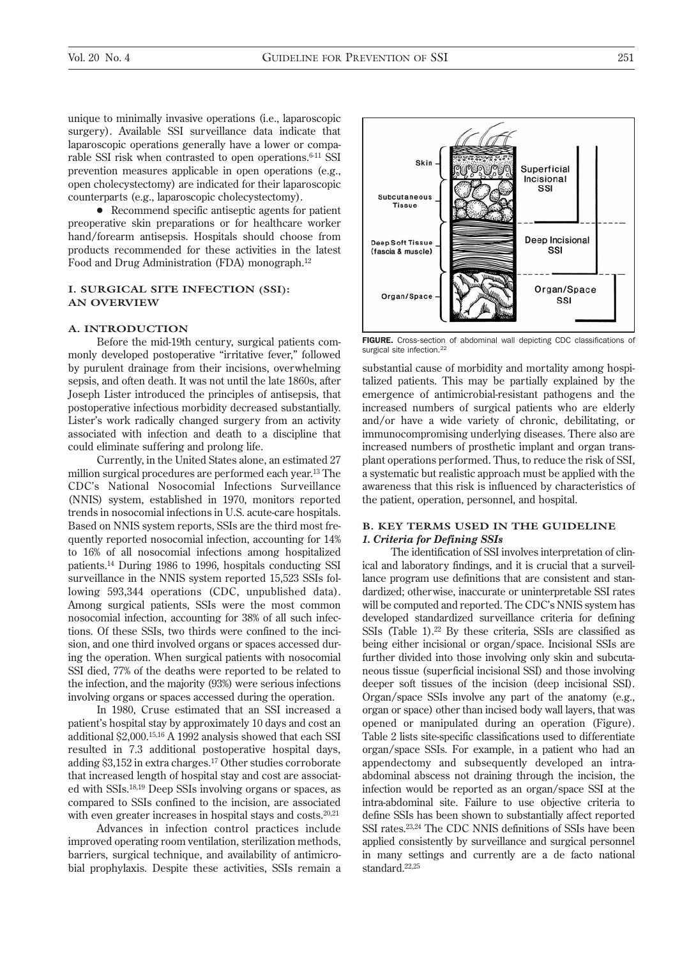unique to minimally invasive operations (i.e., laparoscopic surgery). Available SSI surveillance data indicate that laparoscopic operations generally have a lower or comparable SSI risk when contrasted to open operations.<sup>6-11</sup> SSI prevention measures applicable in open operations (e.g., open cholecystectomy) are indicated for their laparoscopic counterparts (e.g., laparoscopic cholecystectomy).

● Recommend specific antiseptic agents for patient preoperative skin preparations or for healthcare worker hand/forearm antisepsis. Hospitals should choose from products recommended for these activities in the latest Food and Drug Administration (FDA) monograph.12

## **I. SURGICAL SITE INFECTION (SSI): AN OVERVIEW**

## **A. INTRODUCTION**

Before the mid-19th century, surgical patients commonly developed postoperative "irritative fever," followed by purulent drainage from their incisions, overwhelming sepsis, and often death. It was not until the late 1860s, after Joseph Lister introduced the principles of antisepsis, that postoperative infectious morbidity decreased substantially. Lister's work radically changed surgery from an activity associated with infection and death to a discipline that could eliminate suffering and prolong life.

Currently, in the United States alone, an estimated 27 million surgical procedures are performed each year.13 The CDC's National Nosocomial Infections Surveillance (NNIS) system, established in 1970, monitors reported trends in nosocomial infections in U.S. acute-care hospitals. Based on NNIS system reports, SSIs are the third most frequently reported nosocomial infection, accounting for 14% to 16% of all nosocomial infections among hospitalized patients.14 During 1986 to 1996, hospitals conducting SSI surveillance in the NNIS system reported 15,523 SSIs following 593,344 operations (CDC, unpublished data). Among surgical patients, SSIs were the most common nosocomial infection, accounting for 38% of all such infections. Of these SSIs, two thirds were confined to the incision, and one third involved organs or spaces accessed during the operation. When surgical patients with nosocomial SSI died, 77% of the deaths were reported to be related to the infection, and the majority (93%) were serious infections involving organs or spaces accessed during the operation.

In 1980, Cruse estimated that an SSI increased a patient's hospital stay by approximately 10 days and cost an additional \$2,000.15,16 A 1992 analysis showed that each SSI resulted in 7.3 additional postoperative hospital days, adding \$3,152 in extra charges.17 Other studies corroborate that increased length of hospital stay and cost are associated with SSIs.18,19 Deep SSIs involving organs or spaces, as compared to SSIs confined to the incision, are associated with even greater increases in hospital stays and costs.<sup>20,21</sup>

Advances in infection control practices include improved operating room ventilation, sterilization methods, barriers, surgical technique, and availability of antimicrobial prophylaxis. Despite these activities, SSIs remain a



FIGURE. Cross-section of abdominal wall depicting CDC classifications of surgical site infection.<sup>22</sup>

substantial cause of morbidity and mortality among hospitalized patients. This may be partially explained by the emergence of antimicrobial-resistant pathogens and the increased numbers of surgical patients who are elderly and/or have a wide variety of chronic, debilitating, or immunocompromising underlying diseases. There also are increased numbers of prosthetic implant and organ transplant operations performed. Thus, to reduce the risk of SSI, a systematic but realistic approach must be applied with the awareness that this risk is influenced by characteristics of the patient, operation, personnel, and hospital.

## **B. KEY TERMS USED IN THE GUIDELINE**  *1. Criteria for Defining SSIs*

The identification of SSI involves interpretation of clinical and laboratory findings, and it is crucial that a surveillance program use definitions that are consistent and standardized; otherwise, inaccurate or uninterpretable SSI rates will be computed and reported. The CDC's NNIS system has developed standardized surveillance criteria for defining SSIs (Table 1).<sup>22</sup> By these criteria, SSIs are classified as being either incisional or organ/space. Incisional SSIs are further divided into those involving only skin and subcutaneous tissue (superficial incisional SSI) and those involving deeper soft tissues of the incision (deep incisional SSI). Organ/space SSIs involve any part of the anatomy (e.g., organ or space) other than incised body wall layers, that was opened or manipulated during an operation (Figure). Table 2 lists site-specific classifications used to differentiate organ/space SSIs. For example, in a patient who had an appendectomy and subsequently developed an intraabdominal abscess not draining through the incision, the infection would be reported as an organ/space SSI at the intra-abdominal site. Failure to use objective criteria to define SSIs has been shown to substantially affect reported SSI rates.23,24 The CDC NNIS definitions of SSIs have been applied consistently by surveillance and surgical personnel in many settings and currently are a de facto national standard.<sup>22,25</sup>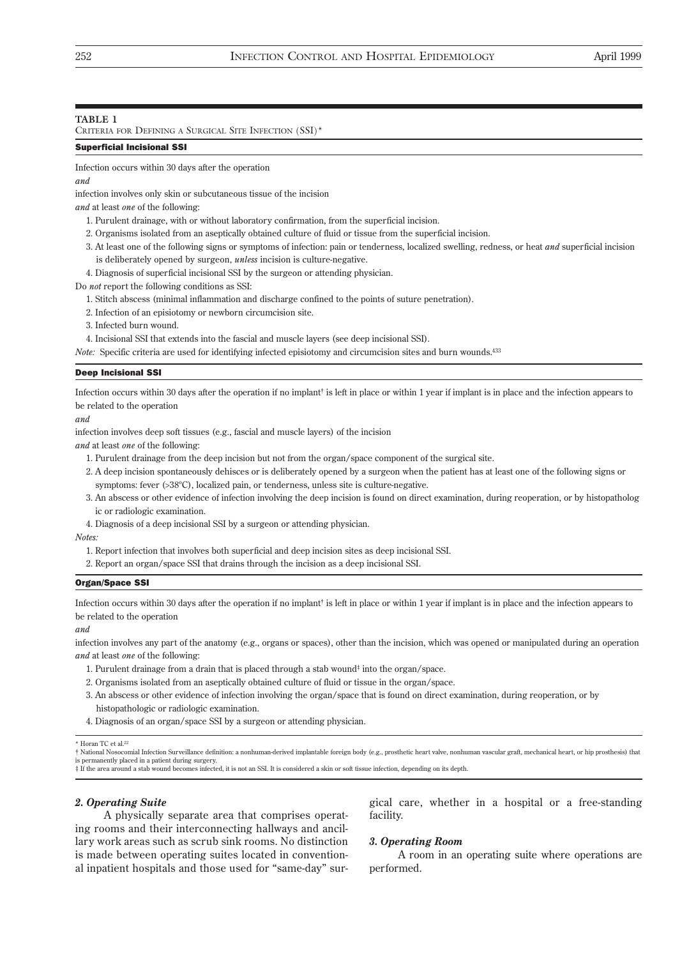CRITERIA FOR DEFINING A SURGICAL SITE INFECTION (SSI)\*

## Superficial Incisional SSI

Infection occurs within 30 days after the operation

*and*

infection involves only skin or subcutaneous tissue of the incision

*and* at least *one* of the following:

- 1. Purulent drainage, with or without laboratory confirmation, from the superficial incision.
- 2. Organisms isolated from an aseptically obtained culture of fluid or tissue from the superficial incision.
- 3. At least one of the following signs or symptoms of infection: pain or tenderness, localized swelling, redness, or heat *and* superficial incision is deliberately opened by surgeon, *unless* incision is culture-negative.
- 4. Diagnosis of superficial incisional SSI by the surgeon or attending physician.

Do *not* report the following conditions as SSI:

- 1. Stitch abscess (minimal inflammation and discharge confined to the points of suture penetration).
- 2. Infection of an episiotomy or newborn circumcision site.
- 3. Infected burn wound.

4. Incisional SSI that extends into the fascial and muscle layers (see deep incisional SSI).

*Note:* Specific criteria are used for identifying infected episiotomy and circumcision sites and burn wounds.<sup>433</sup>

#### Deep Incisional SSI

Infection occurs within 30 days after the operation if no implant† is left in place or within 1 year if implant is in place and the infection appears to be related to the operation

*and*

infection involves deep soft tissues (e.g., fascial and muscle layers) of the incision

*and* at least *one* of the following:

- 1. Purulent drainage from the deep incision but not from the organ/space component of the surgical site.
- 2. A deep incision spontaneously dehisces or is deliberately opened by a surgeon when the patient has at least one of the following signs or symptoms: fever (>38ºC), localized pain, or tenderness, unless site is culture-negative.
- 3. An abscess or other evidence of infection involving the deep incision is found on direct examination, during reoperation, or by histopatholog ic or radiologic examination.
- 4. Diagnosis of a deep incisional SSI by a surgeon or attending physician.

*Notes:*

- 1. Report infection that involves both superficial and deep incision sites as deep incisional SSI.
- 2. Report an organ/space SSI that drains through the incision as a deep incisional SSI.

#### Organ/Space SSI

Infection occurs within 30 days after the operation if no implant† is left in place or within 1 year if implant is in place and the infection appears to be related to the operation

*and*

infection involves any part of the anatomy (e.g., organs or spaces), other than the incision, which was opened or manipulated during an operation *and* at least *one* of the following:

- 1. Purulent drainage from a drain that is placed through a stab wound‡ into the organ/space.
- 2. Organisms isolated from an aseptically obtained culture of fluid or tissue in the organ/space.
- 3. An abscess or other evidence of infection involving the organ/space that is found on direct examination, during reoperation, or by histopathologic or radiologic examination.
- 4. Diagnosis of an organ/space SSI by a surgeon or attending physician.

#### \* Horan TC et al.22

† National Nosocomial Infection Surveillance definition: a nonhuman-derived implantable foreign body (e.g., prosthetic heart valve, nonhuman vascular graft, mechanical heart, or hip prosthesis) that is permanently placed in a patient during surgery. ‡ If the area around a stab wound becomes infected, it is not an SSI. It is considered a skin or soft tissue infection, depending on its depth.

#### *2. Operating Suite*

A physically separate area that comprises operating rooms and their interconnecting hallways and ancillary work areas such as scrub sink rooms. No distinction is made between operating suites located in conventional inpatient hospitals and those used for "same-day" surgical care, whether in a hospital or a free-standing facility.

#### *3. Operating Room*

A room in an operating suite where operations are performed.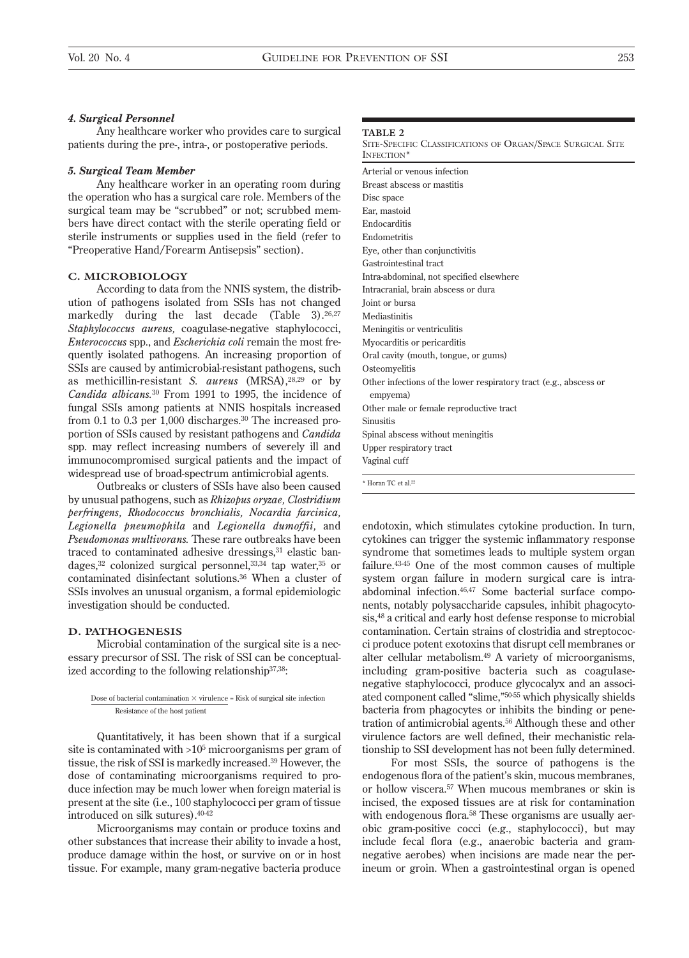## *4. Surgical Personnel*

Any healthcare worker who provides care to surgical patients during the pre-, intra-, or postoperative periods.

#### *5. Surgical Team Member*

Any healthcare worker in an operating room during the operation who has a surgical care role. Members of the surgical team may be "scrubbed" or not; scrubbed members have direct contact with the sterile operating field or sterile instruments or supplies used in the field (refer to "Preoperative Hand/Forearm Antisepsis" section).

#### **C. MICROBIOLOGY**

According to data from the NNIS system, the distribution of pathogens isolated from SSIs has not changed markedly during the last decade (Table 3).26,27 *Staphylococcus aureus,* coagulase-negative staphylococci, *Enterococcus* spp., and *Escherichia coli* remain the most frequently isolated pathogens. An increasing proportion of SSIs are caused by antimicrobial-resistant pathogens, such as methicillin-resistant *S. aureus* (MRSA),28,29 or by *Candida albicans.*<sup>30</sup> From 1991 to 1995, the incidence of fungal SSIs among patients at NNIS hospitals increased from 0.1 to 0.3 per 1,000 discharges.<sup>30</sup> The increased proportion of SSIs caused by resistant pathogens and *Candida* spp. may reflect increasing numbers of severely ill and immunocompromised surgical patients and the impact of widespread use of broad-spectrum antimicrobial agents.

Outbreaks or clusters of SSIs have also been caused by unusual pathogens, such as *Rhizopus oryzae, Clostridium perfringens, Rhodococcus bronchialis, Nocardia farcinica, Legionella pneumophila* and *Legionella dumoffii,* and *Pseudomonas multivorans.* These rare outbreaks have been traced to contaminated adhesive dressings,<sup>31</sup> elastic bandages,32 colonized surgical personnel,33,34 tap water,35 or contaminated disinfectant solutions.36 When a cluster of SSIs involves an unusual organism, a formal epidemiologic investigation should be conducted.

#### **D. PATHOGENESIS**

Microbial contamination of the surgical site is a necessary precursor of SSI. The risk of SSI can be conceptualized according to the following relationship37,38:

#### Dose of bacterial contamination  $\times$  virulence = Risk of surgical site infection Resistance of the host patient

Quantitatively, it has been shown that if a surgical site is contaminated with >105 microorganisms per gram of tissue, the risk of SSI is markedly increased.39 However, the dose of contaminating microorganisms required to produce infection may be much lower when foreign material is present at the site (i.e., 100 staphylococci per gram of tissue introduced on silk sutures).40-42

Microorganisms may contain or produce toxins and other substances that increase their ability to invade a host, produce damage within the host, or survive on or in host tissue. For example, many gram-negative bacteria produce

#### **TABLE 2**

SITE-SPECIFIC CLASSIFICATIONS OF ORGAN/SPACE SURGICAL SITE INFECTION\*

| Arterial or venous infection                                                  |
|-------------------------------------------------------------------------------|
| Breast abscess or mastitis                                                    |
| Disc space                                                                    |
| Ear, mastoid                                                                  |
| Endocarditis                                                                  |
| Endometritis                                                                  |
| Eye, other than conjunctivitis                                                |
| Gastrointestinal tract                                                        |
| Intra-abdominal, not specified elsewhere                                      |
| Intracranial, brain abscess or dura                                           |
| Joint or bursa                                                                |
| Mediastinitis                                                                 |
| Meningitis or ventriculitis                                                   |
| Myocarditis or pericarditis                                                   |
| Oral cavity (mouth, tongue, or gums)                                          |
| Osteomyelitis                                                                 |
| Other infections of the lower respiratory tract (e.g., abscess or<br>empyema) |
| Other male or female reproductive tract                                       |
| <b>Sinusitis</b>                                                              |
| Spinal abscess without meningitis                                             |
| Upper respiratory tract                                                       |
| Vaginal cuff                                                                  |
| * Horan TC et al. <sup>22</sup>                                               |

endotoxin, which stimulates cytokine production. In turn, cytokines can trigger the systemic inflammatory response syndrome that sometimes leads to multiple system organ failure.43-45 One of the most common causes of multiple system organ failure in modern surgical care is intraabdominal infection.46,47 Some bacterial surface components, notably polysaccharide capsules, inhibit phagocytosis,48 a critical and early host defense response to microbial contamination. Certain strains of clostridia and streptococci produce potent exotoxins that disrupt cell membranes or alter cellular metabolism.49 A variety of microorganisms, including gram-positive bacteria such as coagulasenegative staphylococci, produce glycocalyx and an associated component called "slime,"50-55 which physically shields bacteria from phagocytes or inhibits the binding or penetration of antimicrobial agents.<sup>56</sup> Although these and other virulence factors are well defined, their mechanistic relationship to SSI development has not been fully determined.

For most SSIs, the source of pathogens is the endogenous flora of the patient's skin, mucous membranes, or hollow viscera.57 When mucous membranes or skin is incised, the exposed tissues are at risk for contamination with endogenous flora.<sup>58</sup> These organisms are usually aerobic gram-positive cocci (e.g., staphylococci), but may include fecal flora (e.g., anaerobic bacteria and gramnegative aerobes) when incisions are made near the perineum or groin. When a gastrointestinal organ is opened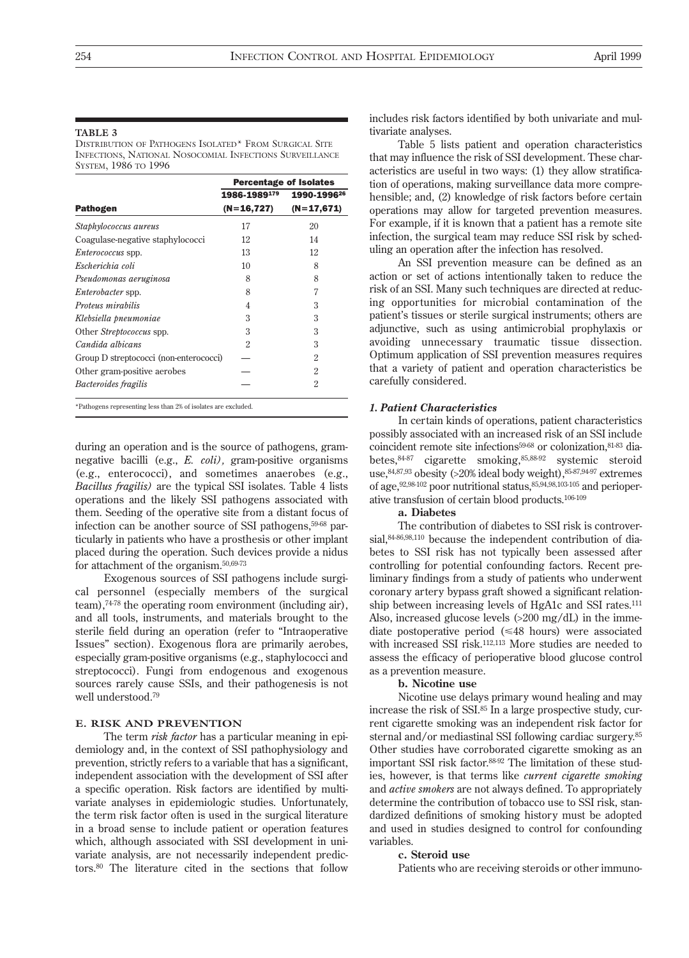DISTRIBUTION OF PATHOGENS ISOLATED\* FROM SURGICAL SITE INFECTIONS, NATIONAL NOSOCOMIAL INFECTIONS SURVEILLANCE SYSTEM, 1986 TO 1996

|                                                                | <b>Percentage of Isolates</b> |              |  |  |  |
|----------------------------------------------------------------|-------------------------------|--------------|--|--|--|
|                                                                | 1986-1989179                  | 1990-199626  |  |  |  |
| Pathogen                                                       | $(N=16,727)$                  | $(N=17,671)$ |  |  |  |
| Staphylococcus aureus                                          | 17                            | 20           |  |  |  |
| Coagulase-negative staphylococci                               | 12                            | 14           |  |  |  |
| <i>Enterococcus</i> spp.                                       | 13                            | 12           |  |  |  |
| Escherichia coli                                               | 10                            | 8            |  |  |  |
| Pseudomonas aeruginosa                                         | 8                             | 8            |  |  |  |
| <i>Enterobacter</i> spp.                                       | 8                             | 7            |  |  |  |
| Proteus mirabilis                                              | 4                             | 3            |  |  |  |
| Klebsiella pneumoniae                                          | 3                             | 3            |  |  |  |
| Other <i>Streptococcus</i> spp.                                | 3                             | 3            |  |  |  |
| Candida albicans                                               | 2                             | 3            |  |  |  |
| Group D streptococci (non-enterococci)                         |                               | 2            |  |  |  |
| Other gram-positive aerobes                                    |                               | 2            |  |  |  |
| Bacteroides fragilis                                           |                               | 2            |  |  |  |
| *Pathogens representing less than 2% of isolates are excluded. |                               |              |  |  |  |

during an operation and is the source of pathogens, gramnegative bacilli (e.g., *E. coli),* gram-positive organisms (e.g., enterococci), and sometimes anaerobes (e.g., *Bacillus fragilis)* are the typical SSI isolates. Table 4 lists operations and the likely SSI pathogens associated with them. Seeding of the operative site from a distant focus of infection can be another source of SSI pathogens,59-68 particularly in patients who have a prosthesis or other implant placed during the operation. Such devices provide a nidus for attachment of the organism.50,69-73

Exogenous sources of SSI pathogens include surgical personnel (especially members of the surgical team),74-78 the operating room environment (including air), and all tools, instruments, and materials brought to the sterile field during an operation (refer to "Intraoperative Issues" section). Exogenous flora are primarily aerobes, especially gram-positive organisms (e.g., staphylococci and streptococci). Fungi from endogenous and exogenous sources rarely cause SSIs, and their pathogenesis is not well understood.79

## **E. RISK AND PREVENTION**

The term *risk factor* has a particular meaning in epidemiology and, in the context of SSI pathophysiology and prevention, strictly refers to a variable that has a significant, independent association with the development of SSI after a specific operation. Risk factors are identified by multivariate analyses in epidemiologic studies. Unfortunately, the term risk factor often is used in the surgical literature in a broad sense to include patient or operation features which, although associated with SSI development in univariate analysis, are not necessarily independent predictors.80 The literature cited in the sections that follow includes risk factors identified by both univariate and multivariate analyses.

Table 5 lists patient and operation characteristics that may influence the risk of SSI development. These characteristics are useful in two ways: (1) they allow stratification of operations, making surveillance data more comprehensible; and, (2) knowledge of risk factors before certain operations may allow for targeted prevention measures. For example, if it is known that a patient has a remote site infection, the surgical team may reduce SSI risk by scheduling an operation after the infection has resolved.

An SSI prevention measure can be defined as an action or set of actions intentionally taken to reduce the risk of an SSI. Many such techniques are directed at reducing opportunities for microbial contamination of the patient's tissues or sterile surgical instruments; others are adjunctive, such as using antimicrobial prophylaxis or avoiding unnecessary traumatic tissue dissection. Optimum application of SSI prevention measures requires that a variety of patient and operation characteristics be carefully considered.

#### *1. Patient Characteristics*

In certain kinds of operations, patient characteristics possibly associated with an increased risk of an SSI include coincident remote site infections59-68 or colonization,81-83 diabetes,84-87 cigarette smoking,85,88-92 systemic steroid use, 84,87,93 obesity (>20% ideal body weight), 85-87,94-97 extremes of age,92,98-102 poor nutritional status,85,94,98,103-105 and perioperative transfusion of certain blood products.106-109

## **a. Diabetes**

The contribution of diabetes to SSI risk is controversial, 84-86, 98, 110 because the independent contribution of diabetes to SSI risk has not typically been assessed after controlling for potential confounding factors. Recent preliminary findings from a study of patients who underwent coronary artery bypass graft showed a significant relationship between increasing levels of HgA1c and SSI rates.<sup>111</sup> Also, increased glucose levels (>200 mg/dL) in the immediate postoperative period (<48 hours) were associated with increased SSI risk.112,113 More studies are needed to assess the efficacy of perioperative blood glucose control as a prevention measure.

#### **b. Nicotine use**

Nicotine use delays primary wound healing and may increase the risk of SSI.85 In a large prospective study, current cigarette smoking was an independent risk factor for sternal and/or mediastinal SSI following cardiac surgery.85 Other studies have corroborated cigarette smoking as an important SSI risk factor.88-92 The limitation of these studies, however, is that terms like *current cigarette smoking* and *active smokers* are not always defined. To appropriately determine the contribution of tobacco use to SSI risk, standardized definitions of smoking history must be adopted and used in studies designed to control for confounding variables.

### **c. Steroid use**

Patients who are receiving steroids or other immuno-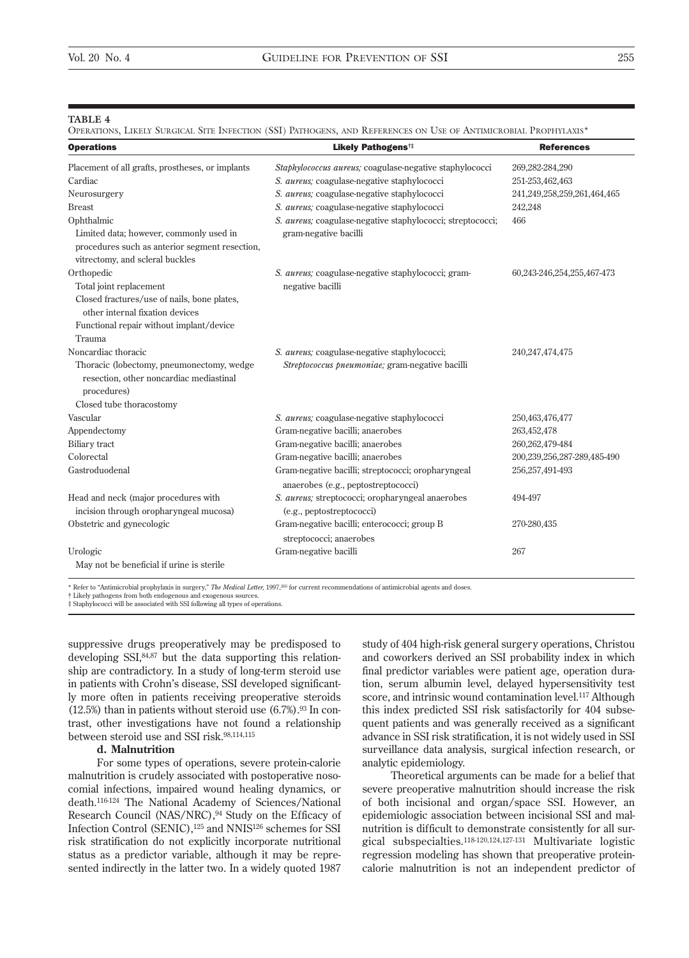OPERATIONS, LIKELY SURGICAL SITE INFECTION (SSI) PATHOGENS, AND REFERENCES ON USE OF ANTIMICROBIAL PROPHYLAXIS\*

| <b>Operations</b>                                | Likely Pathogens <sup>†‡</sup>                             | <b>References</b>           |
|--------------------------------------------------|------------------------------------------------------------|-----------------------------|
| Placement of all grafts, prostheses, or implants | Staphylococcus aureus; coagulase-negative staphylococci    | 269,282-284,290             |
| Cardiac                                          | S. aureus; coagulase-negative staphylococci                | 251-253,462,463             |
| Neurosurgery                                     | S. aureus; coagulase-negative staphylococci                | 241,249,258,259,261,464,465 |
| <b>Breast</b>                                    | S. aureus; coagulase-negative staphylococci                | 242,248                     |
| Ophthalmic                                       | S. aureus; coagulase-negative staphylococci; streptococci; | 466                         |
| Limited data; however, commonly used in          | gram-negative bacilli                                      |                             |
| procedures such as anterior segment resection,   |                                                            |                             |
| vitrectomy, and scleral buckles                  |                                                            |                             |
| Orthopedic                                       | S. aureus; coagulase-negative staphylococci; gram-         | 60,243-246,254,255,467-473  |
| Total joint replacement                          | negative bacilli                                           |                             |
| Closed fractures/use of nails, bone plates,      |                                                            |                             |
| other internal fixation devices                  |                                                            |                             |
| Functional repair without implant/device         |                                                            |                             |
| Trauma                                           |                                                            |                             |
| Noncardiac thoracic                              | S. aureus; coagulase-negative staphylococci;               | 240,247,474,475             |
| Thoracic (lobectomy, pneumonectomy, wedge        | Streptococcus pneumoniae; gram-negative bacilli            |                             |
| resection, other noncardiac mediastinal          |                                                            |                             |
| procedures)                                      |                                                            |                             |
| Closed tube thoracostomy                         |                                                            |                             |
| Vascular                                         | S. aureus; coagulase-negative staphylococci                | 250,463,476,477             |
| Appendectomy                                     | Gram-negative bacilli; anaerobes                           | 263,452,478                 |
| Biliary tract                                    | Gram-negative bacilli; anaerobes                           | 260, 262, 479-484           |
| Colorectal                                       | Gram-negative bacilli; anaerobes                           | 200,239,256,287-289,485-490 |
| Gastroduodenal                                   | Gram-negative bacilli; streptococci; oropharyngeal         | 256, 257, 491-493           |
|                                                  | anaerobes (e.g., peptostreptococci)                        |                             |
| Head and neck (major procedures with             | S. aureus; streptococci; oropharyngeal anaerobes           | 494-497                     |
| incision through oropharyngeal mucosa)           | (e.g., peptostreptococci)                                  |                             |
| Obstetric and gynecologic                        | Gram-negative bacilli; enterococci; group B                | 270-280,435                 |
|                                                  | streptococci; anaerobes                                    |                             |
| Urologic                                         | Gram-negative bacilli                                      | 267                         |
| May not be beneficial if urine is sterile.       |                                                            |                             |

\* Refer to "Antimicrobial prophylaxis in surgery," The Medical Letter, 1997,<sup>266</sup> for current recommendations of antimicrobial agents and doses

† Likely pathogens from both endogenous and exogenous sources. ‡ Staphylococci will be associated with SSI following all types of operations.

suppressive drugs preoperatively may be predisposed to developing SSI,  $84,87$  but the data supporting this relationship are contradictory. In a study of long-term steroid use in patients with Crohn's disease, SSI developed significantly more often in patients receiving preoperative steroids (12.5%) than in patients without steroid use  $(6.7%)$ . <sup>93</sup> In contrast, other investigations have not found a relationship between steroid use and SSI risk.<sup>98,114,115</sup>

#### **d. Malnutrition**

For some types of operations, severe protein-calorie malnutrition is crudely associated with postoperative nosocomial infections, impaired wound healing dynamics, or death.116-124 The National Academy of Sciences/National Research Council (NAS/NRC),<sup>94</sup> Study on the Efficacy of Infection Control (SENIC),125 and NNIS126 schemes for SSI risk stratification do not explicitly incorporate nutritional status as a predictor variable, although it may be represented indirectly in the latter two. In a widely quoted 1987

study of 404 high-risk general surgery operations, Christou and coworkers derived an SSI probability index in which final predictor variables were patient age, operation duration, serum albumin level, delayed hypersensitivity test score, and intrinsic wound contamination level.<sup>117</sup> Although this index predicted SSI risk satisfactorily for 404 subsequent patients and was generally received as a significant advance in SSI risk stratification, it is not widely used in SSI surveillance data analysis, surgical infection research, or analytic epidemiology.

Theoretical arguments can be made for a belief that severe preoperative malnutrition should increase the risk of both incisional and organ/space SSI. However, an epidemiologic association between incisional SSI and malnutrition is difficult to demonstrate consistently for all surgical subspecialties.118-120,124,127-131 Multivariate logistic regression modeling has shown that preoperative proteincalorie malnutrition is not an independent predictor of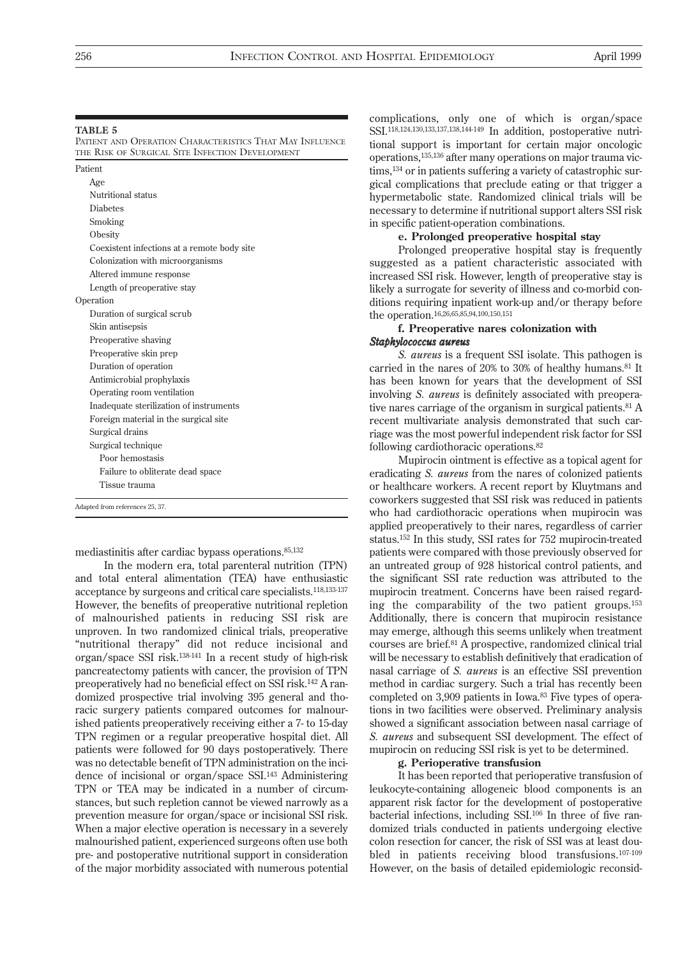PATIENT AND OPERATION CHARACTERISTICS THAT MAY INFLUENCE THE RISK OF SURGICAL SITE INFECTION DEVELOPMENT

| Patient                                     |
|---------------------------------------------|
| Age                                         |
| Nutritional status                          |
| <b>Diabetes</b>                             |
| Smoking                                     |
| Obesity                                     |
| Coexistent infections at a remote body site |
| Colonization with microorganisms            |
| Altered immune response                     |
| Length of preoperative stay                 |
| Operation                                   |
| Duration of surgical scrub                  |
| Skin antisepsis                             |
| Preoperative shaving                        |
| Preoperative skin prep                      |
| Duration of operation                       |
| Antimicrobial prophylaxis                   |
| Operating room ventilation                  |
| Inadequate sterilization of instruments     |
| Foreign material in the surgical site       |
| Surgical drains                             |
| Surgical technique                          |
| Poor hemostasis                             |
| Failure to obliterate dead space            |
| Tissue trauma                               |
| Adapted from references 25, 37.             |

mediastinitis after cardiac bypass operations.85,132

In the modern era, total parenteral nutrition (TPN) and total enteral alimentation (TEA) have enthusiastic acceptance by surgeons and critical care specialists.118,133-137 However, the benefits of preoperative nutritional repletion of malnourished patients in reducing SSI risk are unproven. In two randomized clinical trials, preoperative "nutritional therapy" did not reduce incisional and organ/space SSI risk.138-141 In a recent study of high-risk pancreatectomy patients with cancer, the provision of TPN preoperatively had no beneficial effect on SSI risk.142 A randomized prospective trial involving 395 general and thoracic surgery patients compared outcomes for malnourished patients preoperatively receiving either a 7- to 15-day TPN regimen or a regular preoperative hospital diet. All patients were followed for 90 days postoperatively. There was no detectable benefit of TPN administration on the incidence of incisional or organ/space SSI.143 Administering TPN or TEA may be indicated in a number of circumstances, but such repletion cannot be viewed narrowly as a prevention measure for organ/space or incisional SSI risk. When a major elective operation is necessary in a severely malnourished patient, experienced surgeons often use both pre- and postoperative nutritional support in consideration of the major morbidity associated with numerous potential complications, only one of which is organ/space SSI.118,124,130,133,137,138,144-149 In addition, postoperative nutritional support is important for certain major oncologic operations,135,136 after many operations on major trauma victims,134 or in patients suffering a variety of catastrophic surgical complications that preclude eating or that trigger a hypermetabolic state. Randomized clinical trials will be necessary to determine if nutritional support alters SSI risk in specific patient-operation combinations.

## **e. Prolonged preoperative hospital stay**

Prolonged preoperative hospital stay is frequently suggested as a patient characteristic associated with increased SSI risk. However, length of preoperative stay is likely a surrogate for severity of illness and co-morbid conditions requiring inpatient work-up and/or therapy before the operation.16,26,65,85,94,100,150,151

### **f. Preoperative nares colonization with** *Staphylococcus aureus*

*S. aureus* is a frequent SSI isolate. This pathogen is carried in the nares of 20% to 30% of healthy humans.81 It has been known for years that the development of SSI involving *S. aureus* is definitely associated with preoperative nares carriage of the organism in surgical patients.<sup>81</sup> A recent multivariate analysis demonstrated that such carriage was the most powerful independent risk factor for SSI following cardiothoracic operations.82

Mupirocin ointment is effective as a topical agent for eradicating *S. aureus* from the nares of colonized patients or healthcare workers. A recent report by Kluytmans and coworkers suggested that SSI risk was reduced in patients who had cardiothoracic operations when mupirocin was applied preoperatively to their nares, regardless of carrier status.152 In this study, SSI rates for 752 mupirocin-treated patients were compared with those previously observed for an untreated group of 928 historical control patients, and the significant SSI rate reduction was attributed to the mupirocin treatment. Concerns have been raised regarding the comparability of the two patient groups.153 Additionally, there is concern that mupirocin resistance may emerge, although this seems unlikely when treatment courses are brief.81 A prospective, randomized clinical trial will be necessary to establish definitively that eradication of nasal carriage of *S. aureus* is an effective SSI prevention method in cardiac surgery. Such a trial has recently been completed on 3,909 patients in Iowa.<sup>83</sup> Five types of operations in two facilities were observed. Preliminary analysis showed a significant association between nasal carriage of *S. aureus* and subsequent SSI development. The effect of mupirocin on reducing SSI risk is yet to be determined.

## **g. Perioperative transfusion**

It has been reported that perioperative transfusion of leukocyte-containing allogeneic blood components is an apparent risk factor for the development of postoperative bacterial infections, including SSI.106 In three of five randomized trials conducted in patients undergoing elective colon resection for cancer, the risk of SSI was at least doubled in patients receiving blood transfusions.107-109 However, on the basis of detailed epidemiologic reconsid-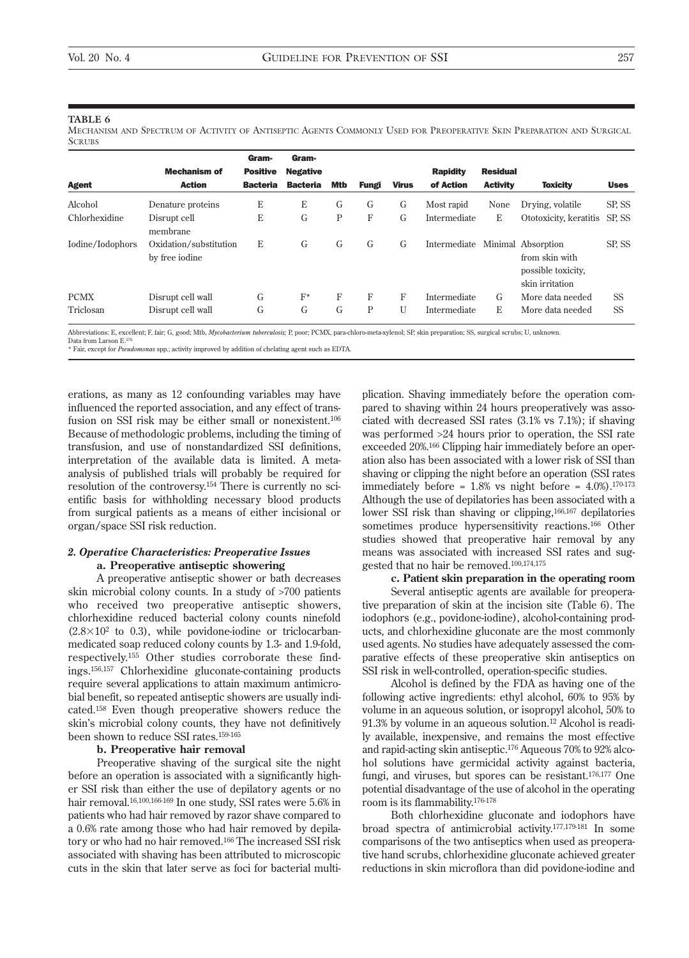MECHANISM AND SPECTRUM OF ACTIVITY OF ANTISEPTIC AGENTS COMMONLY USED FOR PREOPERATIVE SKIN PREPARATION AND SURGICAL **SCRUBS** 

| <b>Agent</b>     | <b>Mechanism of</b><br><b>Action</b>     | Gram-<br><b>Positive</b><br><b>Bacteria</b> | Gram-<br><b>Negative</b><br><b>Bacteria</b> | <b>Mtb</b> | <b>Fungi</b> | <b>Virus</b> | <b>Rapidity</b><br>of Action | <b>Residual</b><br><b>Activity</b> | <b>Toxicity</b>                                                               | <b>Uses</b> |
|------------------|------------------------------------------|---------------------------------------------|---------------------------------------------|------------|--------------|--------------|------------------------------|------------------------------------|-------------------------------------------------------------------------------|-------------|
| Alcohol          | Denature proteins                        | E                                           | E                                           | G          | G            | G            | Most rapid                   | None                               | Drying, volatile                                                              | SP, SS      |
| Chlorhexidine    | Disrupt cell<br>membrane                 | E                                           | G                                           | P          | F            | G            | Intermediate                 | E                                  | Ototoxicity, keratitis                                                        | SP. SS      |
| Iodine/Iodophors | Oxidation/substitution<br>by free jodine | E                                           | G                                           | G          | G            | G            | Intermediate                 |                                    | Minimal Absorption<br>from skin with<br>possible toxicity.<br>skin irritation | SP, SS      |
| <b>PCMX</b>      | Disrupt cell wall                        | G                                           | $F^*$                                       | F          | F            | F            | Intermediate                 | G                                  | More data needed                                                              | SS          |
| Triclosan        | Disrupt cell wall                        | G                                           | G                                           | G          | P            | U            | Intermediate                 | E                                  | More data needed                                                              | <b>SS</b>   |

Abbreviations: E, excellent; F, fair; G, good; Mtb, *Mycobacterium tuberculosis;* P, poor; PCMX, para-chloro-meta-xylenol; SP, skin preparation; SS, surgical scrubs; U, unknown.

Data from Larson E.176

\* Fair, except for *Pseudomonas* spp.; activity improved by addition of chelating agent such as EDTA.

erations, as many as 12 confounding variables may have influenced the reported association, and any effect of transfusion on SSI risk may be either small or nonexistent.106 Because of methodologic problems, including the timing of transfusion, and use of nonstandardized SSI definitions, interpretation of the available data is limited. A metaanalysis of published trials will probably be required for resolution of the controversy.154 There is currently no scientific basis for withholding necessary blood products from surgical patients as a means of either incisional or organ/space SSI risk reduction.

## *2. Operative Characteristics: Preoperative Issues*  **a. Preoperative antiseptic showering**

A preoperative antiseptic shower or bath decreases skin microbial colony counts. In a study of >700 patients who received two preoperative antiseptic showers, chlorhexidine reduced bacterial colony counts ninefold  $(2.8\times10^2$  to 0.3), while povidone-iodine or triclocarbanmedicated soap reduced colony counts by 1.3- and 1.9-fold, respectively.155 Other studies corroborate these findings.156,157 Chlorhexidine gluconate-containing products require several applications to attain maximum antimicrobial benefit, so repeated antiseptic showers are usually indicated.158 Even though preoperative showers reduce the skin's microbial colony counts, they have not definitively been shown to reduce SSI rates.159-165

#### **b. Preoperative hair removal**

Preoperative shaving of the surgical site the night before an operation is associated with a significantly higher SSI risk than either the use of depilatory agents or no hair removal.16,100,166-169 In one study, SSI rates were 5.6% in patients who had hair removed by razor shave compared to a 0.6% rate among those who had hair removed by depilatory or who had no hair removed.166 The increased SSI risk associated with shaving has been attributed to microscopic cuts in the skin that later serve as foci for bacterial multi-

plication. Shaving immediately before the operation compared to shaving within 24 hours preoperatively was associated with decreased SSI rates (3.1% vs 7.1%); if shaving was performed >24 hours prior to operation, the SSI rate exceeded 20%.166 Clipping hair immediately before an operation also has been associated with a lower risk of SSI than shaving or clipping the night before an operation (SSI rates immediately before =  $1.8\%$  vs night before =  $4.0\%$ ).<sup>170-173</sup> Although the use of depilatories has been associated with a lower SSI risk than shaving or clipping,<sup>166,167</sup> depilatories sometimes produce hypersensitivity reactions.<sup>166</sup> Other studies showed that preoperative hair removal by any means was associated with increased SSI rates and suggested that no hair be removed.100,174,175

## **c. Patient skin preparation in the operating room**

Several antiseptic agents are available for preoperative preparation of skin at the incision site (Table 6). The iodophors (e.g., povidone-iodine), alcohol-containing products, and chlorhexidine gluconate are the most commonly used agents. No studies have adequately assessed the comparative effects of these preoperative skin antiseptics on SSI risk in well-controlled, operation-specific studies.

Alcohol is defined by the FDA as having one of the following active ingredients: ethyl alcohol, 60% to 95% by volume in an aqueous solution, or isopropyl alcohol, 50% to 91.3% by volume in an aqueous solution.12 Alcohol is readily available, inexpensive, and remains the most effective and rapid-acting skin antiseptic.176 Aqueous 70% to 92% alcohol solutions have germicidal activity against bacteria, fungi, and viruses, but spores can be resistant.176,177 One potential disadvantage of the use of alcohol in the operating room is its flammability.176-178

Both chlorhexidine gluconate and iodophors have broad spectra of antimicrobial activity.177,179-181 In some comparisons of the two antiseptics when used as preoperative hand scrubs, chlorhexidine gluconate achieved greater reductions in skin microflora than did povidone-iodine and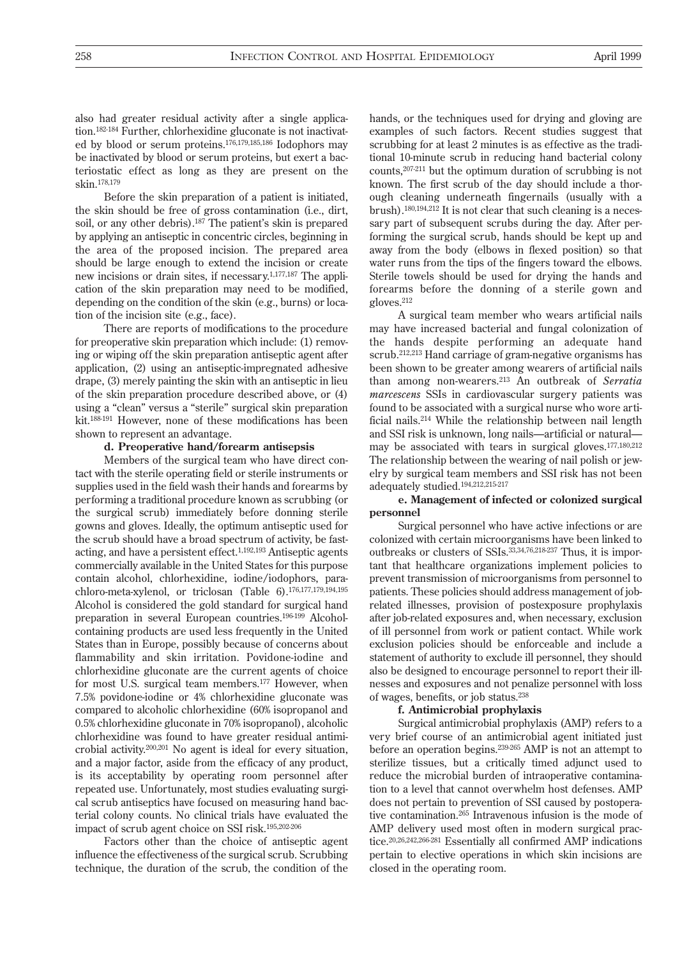also had greater residual activity after a single application.182-184 Further, chlorhexidine gluconate is not inactivated by blood or serum proteins.176,179,185,186 Iodophors may be inactivated by blood or serum proteins, but exert a bacteriostatic effect as long as they are present on the skin.178,179

Before the skin preparation of a patient is initiated, the skin should be free of gross contamination (i.e., dirt, soil, or any other debris).187 The patient's skin is prepared by applying an antiseptic in concentric circles, beginning in the area of the proposed incision. The prepared area should be large enough to extend the incision or create new incisions or drain sites, if necessary.1,177,187 The application of the skin preparation may need to be modified, depending on the condition of the skin (e.g., burns) or location of the incision site (e.g., face).

There are reports of modifications to the procedure for preoperative skin preparation which include: (1) removing or wiping off the skin preparation antiseptic agent after application, (2) using an antiseptic-impregnated adhesive drape, (3) merely painting the skin with an antiseptic in lieu of the skin preparation procedure described above, or (4) using a "clean" versus a "sterile" surgical skin preparation kit.188-191 However, none of these modifications has been shown to represent an advantage.

#### **d. Preoperative hand/forearm antisepsis**

Members of the surgical team who have direct contact with the sterile operating field or sterile instruments or supplies used in the field wash their hands and forearms by performing a traditional procedure known as scrubbing (or the surgical scrub) immediately before donning sterile gowns and gloves. Ideally, the optimum antiseptic used for the scrub should have a broad spectrum of activity, be fastacting, and have a persistent effect.1,192,193 Antiseptic agents commercially available in the United States for this purpose contain alcohol, chlorhexidine, iodine/iodophors, parachloro-meta-xylenol, or triclosan (Table 6).176,177,179,194,195 Alcohol is considered the gold standard for surgical hand preparation in several European countries.196-199 Alcoholcontaining products are used less frequently in the United States than in Europe, possibly because of concerns about flammability and skin irritation. Povidone-iodine and chlorhexidine gluconate are the current agents of choice for most U.S. surgical team members.<sup>177</sup> However, when 7.5% povidone-iodine or 4% chlorhexidine gluconate was compared to alcoholic chlorhexidine (60% isopropanol and 0.5% chlorhexidine gluconate in 70% isopropanol), alcoholic chlorhexidine was found to have greater residual antimicrobial activity.200,201 No agent is ideal for every situation, and a major factor, aside from the efficacy of any product, is its acceptability by operating room personnel after repeated use. Unfortunately, most studies evaluating surgical scrub antiseptics have focused on measuring hand bacterial colony counts. No clinical trials have evaluated the impact of scrub agent choice on SSI risk.195,202-206

Factors other than the choice of antiseptic agent influence the effectiveness of the surgical scrub. Scrubbing technique, the duration of the scrub, the condition of the hands, or the techniques used for drying and gloving are examples of such factors. Recent studies suggest that scrubbing for at least 2 minutes is as effective as the traditional 10-minute scrub in reducing hand bacterial colony counts,207-211 but the optimum duration of scrubbing is not known. The first scrub of the day should include a thorough cleaning underneath fingernails (usually with a brush).180,194,212 It is not clear that such cleaning is a necessary part of subsequent scrubs during the day. After performing the surgical scrub, hands should be kept up and away from the body (elbows in flexed position) so that water runs from the tips of the fingers toward the elbows. Sterile towels should be used for drying the hands and forearms before the donning of a sterile gown and gloves.212

A surgical team member who wears artificial nails may have increased bacterial and fungal colonization of the hands despite performing an adequate hand scrub.<sup>212,213</sup> Hand carriage of gram-negative organisms has been shown to be greater among wearers of artificial nails than among non-wearers.213 An outbreak of *Serratia marcescens* SSIs in cardiovascular surgery patients was found to be associated with a surgical nurse who wore artificial nails.214 While the relationship between nail length and SSI risk is unknown, long nails—artificial or natural may be associated with tears in surgical gloves.177,180,212 The relationship between the wearing of nail polish or jewelry by surgical team members and SSI risk has not been adequately studied.194,212,215-217

## **e. Management of infected or colonized surgical personnel**

Surgical personnel who have active infections or are colonized with certain microorganisms have been linked to outbreaks or clusters of SSIs.33,34,76,218-237 Thus, it is important that healthcare organizations implement policies to prevent transmission of microorganisms from personnel to patients. These policies should address management of jobrelated illnesses, provision of postexposure prophylaxis after job-related exposures and, when necessary, exclusion of ill personnel from work or patient contact. While work exclusion policies should be enforceable and include a statement of authority to exclude ill personnel, they should also be designed to encourage personnel to report their illnesses and exposures and not penalize personnel with loss of wages, benefits, or job status.238

#### **f. Antimicrobial prophylaxis**

Surgical antimicrobial prophylaxis (AMP) refers to a very brief course of an antimicrobial agent initiated just before an operation begins.239-265 AMP is not an attempt to sterilize tissues, but a critically timed adjunct used to reduce the microbial burden of intraoperative contamination to a level that cannot overwhelm host defenses. AMP does not pertain to prevention of SSI caused by postoperative contamination.265 Intravenous infusion is the mode of AMP delivery used most often in modern surgical practice.20,26,242,266-281 Essentially all confirmed AMP indications pertain to elective operations in which skin incisions are closed in the operating room.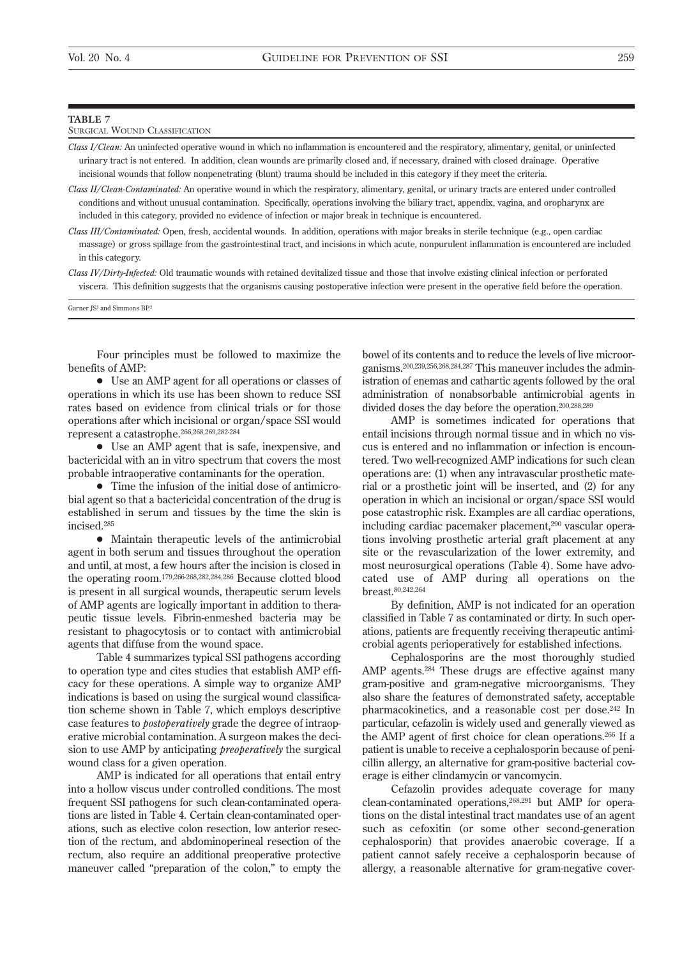#### SURGICAL WOUND CLASSIFICATION

*Class I/Clean:* An uninfected operative wound in which no inflammation is encountered and the respiratory, alimentary, genital, or uninfected urinary tract is not entered. In addition, clean wounds are primarily closed and, if necessary, drained with closed drainage. Operative incisional wounds that follow nonpenetrating (blunt) trauma should be included in this category if they meet the criteria.

*Class II/Clean-Contaminated:* An operative wound in which the respiratory, alimentary, genital, or urinary tracts are entered under controlled conditions and without unusual contamination. Specifically, operations involving the biliary tract, appendix, vagina, and oropharynx are included in this category, provided no evidence of infection or major break in technique is encountered.

*Class III/Contaminated:* Open, fresh, accidental wounds. In addition, operations with major breaks in sterile technique (e.g., open cardiac massage) or gross spillage from the gastrointestinal tract, and incisions in which acute, nonpurulent inflammation is encountered are included in this category.

*Class IV/Dirty-Infected:* Old traumatic wounds with retained devitalized tissue and those that involve existing clinical infection or perforated viscera. This definition suggests that the organisms causing postoperative infection were present in the operative field before the operation.

Garner JS1 and Simmons BP.2

Four principles must be followed to maximize the benefits of AMP:

● Use an AMP agent for all operations or classes of operations in which its use has been shown to reduce SSI rates based on evidence from clinical trials or for those operations after which incisional or organ/space SSI would represent a catastrophe.266,268,269,282-284

● Use an AMP agent that is safe, inexpensive, and bactericidal with an in vitro spectrum that covers the most probable intraoperative contaminants for the operation.

● Time the infusion of the initial dose of antimicrobial agent so that a bactericidal concentration of the drug is established in serum and tissues by the time the skin is incised.285

● Maintain therapeutic levels of the antimicrobial agent in both serum and tissues throughout the operation and until, at most, a few hours after the incision is closed in the operating room.179,266-268,282,284,286 Because clotted blood is present in all surgical wounds, therapeutic serum levels of AMP agents are logically important in addition to therapeutic tissue levels. Fibrin-enmeshed bacteria may be resistant to phagocytosis or to contact with antimicrobial agents that diffuse from the wound space.

Table 4 summarizes typical SSI pathogens according to operation type and cites studies that establish AMP efficacy for these operations. A simple way to organize AMP indications is based on using the surgical wound classification scheme shown in Table 7, which employs descriptive case features to *postoperatively* grade the degree of intraoperative microbial contamination. A surgeon makes the decision to use AMP by anticipating *preoperatively* the surgical wound class for a given operation.

AMP is indicated for all operations that entail entry into a hollow viscus under controlled conditions. The most frequent SSI pathogens for such clean-contaminated operations are listed in Table 4. Certain clean-contaminated operations, such as elective colon resection, low anterior resection of the rectum, and abdominoperineal resection of the rectum, also require an additional preoperative protective maneuver called "preparation of the colon," to empty the bowel of its contents and to reduce the levels of live microorganisms.200,239,256,268,284,287 This maneuver includes the administration of enemas and cathartic agents followed by the oral administration of nonabsorbable antimicrobial agents in divided doses the day before the operation.200,288,289

AMP is sometimes indicated for operations that entail incisions through normal tissue and in which no viscus is entered and no inflammation or infection is encountered. Two well-recognized AMP indications for such clean operations are: (1) when any intravascular prosthetic material or a prosthetic joint will be inserted, and (2) for any operation in which an incisional or organ/space SSI would pose catastrophic risk. Examples are all cardiac operations, including cardiac pacemaker placement,<sup>290</sup> vascular operations involving prosthetic arterial graft placement at any site or the revascularization of the lower extremity, and most neurosurgical operations (Table 4). Some have advocated use of AMP during all operations on the breast.80,242,264

By definition, AMP is not indicated for an operation classified in Table 7 as contaminated or dirty. In such operations, patients are frequently receiving therapeutic antimicrobial agents perioperatively for established infections.

Cephalosporins are the most thoroughly studied AMP agents.<sup>284</sup> These drugs are effective against many gram-positive and gram-negative microorganisms. They also share the features of demonstrated safety, acceptable pharmacokinetics, and a reasonable cost per dose.242 In particular, cefazolin is widely used and generally viewed as the AMP agent of first choice for clean operations.266 If a patient is unable to receive a cephalosporin because of penicillin allergy, an alternative for gram-positive bacterial coverage is either clindamycin or vancomycin.

Cefazolin provides adequate coverage for many clean-contaminated operations,268,291 but AMP for operations on the distal intestinal tract mandates use of an agent such as cefoxitin (or some other second-generation cephalosporin) that provides anaerobic coverage. If a patient cannot safely receive a cephalosporin because of allergy, a reasonable alternative for gram-negative cover-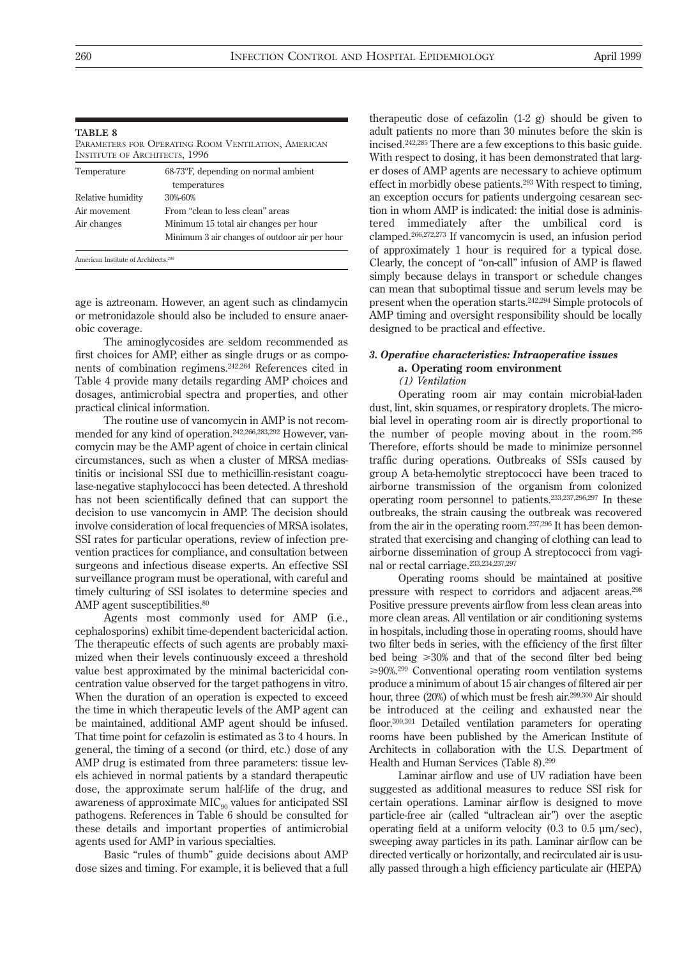| <b>TABLE 8</b><br><b>INSTITUTE OF ARCHITECTS, 1996</b> | PARAMETERS FOR OPERATING ROOM VENTILATION, AMERICAN |
|--------------------------------------------------------|-----------------------------------------------------|
| Temperature                                            | 68-73°F, depending on normal ambient                |
|                                                        | temperatures                                        |
| Relative humidity                                      | 30%60%                                              |
| Air movement                                           | From "clean to less clean" areas                    |
| Air changes                                            | Minimum 15 total air changes per hour               |
|                                                        | Minimum 3 air changes of outdoor air per hour       |
| American Institute of Architects. <sup>299</sup>       |                                                     |

age is aztreonam. However, an agent such as clindamycin or metronidazole should also be included to ensure anaerobic coverage.

The aminoglycosides are seldom recommended as first choices for AMP, either as single drugs or as components of combination regimens.242,264 References cited in Table 4 provide many details regarding AMP choices and dosages, antimicrobial spectra and properties, and other practical clinical information.

The routine use of vancomycin in AMP is not recommended for any kind of operation.242,266,283,292 However, vancomycin may be the AMP agent of choice in certain clinical circumstances, such as when a cluster of MRSA mediastinitis or incisional SSI due to methicillin-resistant coagulase-negative staphylococci has been detected. A threshold has not been scientifically defined that can support the decision to use vancomycin in AMP. The decision should involve consideration of local frequencies of MRSA isolates, SSI rates for particular operations, review of infection prevention practices for compliance, and consultation between surgeons and infectious disease experts. An effective SSI surveillance program must be operational, with careful and timely culturing of SSI isolates to determine species and AMP agent susceptibilities.<sup>80</sup>

Agents most commonly used for AMP (i.e., cephalosporins) exhibit time-dependent bactericidal action. The therapeutic effects of such agents are probably maximized when their levels continuously exceed a threshold value best approximated by the minimal bactericidal concentration value observed for the target pathogens in vitro. When the duration of an operation is expected to exceed the time in which therapeutic levels of the AMP agent can be maintained, additional AMP agent should be infused. That time point for cefazolin is estimated as 3 to 4 hours. In general, the timing of a second (or third, etc.) dose of any AMP drug is estimated from three parameters: tissue levels achieved in normal patients by a standard therapeutic dose, the approximate serum half-life of the drug, and awareness of approximate  $MIC<sub>90</sub>$  values for anticipated SSI pathogens. References in Table 6 should be consulted for these details and important properties of antimicrobial agents used for AMP in various specialties.

Basic "rules of thumb" guide decisions about AMP dose sizes and timing. For example, it is believed that a full therapeutic dose of cefazolin (1-2 g) should be given to adult patients no more than 30 minutes before the skin is incised.242,285 There are a few exceptions to this basic guide. With respect to dosing, it has been demonstrated that larger doses of AMP agents are necessary to achieve optimum effect in morbidly obese patients.293 With respect to timing, an exception occurs for patients undergoing cesarean section in whom AMP is indicated: the initial dose is administered immediately after the umbilical cord is clamped.266,272,273 If vancomycin is used, an infusion period of approximately 1 hour is required for a typical dose. Clearly, the concept of "on-call" infusion of AMP is flawed simply because delays in transport or schedule changes can mean that suboptimal tissue and serum levels may be present when the operation starts.242,294 Simple protocols of AMP timing and oversight responsibility should be locally designed to be practical and effective.

## *3. Operative characteristics: Intraoperative issues*  **a. Operating room environment**

## *(1) Ventilation*

Operating room air may contain microbial-laden dust, lint, skin squames, or respiratory droplets. The microbial level in operating room air is directly proportional to the number of people moving about in the room.295 Therefore, efforts should be made to minimize personnel traffic during operations. Outbreaks of SSIs caused by group A beta-hemolytic streptococci have been traced to airborne transmission of the organism from colonized operating room personnel to patients.233,237,296,297 In these outbreaks, the strain causing the outbreak was recovered from the air in the operating room.237,296 It has been demonstrated that exercising and changing of clothing can lead to airborne dissemination of group A streptococci from vaginal or rectal carriage.233,234,237,297

Operating rooms should be maintained at positive pressure with respect to corridors and adjacent areas.298 Positive pressure prevents airflow from less clean areas into more clean areas. All ventilation or air conditioning systems in hospitals, including those in operating rooms, should have two filter beds in series, with the efficiency of the first filter bed being  $\geq 30\%$  and that of the second filter bed being  $\geq 90\%$ <sup>299</sup> Conventional operating room ventilation systems produce a minimum of about 15 air changes of filtered air per hour, three (20%) of which must be fresh air.299,300 Air should be introduced at the ceiling and exhausted near the floor.300,301 Detailed ventilation parameters for operating rooms have been published by the American Institute of Architects in collaboration with the U.S. Department of Health and Human Services (Table 8).299

Laminar airflow and use of UV radiation have been suggested as additional measures to reduce SSI risk for certain operations. Laminar airflow is designed to move particle-free air (called "ultraclean air") over the aseptic operating field at a uniform velocity (0.3 to 0.5 µm/sec), sweeping away particles in its path. Laminar airflow can be directed vertically or horizontally, and recirculated air is usually passed through a high efficiency particulate air (HEPA)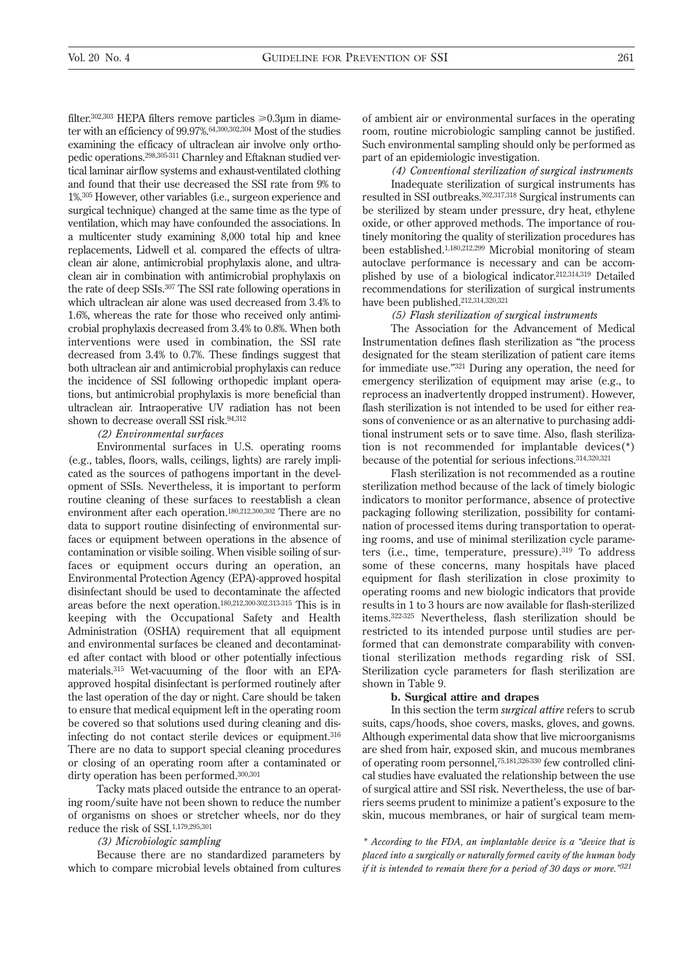filter.<sup>302,303</sup> HEPA filters remove particles  $\geq 0.3$ µm in diameter with an efficiency of 99.97%.64,300,302,304 Most of the studies examining the efficacy of ultraclean air involve only orthopedic operations.298,305-311 Charnley and Eftaknan studied vertical laminar airflow systems and exhaust-ventilated clothing and found that their use decreased the SSI rate from 9% to 1%.305 However, other variables (i.e., surgeon experience and surgical technique) changed at the same time as the type of ventilation, which may have confounded the associations. In a multicenter study examining 8,000 total hip and knee replacements, Lidwell et al. compared the effects of ultraclean air alone, antimicrobial prophylaxis alone, and ultraclean air in combination with antimicrobial prophylaxis on the rate of deep SSIs.307 The SSI rate following operations in which ultraclean air alone was used decreased from 3.4% to 1.6%, whereas the rate for those who received only antimicrobial prophylaxis decreased from 3.4% to 0.8%. When both interventions were used in combination, the SSI rate decreased from 3.4% to 0.7%. These findings suggest that both ultraclean air and antimicrobial prophylaxis can reduce the incidence of SSI following orthopedic implant operations, but antimicrobial prophylaxis is more beneficial than ultraclean air. Intraoperative UV radiation has not been shown to decrease overall SSI risk.94,312

## *(2) Environmental surfaces*

Environmental surfaces in U.S. operating rooms (e.g., tables, floors, walls, ceilings, lights) are rarely implicated as the sources of pathogens important in the development of SSIs. Nevertheless, it is important to perform routine cleaning of these surfaces to reestablish a clean environment after each operation.180,212,300,302 There are no data to support routine disinfecting of environmental surfaces or equipment between operations in the absence of contamination or visible soiling. When visible soiling of surfaces or equipment occurs during an operation, an Environmental Protection Agency (EPA)-approved hospital disinfectant should be used to decontaminate the affected areas before the next operation.180,212,300-302,313-315 This is in keeping with the Occupational Safety and Health Administration (OSHA) requirement that all equipment and environmental surfaces be cleaned and decontaminated after contact with blood or other potentially infectious materials.315 Wet-vacuuming of the floor with an EPAapproved hospital disinfectant is performed routinely after the last operation of the day or night. Care should be taken to ensure that medical equipment left in the operating room be covered so that solutions used during cleaning and disinfecting do not contact sterile devices or equipment.316 There are no data to support special cleaning procedures or closing of an operating room after a contaminated or dirty operation has been performed.300,301

Tacky mats placed outside the entrance to an operating room/suite have not been shown to reduce the number of organisms on shoes or stretcher wheels, nor do they reduce the risk of SSI.1,179,295,301

#### *(3) Microbiologic sampling*

Because there are no standardized parameters by which to compare microbial levels obtained from cultures

of ambient air or environmental surfaces in the operating room, routine microbiologic sampling cannot be justified. Such environmental sampling should only be performed as part of an epidemiologic investigation.

*(4) Conventional sterilization of surgical instruments*  Inadequate sterilization of surgical instruments has resulted in SSI outbreaks.302,317,318 Surgical instruments can be sterilized by steam under pressure, dry heat, ethylene oxide, or other approved methods. The importance of routinely monitoring the quality of sterilization procedures has been established.1,180,212,299 Microbial monitoring of steam autoclave performance is necessary and can be accomplished by use of a biological indicator.212,314,319 Detailed recommendations for sterilization of surgical instruments have been published.212,314,320,321

#### *(5) Flash sterilization of surgical instruments*

The Association for the Advancement of Medical Instrumentation defines flash sterilization as "the process designated for the steam sterilization of patient care items for immediate use."321 During any operation, the need for emergency sterilization of equipment may arise (e.g., to reprocess an inadvertently dropped instrument). However, flash sterilization is not intended to be used for either reasons of convenience or as an alternative to purchasing additional instrument sets or to save time. Also, flash sterilization is not recommended for implantable devices(\*) because of the potential for serious infections.314,320,321

Flash sterilization is not recommended as a routine sterilization method because of the lack of timely biologic indicators to monitor performance, absence of protective packaging following sterilization, possibility for contamination of processed items during transportation to operating rooms, and use of minimal sterilization cycle parameters (i.e., time, temperature, pressure).319 To address some of these concerns, many hospitals have placed equipment for flash sterilization in close proximity to operating rooms and new biologic indicators that provide results in 1 to 3 hours are now available for flash-sterilized items.322-325 Nevertheless, flash sterilization should be restricted to its intended purpose until studies are performed that can demonstrate comparability with conventional sterilization methods regarding risk of SSI. Sterilization cycle parameters for flash sterilization are shown in Table 9.

## **b. Surgical attire and drapes**

In this section the term *surgical attire* refers to scrub suits, caps/hoods, shoe covers, masks, gloves, and gowns. Although experimental data show that live microorganisms are shed from hair, exposed skin, and mucous membranes of operating room personnel,75,181,326-330 few controlled clinical studies have evaluated the relationship between the use of surgical attire and SSI risk. Nevertheless, the use of barriers seems prudent to minimize a patient's exposure to the skin, mucous membranes, or hair of surgical team mem-

*\* According to the FDA, an implantable device is a "device that is placed into a surgically or naturally formed cavity of the human body if it is intended to remain there for a period of 30 days or more."321*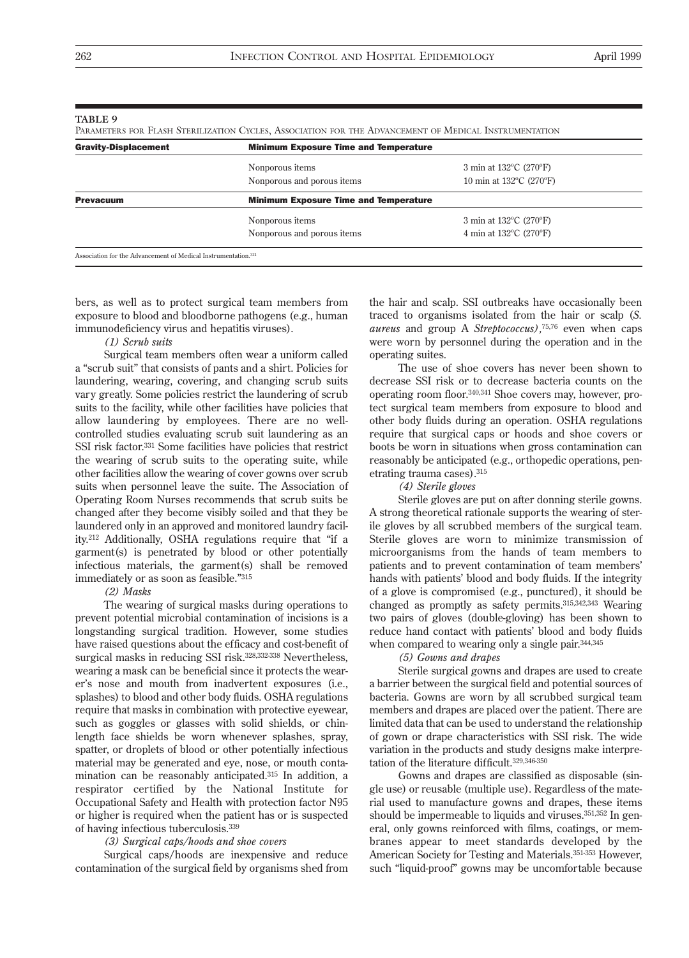| <b>Gravity-Displacement</b> | <b>Minimum Exposure Time and Temperature</b> |                           |  |  |  |
|-----------------------------|----------------------------------------------|---------------------------|--|--|--|
|                             | Nonporous <i>items</i>                       | 3 min at 132 °C (270 °F)  |  |  |  |
|                             | Nonporous and porous items                   | 10 min at 132 °C (270 °F) |  |  |  |
| <b>Prevacuum</b>            | <b>Minimum Exposure Time and Temperature</b> |                           |  |  |  |
|                             | Nonporous <i>items</i>                       | 3 min at 132 °C (270 °F)  |  |  |  |
|                             | Nonporous and porous items                   | 4 min at 132 °C (270 °F)  |  |  |  |
|                             |                                              |                           |  |  |  |

PARAMETERS FOR FLASH STERILIZATION CYCLES, ASSOCIATION FOR THE ADVANCEMENT OF MEDICAL INSTRUMENTATION

bers, as well as to protect surgical team members from exposure to blood and bloodborne pathogens (e.g., human immunodeficiency virus and hepatitis viruses).

## *(1) Scrub suits*

Surgical team members often wear a uniform called a "scrub suit" that consists of pants and a shirt. Policies for laundering, wearing, covering, and changing scrub suits vary greatly. Some policies restrict the laundering of scrub suits to the facility, while other facilities have policies that allow laundering by employees. There are no wellcontrolled studies evaluating scrub suit laundering as an SSI risk factor.331 Some facilities have policies that restrict the wearing of scrub suits to the operating suite, while other facilities allow the wearing of cover gowns over scrub suits when personnel leave the suite. The Association of Operating Room Nurses recommends that scrub suits be changed after they become visibly soiled and that they be laundered only in an approved and monitored laundry facility.212 Additionally, OSHA regulations require that "if a garment(s) is penetrated by blood or other potentially infectious materials, the garment(s) shall be removed immediately or as soon as feasible."315

#### *(2) Masks*

The wearing of surgical masks during operations to prevent potential microbial contamination of incisions is a longstanding surgical tradition. However, some studies have raised questions about the efficacy and cost-benefit of surgical masks in reducing SSI risk.<sup>328,332-338</sup> Nevertheless, wearing a mask can be beneficial since it protects the wearer's nose and mouth from inadvertent exposures (i.e., splashes) to blood and other body fluids. OSHA regulations require that masks in combination with protective eyewear, such as goggles or glasses with solid shields, or chinlength face shields be worn whenever splashes, spray, spatter, or droplets of blood or other potentially infectious material may be generated and eye, nose, or mouth contamination can be reasonably anticipated.315 In addition, a respirator certified by the National Institute for Occupational Safety and Health with protection factor N95 or higher is required when the patient has or is suspected of having infectious tuberculosis.339

#### *(3) Surgical caps/hoods and shoe covers*

Surgical caps/hoods are inexpensive and reduce contamination of the surgical field by organisms shed from the hair and scalp. SSI outbreaks have occasionally been traced to organisms isolated from the hair or scalp (*S. aureus* and group A *Streptococcus),*75,76 even when caps were worn by personnel during the operation and in the operating suites.

The use of shoe covers has never been shown to decrease SSI risk or to decrease bacteria counts on the operating room floor.340,341 Shoe covers may, however, protect surgical team members from exposure to blood and other body fluids during an operation. OSHA regulations require that surgical caps or hoods and shoe covers or boots be worn in situations when gross contamination can reasonably be anticipated (e.g., orthopedic operations, penetrating trauma cases).315

#### *(4) Sterile gloves*

Sterile gloves are put on after donning sterile gowns. A strong theoretical rationale supports the wearing of sterile gloves by all scrubbed members of the surgical team. Sterile gloves are worn to minimize transmission of microorganisms from the hands of team members to patients and to prevent contamination of team members' hands with patients' blood and body fluids. If the integrity of a glove is compromised (e.g., punctured), it should be changed as promptly as safety permits.315,342,343 Wearing two pairs of gloves (double-gloving) has been shown to reduce hand contact with patients' blood and body fluids when compared to wearing only a single pair.<sup>344,345</sup>

#### *(5) Gowns and drapes*

Sterile surgical gowns and drapes are used to create a barrier between the surgical field and potential sources of bacteria. Gowns are worn by all scrubbed surgical team members and drapes are placed over the patient. There are limited data that can be used to understand the relationship of gown or drape characteristics with SSI risk. The wide variation in the products and study designs make interpretation of the literature difficult.329,346-350

Gowns and drapes are classified as disposable (single use) or reusable (multiple use). Regardless of the material used to manufacture gowns and drapes, these items should be impermeable to liquids and viruses.351,352 In general, only gowns reinforced with films, coatings, or membranes appear to meet standards developed by the American Society for Testing and Materials.351-353 However, such "liquid-proof" gowns may be uncomfortable because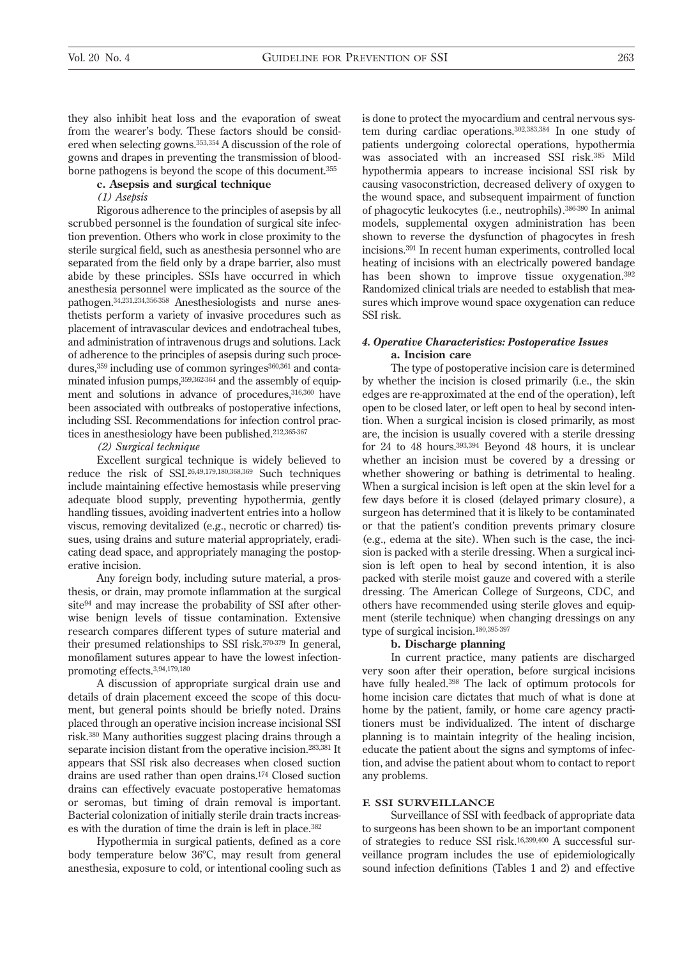they also inhibit heat loss and the evaporation of sweat from the wearer's body. These factors should be considered when selecting gowns.353,354 A discussion of the role of gowns and drapes in preventing the transmission of bloodborne pathogens is beyond the scope of this document.355

#### **c. Asepsis and surgical technique**

*(1) Asepsis* 

Rigorous adherence to the principles of asepsis by all scrubbed personnel is the foundation of surgical site infection prevention. Others who work in close proximity to the sterile surgical field, such as anesthesia personnel who are separated from the field only by a drape barrier, also must abide by these principles. SSIs have occurred in which anesthesia personnel were implicated as the source of the pathogen.34,231,234,356-358 Anesthesiologists and nurse anesthetists perform a variety of invasive procedures such as placement of intravascular devices and endotracheal tubes, and administration of intravenous drugs and solutions. Lack of adherence to the principles of asepsis during such procedures,<sup>359</sup> including use of common syringes<sup>360,361</sup> and contaminated infusion pumps,359,362-364 and the assembly of equipment and solutions in advance of procedures, 316,360 have been associated with outbreaks of postoperative infections, including SSI. Recommendations for infection control practices in anesthesiology have been published.212,365-367

### *(2) Surgical technique*

Excellent surgical technique is widely believed to reduce the risk of SSI.26,49,179,180,368,369 Such techniques include maintaining effective hemostasis while preserving adequate blood supply, preventing hypothermia, gently handling tissues, avoiding inadvertent entries into a hollow viscus, removing devitalized (e.g., necrotic or charred) tissues, using drains and suture material appropriately, eradicating dead space, and appropriately managing the postoperative incision.

Any foreign body, including suture material, a prosthesis, or drain, may promote inflammation at the surgical site<sup>94</sup> and may increase the probability of SSI after otherwise benign levels of tissue contamination. Extensive research compares different types of suture material and their presumed relationships to SSI risk.370-379 In general, monofilament sutures appear to have the lowest infectionpromoting effects.3,94,179,180

A discussion of appropriate surgical drain use and details of drain placement exceed the scope of this document, but general points should be briefly noted. Drains placed through an operative incision increase incisional SSI risk.380 Many authorities suggest placing drains through a separate incision distant from the operative incision.283,381 It appears that SSI risk also decreases when closed suction drains are used rather than open drains.174 Closed suction drains can effectively evacuate postoperative hematomas or seromas, but timing of drain removal is important. Bacterial colonization of initially sterile drain tracts increases with the duration of time the drain is left in place.382

Hypothermia in surgical patients, defined as a core body temperature below 36ºC, may result from general anesthesia, exposure to cold, or intentional cooling such as

is done to protect the myocardium and central nervous system during cardiac operations.302,383,384 In one study of patients undergoing colorectal operations, hypothermia was associated with an increased SSI risk.385 Mild hypothermia appears to increase incisional SSI risk by causing vasoconstriction, decreased delivery of oxygen to the wound space, and subsequent impairment of function of phagocytic leukocytes (i.e., neutrophils).386-390 In animal models, supplemental oxygen administration has been shown to reverse the dysfunction of phagocytes in fresh incisions.391 In recent human experiments, controlled local heating of incisions with an electrically powered bandage has been shown to improve tissue oxygenation.<sup>392</sup> Randomized clinical trials are needed to establish that measures which improve wound space oxygenation can reduce SSI risk.

## *4. Operative Characteristics: Postoperative Issues*  **a. Incision care**

The type of postoperative incision care is determined by whether the incision is closed primarily (i.e., the skin edges are re-approximated at the end of the operation), left open to be closed later, or left open to heal by second intention. When a surgical incision is closed primarily, as most are, the incision is usually covered with a sterile dressing for 24 to 48 hours.393,394 Beyond 48 hours, it is unclear whether an incision must be covered by a dressing or whether showering or bathing is detrimental to healing. When a surgical incision is left open at the skin level for a few days before it is closed (delayed primary closure), a surgeon has determined that it is likely to be contaminated or that the patient's condition prevents primary closure (e.g., edema at the site). When such is the case, the incision is packed with a sterile dressing. When a surgical incision is left open to heal by second intention, it is also packed with sterile moist gauze and covered with a sterile dressing. The American College of Surgeons, CDC, and others have recommended using sterile gloves and equipment (sterile technique) when changing dressings on any type of surgical incision.180,395-397

## **b. Discharge planning**

In current practice, many patients are discharged very soon after their operation, before surgical incisions have fully healed.398 The lack of optimum protocols for home incision care dictates that much of what is done at home by the patient, family, or home care agency practitioners must be individualized. The intent of discharge planning is to maintain integrity of the healing incision, educate the patient about the signs and symptoms of infection, and advise the patient about whom to contact to report any problems.

## **F. SSI SURVEILLANCE**

Surveillance of SSI with feedback of appropriate data to surgeons has been shown to be an important component of strategies to reduce SSI risk.16,399,400 A successful surveillance program includes the use of epidemiologically sound infection definitions (Tables 1 and 2) and effective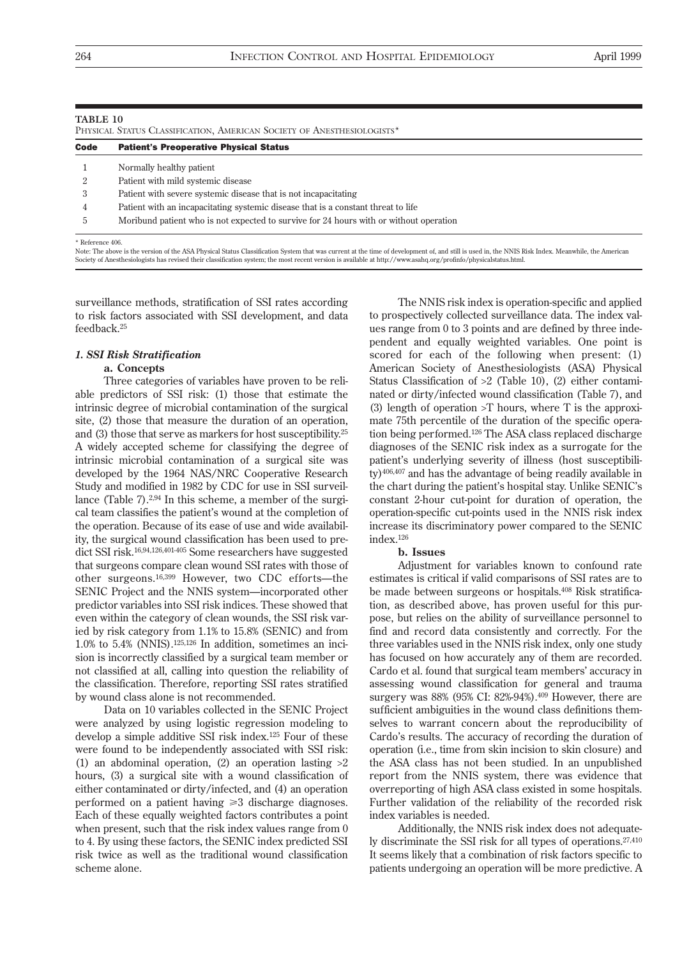|                     | PHYSICAL STATUS CLASSIFICATION, AMERICAN SOCIETY OF ANESTHESIOLOGISTS*                 |  |  |  |
|---------------------|----------------------------------------------------------------------------------------|--|--|--|
| <b>Code</b>         | <b>Patient's Preoperative Physical Status</b>                                          |  |  |  |
|                     | Normally healthy patient                                                               |  |  |  |
|                     | Patient with mild systemic disease                                                     |  |  |  |
| 3                   | Patient with severe systemic disease that is not incapacitating                        |  |  |  |
| 4                   | Patient with an incapacitating systemic disease that is a constant threat to life      |  |  |  |
| <sub>5</sub>        | Moribund patient who is not expected to survive for 24 hours with or without operation |  |  |  |
| $*$ Reference $406$ |                                                                                        |  |  |  |

\* Reference 406. Note: The above is the version of the ASA Physical Status Classification System that was current at the time of development of, and still is used in, the NNIS Risk Index. Meanwhile, the American Society of Anesthesiologists has revised their classification system; the most recent version is available at http://www.asahq.org/profinfo/physicalstatus.html

surveillance methods, stratification of SSI rates according to risk factors associated with SSI development, and data feedback.25

## *1. SSI Risk Stratification*

## **a. Concepts**

Three categories of variables have proven to be reliable predictors of SSI risk: (1) those that estimate the intrinsic degree of microbial contamination of the surgical site, (2) those that measure the duration of an operation, and (3) those that serve as markers for host susceptibility.25 A widely accepted scheme for classifying the degree of intrinsic microbial contamination of a surgical site was developed by the 1964 NAS/NRC Cooperative Research Study and modified in 1982 by CDC for use in SSI surveillance (Table 7).2,94 In this scheme, a member of the surgical team classifies the patient's wound at the completion of the operation. Because of its ease of use and wide availability, the surgical wound classification has been used to predict SSI risk.<sup>16,94,126,401-405</sup> Some researchers have suggested that surgeons compare clean wound SSI rates with those of other surgeons.16,399 However, two CDC efforts—the SENIC Project and the NNIS system—incorporated other predictor variables into SSI risk indices. These showed that even within the category of clean wounds, the SSI risk varied by risk category from 1.1% to 15.8% (SENIC) and from 1.0% to 5.4% (NNIS).125,126 In addition, sometimes an incision is incorrectly classified by a surgical team member or not classified at all, calling into question the reliability of the classification. Therefore, reporting SSI rates stratified by wound class alone is not recommended.

Data on 10 variables collected in the SENIC Project were analyzed by using logistic regression modeling to develop a simple additive SSI risk index.125 Four of these were found to be independently associated with SSI risk: (1) an abdominal operation, (2) an operation lasting >2 hours, (3) a surgical site with a wound classification of either contaminated or dirty/infected, and (4) an operation performed on a patient having  $\geq 3$  discharge diagnoses. Each of these equally weighted factors contributes a point when present, such that the risk index values range from 0 to 4. By using these factors, the SENIC index predicted SSI risk twice as well as the traditional wound classification scheme alone.

The NNIS risk index is operation-specific and applied to prospectively collected surveillance data. The index values range from 0 to 3 points and are defined by three independent and equally weighted variables. One point is scored for each of the following when present: (1) American Society of Anesthesiologists (ASA) Physical Status Classification of >2 (Table 10), (2) either contaminated or dirty/infected wound classification (Table 7), and (3) length of operation  $\geq$ T hours, where T is the approximate 75th percentile of the duration of the specific operation being performed.126 The ASA class replaced discharge diagnoses of the SENIC risk index as a surrogate for the patient's underlying severity of illness (host susceptibility)406,407 and has the advantage of being readily available in the chart during the patient's hospital stay. Unlike SENIC's constant 2-hour cut-point for duration of operation, the operation-specific cut-points used in the NNIS risk index increase its discriminatory power compared to the SENIC index.126

#### **b. Issues**

Adjustment for variables known to confound rate estimates is critical if valid comparisons of SSI rates are to be made between surgeons or hospitals.408 Risk stratification, as described above, has proven useful for this purpose, but relies on the ability of surveillance personnel to find and record data consistently and correctly. For the three variables used in the NNIS risk index, only one study has focused on how accurately any of them are recorded. Cardo et al. found that surgical team members' accuracy in assessing wound classification for general and trauma surgery was 88% (95% CI: 82%-94%).<sup>409</sup> However, there are sufficient ambiguities in the wound class definitions themselves to warrant concern about the reproducibility of Cardo's results. The accuracy of recording the duration of operation (i.e., time from skin incision to skin closure) and the ASA class has not been studied. In an unpublished report from the NNIS system, there was evidence that overreporting of high ASA class existed in some hospitals. Further validation of the reliability of the recorded risk index variables is needed.

Additionally, the NNIS risk index does not adequately discriminate the SSI risk for all types of operations.27,410 It seems likely that a combination of risk factors specific to patients undergoing an operation will be more predictive. A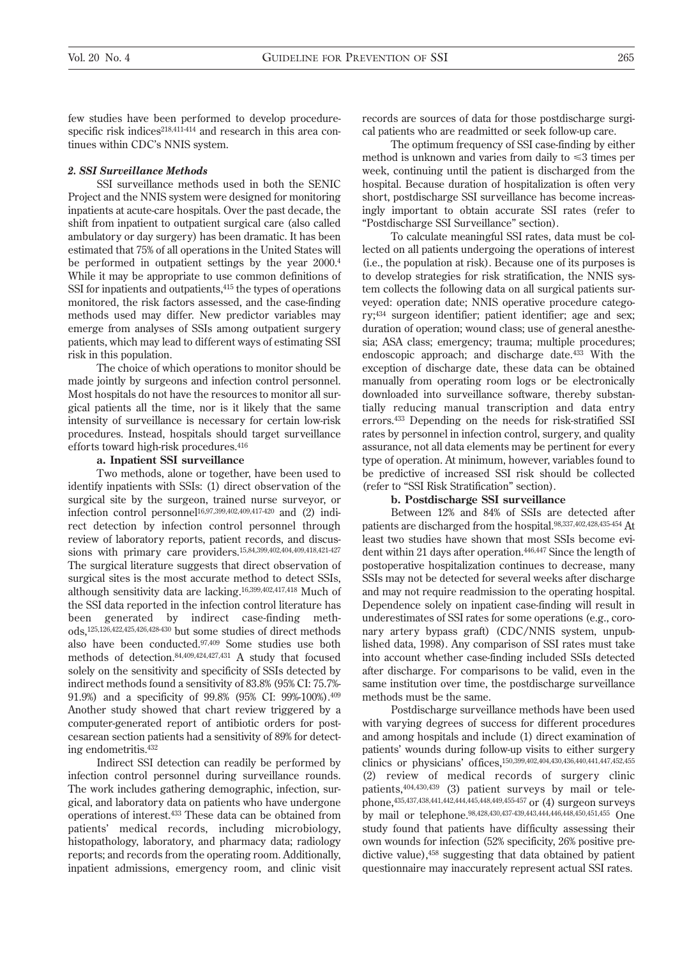few studies have been performed to develop procedurespecific risk indices<sup>218,411-414</sup> and research in this area continues within CDC's NNIS system.

#### *2. SSI Surveillance Methods*

SSI surveillance methods used in both the SENIC Project and the NNIS system were designed for monitoring inpatients at acute-care hospitals. Over the past decade, the shift from inpatient to outpatient surgical care (also called ambulatory or day surgery) has been dramatic. It has been estimated that 75% of all operations in the United States will be performed in outpatient settings by the year 2000.4 While it may be appropriate to use common definitions of SSI for inpatients and outpatients,<sup>415</sup> the types of operations monitored, the risk factors assessed, and the case-finding methods used may differ. New predictor variables may emerge from analyses of SSIs among outpatient surgery patients, which may lead to different ways of estimating SSI risk in this population.

The choice of which operations to monitor should be made jointly by surgeons and infection control personnel. Most hospitals do not have the resources to monitor all surgical patients all the time, nor is it likely that the same intensity of surveillance is necessary for certain low-risk procedures. Instead, hospitals should target surveillance efforts toward high-risk procedures.416

### **a. Inpatient SSI surveillance**

Two methods, alone or together, have been used to identify inpatients with SSIs: (1) direct observation of the surgical site by the surgeon, trained nurse surveyor, or infection control personnel16,97,399,402,409,417-420 and (2) indirect detection by infection control personnel through review of laboratory reports, patient records, and discussions with primary care providers.15,84,399,402,404,409,418,421-427 The surgical literature suggests that direct observation of surgical sites is the most accurate method to detect SSIs, although sensitivity data are lacking.16,399,402,417,418 Much of the SSI data reported in the infection control literature has been generated by indirect case-finding methods,125,126,422,425,426,428-430 but some studies of direct methods also have been conducted.97,409 Some studies use both methods of detection.84,409,424,427,431 A study that focused solely on the sensitivity and specificity of SSIs detected by indirect methods found a sensitivity of 83.8% (95% CI: 75.7%- 91.9%) and a specificity of 99.8% (95% CI: 99%-100%).409 Another study showed that chart review triggered by a computer-generated report of antibiotic orders for postcesarean section patients had a sensitivity of 89% for detecting endometritis.432

Indirect SSI detection can readily be performed by infection control personnel during surveillance rounds. The work includes gathering demographic, infection, surgical, and laboratory data on patients who have undergone operations of interest.433 These data can be obtained from patients' medical records, including microbiology, histopathology, laboratory, and pharmacy data; radiology reports; and records from the operating room. Additionally, inpatient admissions, emergency room, and clinic visit records are sources of data for those postdischarge surgical patients who are readmitted or seek follow-up care.

The optimum frequency of SSI case-finding by either method is unknown and varies from daily to  $\leq 3$  times per week, continuing until the patient is discharged from the hospital. Because duration of hospitalization is often very short, postdischarge SSI surveillance has become increasingly important to obtain accurate SSI rates (refer to "Postdischarge SSI Surveillance" section).

To calculate meaningful SSI rates, data must be collected on all patients undergoing the operations of interest (i.e., the population at risk). Because one of its purposes is to develop strategies for risk stratification, the NNIS system collects the following data on all surgical patients surveyed: operation date; NNIS operative procedure category;434 surgeon identifier; patient identifier; age and sex; duration of operation; wound class; use of general anesthesia; ASA class; emergency; trauma; multiple procedures; endoscopic approach; and discharge date.433 With the exception of discharge date, these data can be obtained manually from operating room logs or be electronically downloaded into surveillance software, thereby substantially reducing manual transcription and data entry errors.433 Depending on the needs for risk-stratified SSI rates by personnel in infection control, surgery, and quality assurance, not all data elements may be pertinent for every type of operation. At minimum, however, variables found to be predictive of increased SSI risk should be collected (refer to "SSI Risk Stratification" section).

## **b. Postdischarge SSI surveillance**

Between 12% and 84% of SSIs are detected after patients are discharged from the hospital.98,337,402,428,435-454 At least two studies have shown that most SSIs become evident within 21 days after operation.446,447 Since the length of postoperative hospitalization continues to decrease, many SSIs may not be detected for several weeks after discharge and may not require readmission to the operating hospital. Dependence solely on inpatient case-finding will result in underestimates of SSI rates for some operations (e.g., coronary artery bypass graft) (CDC/NNIS system, unpublished data, 1998). Any comparison of SSI rates must take into account whether case-finding included SSIs detected after discharge. For comparisons to be valid, even in the same institution over time, the postdischarge surveillance methods must be the same.

Postdischarge surveillance methods have been used with varying degrees of success for different procedures and among hospitals and include (1) direct examination of patients' wounds during follow-up visits to either surgery clinics or physicians' offices,150,399,402,404,430,436,440,441,447,452,455 (2) review of medical records of surgery clinic patients,404,430,439 (3) patient surveys by mail or telephone,435,437,438,441,442,444,445,448,449,455-457 or (4) surgeon surveys by mail or telephone.98,428,430,437-439,443,444,446,448,450,451,455 One study found that patients have difficulty assessing their own wounds for infection (52% specificity, 26% positive predictive value),458 suggesting that data obtained by patient questionnaire may inaccurately represent actual SSI rates.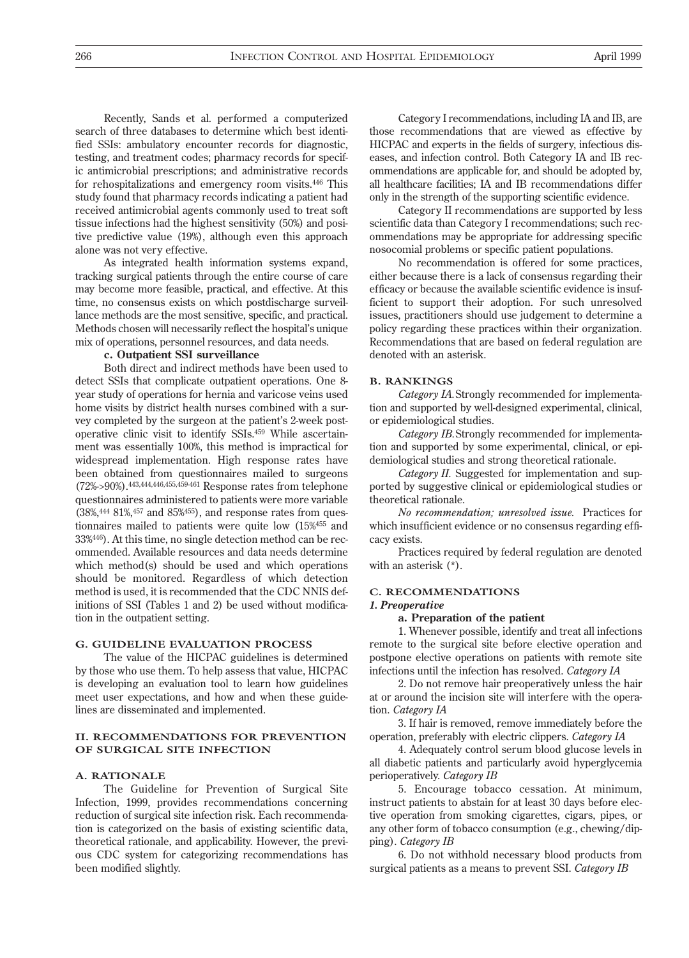Recently, Sands et al. performed a computerized search of three databases to determine which best identified SSIs: ambulatory encounter records for diagnostic, testing, and treatment codes; pharmacy records for specific antimicrobial prescriptions; and administrative records for rehospitalizations and emergency room visits.446 This study found that pharmacy records indicating a patient had received antimicrobial agents commonly used to treat soft tissue infections had the highest sensitivity (50%) and positive predictive value (19%), although even this approach alone was not very effective.

As integrated health information systems expand, tracking surgical patients through the entire course of care may become more feasible, practical, and effective. At this time, no consensus exists on which postdischarge surveillance methods are the most sensitive, specific, and practical. Methods chosen will necessarily reflect the hospital's unique mix of operations, personnel resources, and data needs.

### **c. Outpatient SSI surveillance**

Both direct and indirect methods have been used to detect SSIs that complicate outpatient operations. One 8 year study of operations for hernia and varicose veins used home visits by district health nurses combined with a survey completed by the surgeon at the patient's 2-week postoperative clinic visit to identify SSIs.459 While ascertainment was essentially 100%, this method is impractical for widespread implementation. High response rates have been obtained from questionnaires mailed to surgeons (72%->90%).443,444,446,455,459-461 Response rates from telephone questionnaires administered to patients were more variable (38%,444 81%,457 and 85%455), and response rates from questionnaires mailed to patients were quite low (15%455 and 33%446). At this time, no single detection method can be recommended. Available resources and data needs determine which method(s) should be used and which operations should be monitored. Regardless of which detection method is used, it is recommended that the CDC NNIS definitions of SSI (Tables 1 and 2) be used without modification in the outpatient setting.

#### **G. GUIDELINE EVALUATION PROCESS**

The value of the HICPAC guidelines is determined by those who use them. To help assess that value, HICPAC is developing an evaluation tool to learn how guidelines meet user expectations, and how and when these guidelines are disseminated and implemented.

## **II. RECOMMENDATIONS FOR PREVENTION OF SURGICAL SITE INFECTION**

## **A. RATIONALE**

The Guideline for Prevention of Surgical Site Infection, 1999, provides recommendations concerning reduction of surgical site infection risk. Each recommendation is categorized on the basis of existing scientific data, theoretical rationale, and applicability. However, the previous CDC system for categorizing recommendations has been modified slightly.

Category I recommendations, including IA and IB, are those recommendations that are viewed as effective by HICPAC and experts in the fields of surgery, infectious diseases, and infection control. Both Category IA and IB recommendations are applicable for, and should be adopted by, all healthcare facilities; IA and IB recommendations differ only in the strength of the supporting scientific evidence.

Category II recommendations are supported by less scientific data than Category I recommendations; such recommendations may be appropriate for addressing specific nosocomial problems or specific patient populations.

No recommendation is offered for some practices, either because there is a lack of consensus regarding their efficacy or because the available scientific evidence is insufficient to support their adoption. For such unresolved issues, practitioners should use judgement to determine a policy regarding these practices within their organization. Recommendations that are based on federal regulation are denoted with an asterisk.

#### **B. RANKINGS**

*Category IA.*Strongly recommended for implementation and supported by well-designed experimental, clinical, or epidemiological studies.

*Category IB.*Strongly recommended for implementation and supported by some experimental, clinical, or epidemiological studies and strong theoretical rationale.

*Category II.* Suggested for implementation and supported by suggestive clinical or epidemiological studies or theoretical rationale.

*No recommendation; unresolved issue.* Practices for which insufficient evidence or no consensus regarding efficacy exists.

Practices required by federal regulation are denoted with an asterisk (\*).

#### **C. RECOMMENDATIONS**

#### *1. Preoperative*

## **a. Preparation of the patient**

1. Whenever possible, identify and treat all infections remote to the surgical site before elective operation and postpone elective operations on patients with remote site infections until the infection has resolved. *Category IA*

2. Do not remove hair preoperatively unless the hair at or around the incision site will interfere with the operation. *Category IA*

3. If hair is removed, remove immediately before the operation, preferably with electric clippers. *Category IA*

4. Adequately control serum blood glucose levels in all diabetic patients and particularly avoid hyperglycemia perioperatively. *Category IB*

5. Encourage tobacco cessation. At minimum, instruct patients to abstain for at least 30 days before elective operation from smoking cigarettes, cigars, pipes, or any other form of tobacco consumption (e.g., chewing/dipping). *Category IB*

6. Do not withhold necessary blood products from surgical patients as a means to prevent SSI. *Category IB*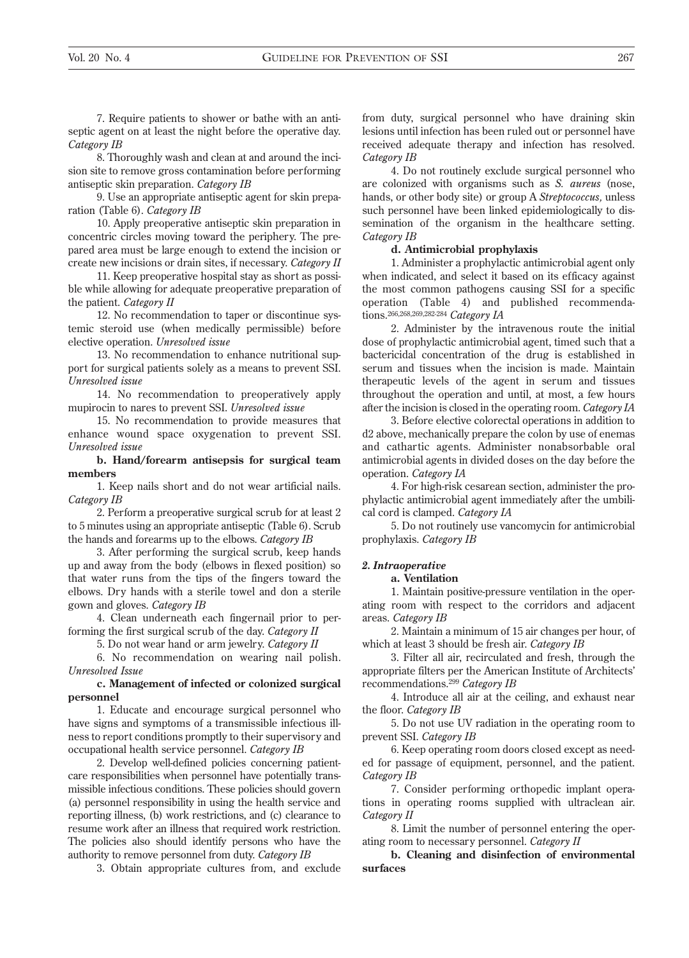7. Require patients to shower or bathe with an antiseptic agent on at least the night before the operative day. *Category IB*

8. Thoroughly wash and clean at and around the incision site to remove gross contamination before performing antiseptic skin preparation. *Category IB*

9. Use an appropriate antiseptic agent for skin preparation (Table 6). *Category IB*

10. Apply preoperative antiseptic skin preparation in concentric circles moving toward the periphery. The prepared area must be large enough to extend the incision or create new incisions or drain sites, if necessary. *Category II*

11. Keep preoperative hospital stay as short as possible while allowing for adequate preoperative preparation of the patient. *Category II*

12. No recommendation to taper or discontinue systemic steroid use (when medically permissible) before elective operation. *Unresolved issue*

13. No recommendation to enhance nutritional support for surgical patients solely as a means to prevent SSI. *Unresolved issue*

14. No recommendation to preoperatively apply mupirocin to nares to prevent SSI. *Unresolved issue*

15. No recommendation to provide measures that enhance wound space oxygenation to prevent SSI. *Unresolved issue*

**b. Hand/forearm antisepsis for surgical team members** 

1. Keep nails short and do not wear artificial nails. *Category IB*

2. Perform a preoperative surgical scrub for at least 2 to 5 minutes using an appropriate antiseptic (Table 6). Scrub the hands and forearms up to the elbows. *Category IB*

3. After performing the surgical scrub, keep hands up and away from the body (elbows in flexed position) so that water runs from the tips of the fingers toward the elbows. Dry hands with a sterile towel and don a sterile gown and gloves. *Category IB*

4. Clean underneath each fingernail prior to performing the first surgical scrub of the day. *Category II*

5. Do not wear hand or arm jewelry. *Category II*

6. No recommendation on wearing nail polish. *Unresolved Issue*

## **c. Management of infected or colonized surgical personnel**

1. Educate and encourage surgical personnel who have signs and symptoms of a transmissible infectious illness to report conditions promptly to their supervisory and occupational health service personnel. *Category IB*

2. Develop well-defined policies concerning patientcare responsibilities when personnel have potentially transmissible infectious conditions. These policies should govern (a) personnel responsibility in using the health service and reporting illness, (b) work restrictions, and (c) clearance to resume work after an illness that required work restriction. The policies also should identify persons who have the authority to remove personnel from duty. *Category IB*

3. Obtain appropriate cultures from, and exclude

from duty, surgical personnel who have draining skin lesions until infection has been ruled out or personnel have received adequate therapy and infection has resolved. *Category IB*

4. Do not routinely exclude surgical personnel who are colonized with organisms such as *S. aureus* (nose, hands, or other body site) or group A *Streptococcus,* unless such personnel have been linked epidemiologically to dissemination of the organism in the healthcare setting. *Category IB*

#### **d. Antimicrobial prophylaxis**

1. Administer a prophylactic antimicrobial agent only when indicated, and select it based on its efficacy against the most common pathogens causing SSI for a specific operation (Table 4) and published recommendations.266,268,269,282-284 *Category IA*

2. Administer by the intravenous route the initial dose of prophylactic antimicrobial agent, timed such that a bactericidal concentration of the drug is established in serum and tissues when the incision is made. Maintain therapeutic levels of the agent in serum and tissues throughout the operation and until, at most, a few hours after the incision is closed in the operating room. *Category IA*

3. Before elective colorectal operations in addition to d2 above, mechanically prepare the colon by use of enemas and cathartic agents. Administer nonabsorbable oral antimicrobial agents in divided doses on the day before the operation. *Category IA*

4. For high-risk cesarean section, administer the prophylactic antimicrobial agent immediately after the umbilical cord is clamped. *Category IA*

5. Do not routinely use vancomycin for antimicrobial prophylaxis. *Category IB*

## *2. Intraoperative*

## **a. Ventilation**

1. Maintain positive-pressure ventilation in the operating room with respect to the corridors and adjacent areas. *Category IB*

2. Maintain a minimum of 15 air changes per hour, of which at least 3 should be fresh air. *Category IB*

3. Filter all air, recirculated and fresh, through the appropriate filters per the American Institute of Architects' recommendations.299 *Category IB*

4. Introduce all air at the ceiling, and exhaust near the floor. *Category IB*

5. Do not use UV radiation in the operating room to prevent SSI. *Category IB*

6. Keep operating room doors closed except as needed for passage of equipment, personnel, and the patient. *Category IB*

7. Consider performing orthopedic implant operations in operating rooms supplied with ultraclean air. *Category II* 

8. Limit the number of personnel entering the operating room to necessary personnel. *Category II*

**b. Cleaning and disinfection of environmental surfaces**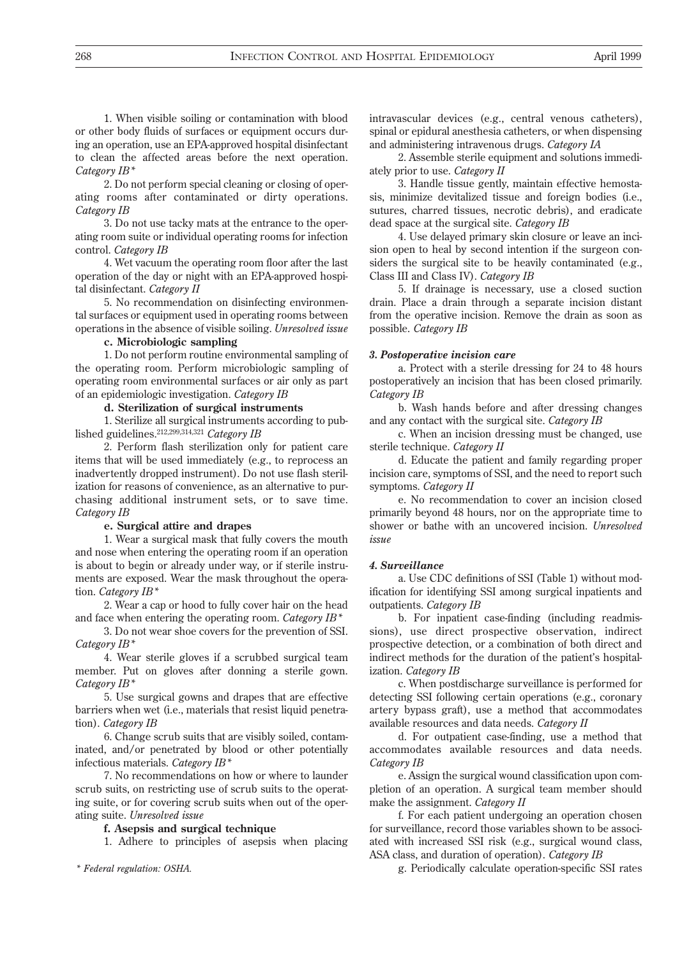1. When visible soiling or contamination with blood or other body fluids of surfaces or equipment occurs during an operation, use an EPA-approved hospital disinfectant to clean the affected areas before the next operation. *Category IB\**

2. Do not perform special cleaning or closing of operating rooms after contaminated or dirty operations. *Category IB*

3. Do not use tacky mats at the entrance to the operating room suite or individual operating rooms for infection control. *Category IB*

4. Wet vacuum the operating room floor after the last operation of the day or night with an EPA-approved hospital disinfectant. *Category II*

5. No recommendation on disinfecting environmental surfaces or equipment used in operating rooms between operations in the absence of visible soiling. *Unresolved issue*

## **c. Microbiologic sampling**

1. Do not perform routine environmental sampling of the operating room. Perform microbiologic sampling of operating room environmental surfaces or air only as part of an epidemiologic investigation. *Category IB*

#### **d. Sterilization of surgical instruments**

1. Sterilize all surgical instruments according to published guidelines.212,299,314,321 *Category IB*

2. Perform flash sterilization only for patient care items that will be used immediately (e.g., to reprocess an inadvertently dropped instrument). Do not use flash sterilization for reasons of convenience, as an alternative to purchasing additional instrument sets, or to save time. *Category IB*

#### **e. Surgical attire and drapes**

1. Wear a surgical mask that fully covers the mouth and nose when entering the operating room if an operation is about to begin or already under way, or if sterile instruments are exposed. Wear the mask throughout the operation. *Category IB\**

2. Wear a cap or hood to fully cover hair on the head and face when entering the operating room. *Category IB\**

3. Do not wear shoe covers for the prevention of SSI. *Category IB\**

4. Wear sterile gloves if a scrubbed surgical team member. Put on gloves after donning a sterile gown. *Category IB\** 

5. Use surgical gowns and drapes that are effective barriers when wet (i.e., materials that resist liquid penetration). *Category IB*

6. Change scrub suits that are visibly soiled, contaminated, and/or penetrated by blood or other potentially infectious materials. *Category IB\**

7. No recommendations on how or where to launder scrub suits, on restricting use of scrub suits to the operating suite, or for covering scrub suits when out of the operating suite. *Unresolved issue*

#### **f. Asepsis and surgical technique**

1. Adhere to principles of asepsis when placing

intravascular devices (e.g., central venous catheters), spinal or epidural anesthesia catheters, or when dispensing and administering intravenous drugs. *Category IA*

2. Assemble sterile equipment and solutions immediately prior to use. *Category II*

3. Handle tissue gently, maintain effective hemostasis, minimize devitalized tissue and foreign bodies (i.e., sutures, charred tissues, necrotic debris), and eradicate dead space at the surgical site. *Category IB* 

4. Use delayed primary skin closure or leave an incision open to heal by second intention if the surgeon considers the surgical site to be heavily contaminated (e.g., Class III and Class IV). *Category IB* 

5. If drainage is necessary, use a closed suction drain. Place a drain through a separate incision distant from the operative incision. Remove the drain as soon as possible. *Category IB*

#### *3. Postoperative incision care*

a. Protect with a sterile dressing for 24 to 48 hours postoperatively an incision that has been closed primarily. *Category IB*

b. Wash hands before and after dressing changes and any contact with the surgical site. *Category IB*

c. When an incision dressing must be changed, use sterile technique. *Category II*

d. Educate the patient and family regarding proper incision care, symptoms of SSI, and the need to report such symptoms. *Category II* 

e. No recommendation to cover an incision closed primarily beyond 48 hours, nor on the appropriate time to shower or bathe with an uncovered incision. *Unresolved issue*

## *4. Surveillance*

a. Use CDC definitions of SSI (Table 1) without modification for identifying SSI among surgical inpatients and outpatients. *Category IB*

b. For inpatient case-finding (including readmissions), use direct prospective observation, indirect prospective detection, or a combination of both direct and indirect methods for the duration of the patient's hospitalization. *Category IB*

c. When postdischarge surveillance is performed for detecting SSI following certain operations (e.g., coronary artery bypass graft), use a method that accommodates available resources and data needs. *Category II*

d. For outpatient case-finding, use a method that accommodates available resources and data needs. *Category IB*

e. Assign the surgical wound classification upon completion of an operation. A surgical team member should make the assignment. *Category II*

f. For each patient undergoing an operation chosen for surveillance, record those variables shown to be associated with increased SSI risk (e.g., surgical wound class, ASA class, and duration of operation). *Category IB*

*\* Federal regulation: OSHA.* g. Periodically calculate operation-specific SSI rates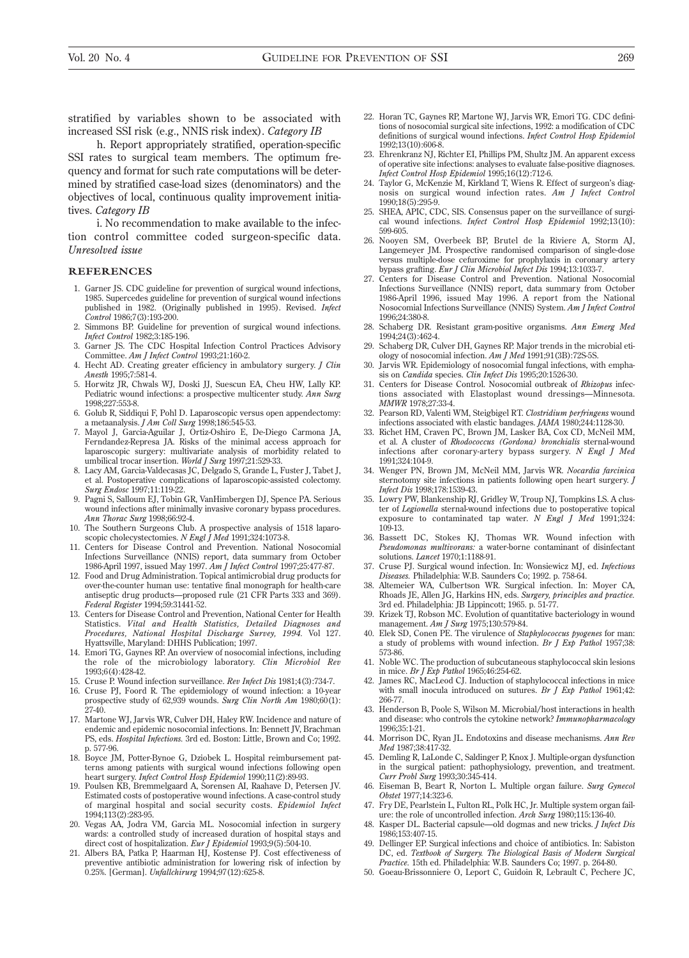stratified by variables shown to be associated with increased SSI risk (e.g., NNIS risk index). *Category IB*

h. Report appropriately stratified, operation-specific SSI rates to surgical team members. The optimum frequency and format for such rate computations will be determined by stratified case-load sizes (denominators) and the objectives of local, continuous quality improvement initiatives. *Category IB*

i. No recommendation to make available to the infection control committee coded surgeon-specific data. *Unresolved issue*

#### **REFERENCES**

- 1. Garner JS. CDC guideline for prevention of surgical wound infections, 1985. Supercedes guideline for prevention of surgical wound infections published in 1982. (Originally published in 1995). Revised. *Infect Control* 1986;7(3):193-200.
- 2. Simmons BP. Guideline for prevention of surgical wound infections. *Infect Control* 1982;3:185-196.
- 3. Garner JS. The CDC Hospital Infection Control Practices Advisory Committee. *Am J Infect Control* 1993;21:160-2.
- 4. Hecht AD. Creating greater efficiency in ambulatory surgery. *J Clin Anesth* 1995;7:581-4.
- 5. Horwitz JR, Chwals WJ, Doski JJ, Suescun EA, Cheu HW, Lally KP. Pediatric wound infections: a prospective multicenter study. *Ann Surg* 1998;227:553-8.
- 6. Golub R, Siddiqui F, Pohl D. Laparoscopic versus open appendectomy: a metaanalysis. *J Am Coll Surg* 1998;186:545-53.
- 7. Mayol J, Garcia-Aguilar J, Ortiz-Oshiro E, De-Diego Carmona JA, Ferndandez-Represa JA. Risks of the minimal access approach for laparoscopic surgery: multivariate analysis of morbidity related to umbilical trocar insertion. *World J Surg* 1997;21:529-33.
- 8. Lacy AM, Garcia-Valdecasas JC, Delgado S, Grande L, Fuster J, Tabet J, et al. Postoperative complications of laparoscopic-assisted colectomy. *Surg Endosc* 1997;11:119-22.
- 9. Pagni S, Salloum EJ, Tobin GR, VanHimbergen DJ, Spence PA. Serious wound infections after minimally invasive coronary bypass procedures. *Ann Thorac Surg* 1998;66:92-4.
- 10. The Southern Surgeons Club. A prospective analysis of 1518 laparoscopic cholecystectomies. *N Engl J Med* 1991;324:1073-8.
- 11. Centers for Disease Control and Prevention. National Nosocomial Infections Surveillance (NNIS) report, data summary from October 1986-April 1997, issued May 1997. *Am J Infect Control* 1997;25:477-87.
- 12. Food and Drug Administration. Topical antimicrobial drug products for over-the-counter human use: tentative final monograph for health-care antiseptic drug products—proposed rule (21 CFR Parts 333 and 369). *Federal Register* 1994;59:31441-52.
- 13. Centers for Disease Control and Prevention, National Center for Health Statistics. *Vital and Health Statistics, Detailed Diagnoses and Procedures, National Hospital Discharge Survey, 1994.* Vol 127. Hyattsville, Maryland: DHHS Publication; 1997.
- 14. Emori TG, Gaynes RP. An overview of nosocomial infections, including the role of the microbiology laboratory. *Clin Microbiol Rev* 1993;6(4):428-42.
- 15. Cruse P. Wound infection surveillance. *Rev Infect Dis* 1981;4(3):734-7.
- 16. Cruse PJ, Foord R. The epidemiology of wound infection: a 10-year prospective study of 62,939 wounds. *Surg Clin North Am* 1980;60(1): 27-40.
- 17. Martone WJ, Jarvis WR, Culver DH, Haley RW. Incidence and nature of endemic and epidemic nosocomial infections. In: Bennett JV, Brachman PS, eds. *Hospital Infections.* 3rd ed. Boston: Little, Brown and Co; 1992. p. 577-96.
- 18. Boyce JM, Potter-Bynoe G, Dziobek L. Hospital reimbursement patterns among patients with surgical wound infections following open heart surgery. *Infect Control Hosp Epidemiol* 1990;11(2):89-93.
- 19. Poulsen KB, Bremmelgaard A, Sorensen AI, Raahave D, Petersen JV. Estimated costs of postoperative wound infections. A case-control study of marginal hospital and social security costs. *Epidemiol Infect* 1994;113(2):283-95.
- 20. Vegas AA, Jodra VM, Garcia ML. Nosocomial infection in surgery wards: a controlled study of increased duration of hospital stays and direct cost of hospitalization. *Eur J Epidemiol* 1993;9(5):504-10.
- 21. Albers BA, Patka P, Haarman HJ, Kostense PJ. Cost effectiveness of preventive antibiotic administration for lowering risk of infection by 0.25%. [German]. *Unfallchirurg* 1994;97(12):625-8.
- 22. Horan TC, Gaynes RP, Martone WJ, Jarvis WR, Emori TG. CDC definitions of nosocomial surgical site infections, 1992: a modification of CDC definitions of surgical wound infections. *Infect Control Hosp Epidemiol* 1992;13(10):606-8.
- 23. Ehrenkranz NJ, Richter EI, Phillips PM, Shultz JM. An apparent excess of operative site infections: analyses to evaluate false-positive diagnoses. *Infect Control Hosp Epidemiol* 1995;16(12):712-6.
- 24. Taylor G, McKenzie M, Kirkland T, Wiens R. Effect of surgeon's diagnosis on surgical wound infection rates. *Am J Infect Control*  $1990:18(5):295.9$ .
- 25. SHEA, APIC, CDC, SIS. Consensus paper on the surveillance of surgical wound infections. *Infect Control Hosp Epidemiol* 1992;13(10): 599-605.
- 26. Nooyen SM, Overbeek BP, Brutel de la Riviere A, Storm AJ, Langemeyer JM. Prospective randomised comparison of single-dose versus multiple-dose cefuroxime for prophylaxis in coronary artery bypass grafting. *Eur J Clin Microbiol Infect Dis* 1994;13:1033-7.
- 27. Centers for Disease Control and Prevention. National Nosocomial Infections Surveillance (NNIS) report, data summary from October 1986-April 1996, issued May 1996. A report from the National Nosocomial Infections Surveillance (NNIS) System. *Am J Infect Control* 1996;24:380-8.
- 28. Schaberg DR. Resistant gram-positive organisms. *Ann Emerg Med* 1994;24(3):462-4.
- 29. Schaberg DR, Culver DH, Gaynes RP. Major trends in the microbial etiology of nosocomial infection. *Am J Med* 1991;91(3B):72S-5S.
- 30. Jarvis WR. Epidemiology of nosocomial fungal infections, with emphasis on *Candida* species. *Clin Infect Dis* 1995;20:1526-30.
- 31. Centers for Disease Control. Nosocomial outbreak of *Rhizopus* infections associated with Elastoplast wound dressings—Minnesota. *MMWR* 1978;27:33-4.
- 32. Pearson RD, Valenti WM, Steigbigel RT. *Clostridium perfringens* wound infections associated with elastic bandages. *JAMA* 1980;244:1128-30.
- 33. Richet HM, Craven PC, Brown JM, Lasker BA, Cox CD, McNeil MM, et al. A cluster of *Rhodococcus (Gordona) bronchialis* sternal-wound infections after coronary-artery bypass surgery. *N Engl J Med* 1991;324:104-9.
- 34. Wenger PN, Brown JM, McNeil MM, Jarvis WR. *Nocardia farcinica* sternotomy site infections in patients following open heart surgery. *J Infect Dis* 1998;178:1539-43.
- 35. Lowry PW, Blankenship RJ, Gridley W, Troup NJ, Tompkins LS. A cluster of *Legionella* sternal-wound infections due to postoperative topical exposure to contaminated tap water. *N Engl J Med* 1991;324: 109-13.
- 36. Bassett DC, Stokes KJ, Thomas WR. Wound infection with *Pseudomonas multivorans:* a water-borne contaminant of disinfectant solutions. *Lancet* 1970;1:1188-91.
- 37. Cruse PJ. Surgical wound infection. In: Wonsiewicz MJ, ed. *Infectious Diseases.* Philadelphia: W.B. Saunders Co; 1992. p. 758-64.
- 38. Altemeier WA, Culbertson WR. Surgical infection. In: Moyer CA, Rhoads JE, Allen JG, Harkins HN, eds. *Surgery, principles and practice.* 3rd ed. Philadelphia: JB Lippincott; 1965. p. 51-77.
- 39. Krizek TJ, Robson MC. Evolution of quantitative bacteriology in wound management. *Am J Surg* 1975;130:579-84.
- 40. Elek SD, Conen PE. The virulence of *Staphylococcus pyogenes* for man: a study of problems with wound infection. *Br J Exp Pathol* 1957;38: 573-86.
- 41. Noble WC. The production of subcutaneous staphylococcal skin lesions in mice. *Br J Exp Pathol* 1965;46:254-62.
- 42. James RC, MacLeod CJ. Induction of staphylococcal infections in mice with small inocula introduced on sutures. *Br J Exp Pathol* 1961;42: 266-77.
- 43. Henderson B, Poole S, Wilson M. Microbial/host interactions in health and disease: who controls the cytokine network? *Immunopharmacology* 1996;35:1-21.
- 44. Morrison DC, Ryan JL. Endotoxins and disease mechanisms. *Ann Rev Med* 1987;38:417-32.
- 45. Demling R, LaLonde C, Saldinger P, Knox J. Multiple-organ dysfunction in the surgical patient: pathophysiology, prevention, and treatment. *Curr Probl Surg* 1993;30:345-414.
- 46. Eiseman B, Beart R, Norton L. Multiple organ failure. *Surg Gynecol Obstet* 1977;14:323-6.
- 47. Fry DE, Pearlstein L, Fulton RL, Polk HC, Jr. Multiple system organ failure: the role of uncontrolled infection. *Arch Surg* 1980;115:136-40.
- 48. Kasper DL. Bacterial capsule—old dogmas and new tricks. *J Infect Dis* 1986;153:407-15.
- 49. Dellinger EP. Surgical infections and choice of antibiotics. In: Sabiston DC, ed. *Textbook of Surgery. The Biological Basis of Modern Surgical Practice.* 15th ed. Philadelphia: W.B. Saunders Co; 1997. p. 264-80.
- 50. Goeau-Brissonniere O, Leport C, Guidoin R, Lebrault C, Pechere JC,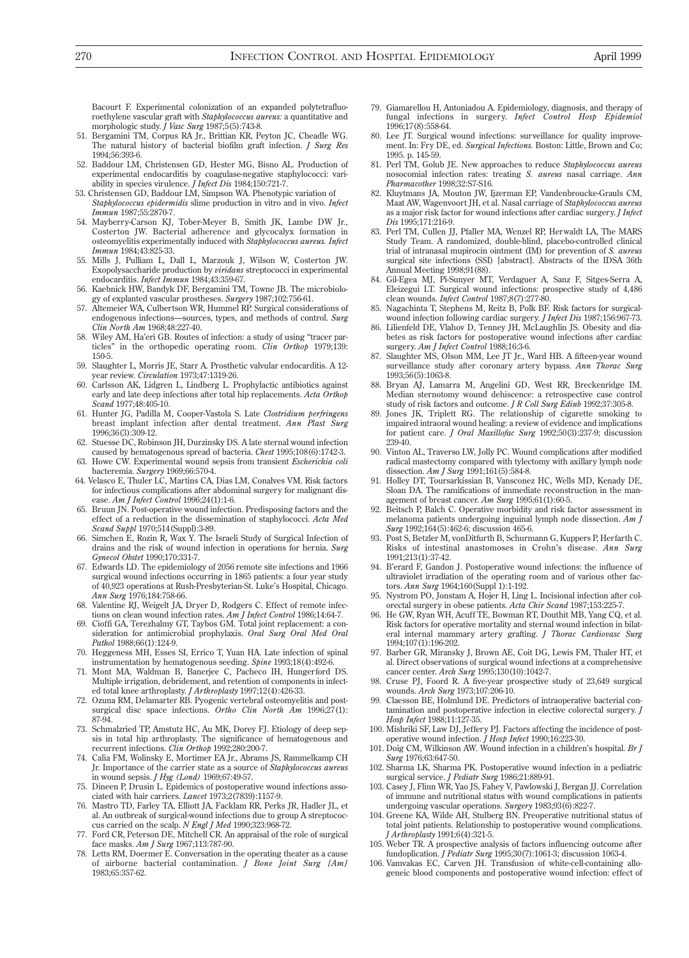Bacourt F. Experimental colonization of an expanded polytetrafluoroethylene vascular graft with *Staphylococcus aureus:* a quantitative and morphologic study. *J Vasc Surg* 1987;5(5):743-8.

- 51. Bergamini TM, Corpus RA Jr., Brittian KR, Peyton JC, Cheadle WG. The natural history of bacterial biofilm graft infection. *J Surg Res* 1994;56:393-6.
- 52. Baddour LM, Christensen GD, Hester MG, Bisno AL. Production of experimental endocarditis by coagulase-negative staphylococci: variability in species virulence. *J Infect Dis* 1984;150:721-7.
- 53. Christensen GD, Baddour LM, Simpson WA. Phenotypic variation of *Staphylococcus epidermidis* slime production in vitro and in vivo. *Infect Immun* 1987;55:2870-7.
- 54. Mayberry-Carson KJ, Tober-Meyer B, Smith JK, Lambe DW Jr., Costerton JW. Bacterial adherence and glycocalyx formation in osteomyelitis experimentally induced with *Staphylococcus aureus. Infect Immun* 1984;43:825-33.
- 55. Mills J, Pulliam L, Dall L, Marzouk J, Wilson W, Costerton JW. Exopolysaccharide production by *viridans* streptococci in experimental endocarditis. *Infect Immun* 1984;43:359-67.
- 56. Kaebnick HW, Bandyk DF, Bergamini TM, Towne JB. The microbiology of explanted vascular prostheses. *Surgery* 1987;102:756-61.
- 57. Altemeier WA, Culbertson WR, Hummel RP. Surgical considerations of endogenous infections—sources, types, and methods of control. *Surg Clin North Am* 1968;48:227-40.
- 58. Wiley AM, Ha'eri GB. Routes of infection: a study of using "tracer particles" in the orthopedic operating room. *Clin Orthop* 1979;139: 150-5.
- 59. Slaughter L, Morris JE, Starr A. Prosthetic valvular endocarditis. A 12 year review. *Circulation* 1973;47:1319-26.
- 60. Carlsson AK, Lidgren L, Lindberg L. Prophylactic antibiotics against early and late deep infections after total hip replacements. *Acta Orthop Scand* 1977;48:405-10.
- 61. Hunter JG, Padilla M, Cooper-Vastola S. Late *Clostridium perfringens* breast implant infection after dental treatment. *Ann Plast Surg* 1996;36(3):309-12.
- 62. Stuesse DC, Robinson JH, Durzinsky DS. A late sternal wound infection caused by hematogenous spread of bacteria. *Chest* 1995;108(6):1742-3.
- 63. Howe CW. Experimental wound sepsis from transient *Escherichia coli* bacteremia. *Surgery* 1969;66:570-4.
- 64. Velasco E, Thuler LC, Martins CA, Dias LM, Conalves VM. Risk factors for infectious complications after abdominal surgery for malignant disease. *Am J Infect Control* 1996;24(1):1-6.
- 65. Bruun JN. Post-operative wound infection. Predisposing factors and the effect of a reduction in the dissemination of staphylococci. *Acta Med Scand Suppl* 1970;514(Suppl):3-89.
- 66. Simchen E, Rozin R, Wax Y. The Israeli Study of Surgical Infection of drains and the risk of wound infection in operations for hernia. *Surg Gynecol Obstet* 1990;170:331-7.
- 67. Edwards LD. The epidemiology of 2056 remote site infections and 1966 surgical wound infections occurring in 1865 patients: a four year study of 40,923 operations at Rush-Presbyterian-St. Luke's Hospital, Chicago. *Ann Surg* 1976;184:758-66.
- 68. Valentine RJ, Weigelt JA, Dryer D, Rodgers C. Effect of remote infections on clean wound infection rates. *Am J Infect Control* 1986;14:64-7.
- 69. Cioffi GA, Terezhalmy GT, Taybos GM. Total joint replacement: a consideration for antimicrobial prophylaxis. *Oral Surg Oral Med Oral Pathol* 1988;66(1):124-9.
- 70. Heggeness MH, Esses SI, Errico T, Yuan HA. Late infection of spinal instrumentation by hematogenous seeding. *Spine* 1993;18(4):492-6.
- 71. Mont MA, Waldman B, Banerjee C, Pacheco IH, Hungerford DS. Multiple irrigation, debridement, and retention of components in infected total knee arthroplasty. *J Arthroplasty* 1997;12(4):426-33.
- 72. Ozuna RM, Delamarter RB. Pyogenic vertebral osteomyelitis and postsurgical disc space infections. *Ortho Clin North Am* 1996;27(1): 87-94.
- 73. Schmalzried TP, Amstutz HC, Au MK, Dorey FJ. Etiology of deep sepsis in total hip arthroplasty. The significance of hematogenous and recurrent infections. *Clin Orthop* 1992;280:200-7.
- 74. Calia FM, Wolinsky E, Mortimer EA Jr., Abrams JS, Rammelkamp CH Jr. Importance of the carrier state as a source of *Staphylococcus aureus* in wound sepsis. *J Hyg (Lond)* 1969;67:49-57.
- 75. Dineen P, Drusin L. Epidemics of postoperative wound infections asso-ciated with hair carriers. *Lancet* 1973;2(7839):1157-9.
- 76. Mastro TD, Farley TA, Elliott JA, Facklam RR, Perks JR, Hadler JL, et al. An outbreak of surgical-wound infections due to group A streptococcus carried on the scalp. *N Engl J Med* 1990;323:968-72.
- 77. Ford CR, Peterson DE, Mitchell CR. An appraisal of the role of surgical face masks. *Am J Surg* 1967;113:787-90.
- 78. Letts RM, Doermer E. Conversation in the operating theater as a cause of airborne bacterial contamination. *J Bone Joint Surg [Am]* 1983;65:357-62.
- 79. Giamarellou H, Antoniadou A. Epidemiology, diagnosis, and therapy of fungal infections in surgery. *Infect Control Hosp Epidemiol* 1996;17(8):558-64.
- 80. Lee JT. Surgical wound infections: surveillance for quality improvement. In: Fry DE, ed. *Surgical Infections.* Boston: Little, Brown and Co; 1995. p. 145-59.
- 81. Perl TM, Golub JE. New approaches to reduce *Staphylococcus aureus* nosocomial infection rates: treating *S. aureus* nasal carriage. *Ann Pharmacother* 1998;32:S7-S16.
- 82. Kluytmans JA, Mouton JW, Ijzerman EP, Vandenbroucke-Grauls CM, Maat AW, Wagenvoort JH, et al. Nasal carriage of *Staphylococcus aureus* as a major risk factor for wound infections after cardiac surgery. *J Infect Dis* 1995;171:216-9.
- 83. Perl TM, Cullen JJ, Pfaller MA, Wenzel RP, Herwaldt LA, The MARS Study Team. A randomized, double-blind, placebo-controlled clinical trial of intranasal mupirocin ointment (IM) for prevention of *S. aureus* surgical site infections (SSI) [abstract]. Abstracts of the IDSA 36th Annual Meeting 1998;91(88).
- 84. Gil-Egea MJ, Pi-Sunyer MT, Verdaguer A, Sanz F, Sitges-Serra A, Eleizegui LT. Surgical wound infections: prospective study of 4,486 clean wounds. *Infect Control* 1987;8(7):277-80.
- 85. Nagachinta T, Stephens M, Reitz B, Polk BF. Risk factors for surgicalwound infection following cardiac surgery. *J Infect Dis* 1987;156:967-73.
- 86. Lilienfeld DE, Vlahov D, Tenney JH, McLaughlin JS. Obesity and diabetes as risk factors for postoperative wound infections after cardiac surgery. *Am J Infect Control* 1988;16:3-6.
- 87. Slaughter MS, Olson MM, Lee JT Jr., Ward HB. A fifteen-year wound surveillance study after coronary artery bypass. *Ann Thorac Surg* 1993;56(5):1063-8.
- 88. Bryan AJ, Lamarra M, Angelini GD, West RR, Breckenridge IM. Median sternotomy wound dehiscence: a retrospective case control study of risk factors and outcome. *J R Coll Surg Edinb* 1992;37:305-8.
- Jones JK, Triplett RG. The relationship of cigarette smoking to impaired intraoral wound healing: a review of evidence and implications for patient care. *J Oral Maxillofac Surg* 1992;50(3):237-9; discussion 239-40.
- 90. Vinton AL, Traverso LW, Jolly PC. Wound complications after modified radical mastectomy compared with tylectomy with axillary lymph node dissection. *Am J Surg* 1991;161(5):584-8.
- 91. Holley DT, Toursarkissian B, Vansconez HC, Wells MD, Kenady DE, Sloan DA. The ramifications of immediate reconstruction in the management of breast cancer. *Am Surg* 1995;61(1):60-5.
- 92. Beitsch P, Balch C. Operative morbidity and risk factor assessment in melanoma patients undergoing inguinal lymph node dissection. *Am J Surg* 1992;164(5):462-6; discussion 465-6.
- 93. Post S, Betzler M, vonDitfurth B, Schurmann G, Kuppers P, Herfarth C. Risks of intestinal anastomoses in Crohn's disease. *Ann Surg* 1991;213(1):37-42.
- 94. B'erard F, Gandon J. Postoperative wound infections: the influence of ultraviolet irradiation of the operating room and of various other factors. *Ann Surg* 1964;160(Suppl 1):1-192.
- 95. Nystrom PO, Jonstam A, Hojer H, Ling L. Incisional infection after colorectal surgery in obese patients. *Acta Chir Scand* 1987;153:225-7.
- 96. He GW, Ryan WH, Acuff TE, Bowman RT, Douthit MB, Yang CQ, et al. Risk factors for operative mortality and sternal wound infection in bilateral internal mammary artery grafting. *J Thorac Cardiovasc Surg* 1994;107(1):196-202.
- 97. Barber GR, Miransky J, Brown AE, Coit DG, Lewis FM, Thaler HT, et al. Direct observations of surgical wound infections at a comprehensive cancer center. *Arch Surg* 1995;130(10):1042-7.
- 98. Cruse PJ, Foord R. A five-year prospective study of 23,649 surgical wounds. *Arch Surg* 1973;107:206-10.
- 99. Claesson BE, Holmlund DE. Predictors of intraoperative bacterial contamination and postoperative infection in elective colorectal surgery. *J Hosp Infect* 1988;11:127-35.
- 100. Mishriki SF, Law DJ, Jeffery PJ. Factors affecting the incidence of post-operative wound infection. *J Hosp Infect* 1990;16:223-30.
- 101. Doig CM, Wilkinson AW. Wound infection in a children's hospital. *Br J Surg* 1976;63:647-50.
- 102. Sharma LK, Sharma PK. Postoperative wound infection in a pediatric surgical service. *J Pediatr Surg* 1986;21:889-91.
- 103. Casey J, Flinn WR, Yao JS, Fahey V, Pawlowski J, Bergan JJ. Correlation of immune and nutritional status with wound complications in patients undergoing vascular operations. *Surgery* 1983;93(6):822-7.
- 104. Greene KA, Wilde AH, Stulberg BN. Preoperative nutritional status of total joint patients. Relationship to postoperative wound complications. *J Arthroplasty* 1991;6(4):321-5.
- 105. Weber TR. A prospective analysis of factors influencing outcome after fundoplication. *J Pediatr Surg* 1995;30(7):1061-3; discussion 1063-4.
- 106. Vamvakas EC, Carven JH. Transfusion of white-cell-containing allogeneic blood components and postoperative wound infection: effect of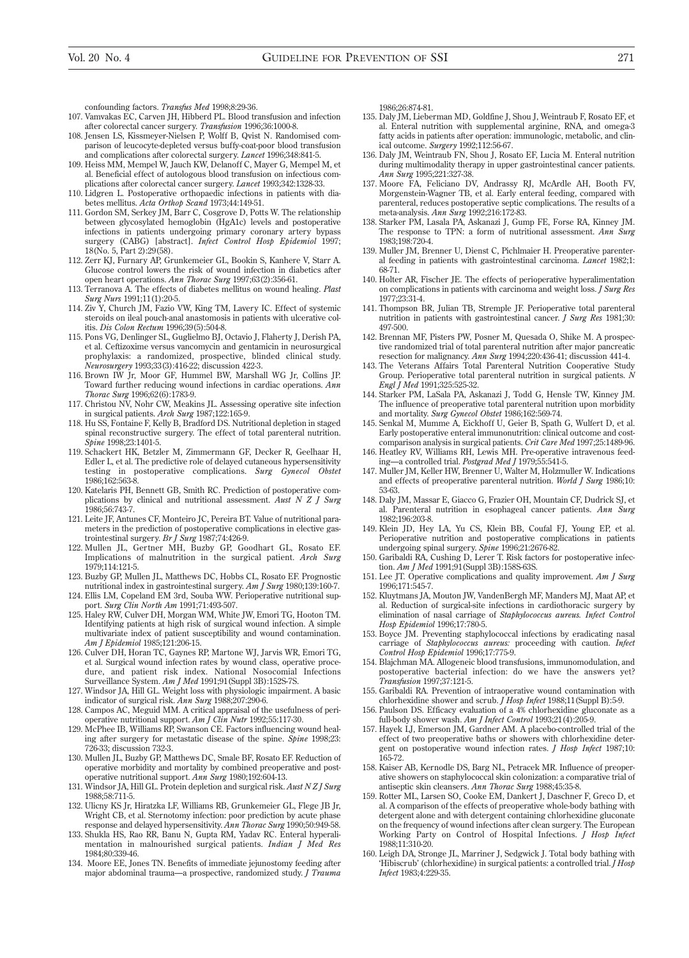confounding factors. *Transfus Med* 1998;8:29-36.

- 107. Vamvakas EC, Carven JH, Hibberd PL. Blood transfusion and infection after colorectal cancer surgery. *Transfusion* 1996;36:1000-8.
- 108. Jensen LS, Kissmeyer-Nielsen P, Wolff B, Qvist N. Randomised comparison of leucocyte-depleted versus buffy-coat-poor blood transfusion and complications after colorectal surgery. *Lancet* 1996;348:841-5.
- 109. Heiss MM, Mempel W, Jauch KW, Delanoff C, Mayer G, Mempel M, et al. Beneficial effect of autologous blood transfusion on infectious complications after colorectal cancer surgery. *Lancet* 1993;342:1328-33.
- 110. Lidgren L. Postoperative orthopaedic infections in patients with diabetes mellitus. *Acta Orthop Scand* 1973;44:149-51.
- 111. Gordon SM, Serkey JM, Barr C, Cosgrove D, Potts W. The relationship between glycosylated hemoglobin (HgA1c) levels and postoperative infections in patients undergoing primary coronary artery bypass surgery (CABG) [abstract]. *Infect Control Hosp Epidemiol* 1997; 18(No. 5, Part 2):29(58).
- 112. Zerr KJ, Furnary AP, Grunkemeier GL, Bookin S, Kanhere V, Starr A. Glucose control lowers the risk of wound infection in diabetics after open heart operations. *Ann Thorac Surg* 1997;63(2):356-61.
- 113. Terranova A. The effects of diabetes mellitus on wound healing. *Plast Surg Nurs* 1991;11(1):20-5.
- 114. Ziv Y, Church JM, Fazio VW, King TM, Lavery IC. Effect of systemic steroids on ileal pouch-anal anastomosis in patients with ulcerative colitis. *Dis Colon Rectum* 1996;39(5):504-8.
- 115. Pons VG, Denlinger SL, Guglielmo BJ, Octavio J, Flaherty J, Derish PA, et al. Ceftizoxime versus vancomycin and gentamicin in neurosurgical prophylaxis: a randomized, prospective, blinded clinical study. *Neurosurgery* 1993;33(3):416-22; discussion 422-3.
- 116. Brown IW Jr, Moor GF, Hummel BW, Marshall WG Jr, Collins JP. Toward further reducing wound infections in cardiac operations. *Ann Thorac Surg* 1996;62(6):1783-9.
- 117. Christou NV, Nohr CW, Meakins JL. Assessing operative site infection in surgical patients. *Arch Surg* 1987;122:165-9.
- 118. Hu SS, Fontaine F, Kelly B, Bradford DS. Nutritional depletion in staged spinal reconstructive surgery. The effect of total parenteral nutrition. *Spine* 1998;23:1401-5.
- 119. Schackert HK, Betzler M, Zimmermann GF, Decker R, Geelhaar H, Edler L, et al. The predictive role of delayed cutaneous hypersensitivity testing in postoperative complications. *Surg Gynecol Obstet* 1986;162:563-8.
- 120. Katelaris PH, Bennett GB, Smith RC. Prediction of postoperative complications by clinical and nutritional assessment. *Aust N Z J Surg* 1986;56:743-7.
- 121. Leite JF, Antunes CF, Monteiro JC, Pereira BT. Value of nutritional parameters in the prediction of postoperative complications in elective gastrointestinal surgery. *Br J Surg* 1987;74:426-9.
- 122. Mullen JL, Gertner MH, Buzby GP, Goodhart GL, Rosato EF. Implications of malnutrition in the surgical patient. *Arch Surg* 1979;114:121-5.
- 123. Buzby GP, Mullen JL, Matthews DC, Hobbs CL, Rosato EF. Prognostic nutritional index in gastrointestinal surgery. *Am J Surg* 1980;139:160-7.
- 124. Ellis LM, Copeland EM 3rd, Souba WW. Perioperative nutritional support. *Surg Clin North Am* 1991;71:493-507.
- 125. Haley RW, Culver DH, Morgan WM, White JW, Emori TG, Hooton TM. Identifying patients at high risk of surgical wound infection. A simple multivariate index of patient susceptibility and wound contamination. *Am J Epidemiol* 1985;121:206-15.
- 126. Culver DH, Horan TC, Gaynes RP, Martone WJ, Jarvis WR, Emori TG, et al. Surgical wound infection rates by wound class, operative procedure, and patient risk index. National Nosocomial Infections Surveillance System. *Am J Med* 1991;91(Suppl 3B):152S-7S.
- 127. Windsor JA, Hill GL. Weight loss with physiologic impairment. A basic indicator of surgical risk. *Ann Surg* 1988;207:290-6.
- 128. Campos AC, Meguid MM. A critical appraisal of the usefulness of perioperative nutritional support. *Am J Clin Nutr* 1992;55:117-30.
- 129. McPhee IB, Williams RP, Swanson CE. Factors influencing wound healing after surgery for metastatic disease of the spine. *Spine* 1998;23: 726-33; discussion 732-3.
- 130. Mullen JL, Buzby GP, Matthews DC, Smale BF, Rosato EF. Reduction of operative morbidity and mortality by combined preoperative and postoperative nutritional support. *Ann Surg* 1980;192:604-13.
- 131. Windsor JA, Hill GL. Protein depletion and surgical risk. *Aust N Z J Surg* 1988;58:711-5.
- 132. Ulicny KS Jr, Hiratzka LF, Williams RB, Grunkemeier GL, Flege JB Jr, Wright CB, et al. Sternotomy infection: poor prediction by acute phase response and delayed hypersensitivity. *Ann Thorac Surg* 1990;50:949-58.
- 133. Shukla HS, Rao RR, Banu N, Gupta RM, Yadav RC. Enteral hyperalimentation in malnourished surgical patients. *Indian J Med Res* 1984;80:339-46.
- 134. Moore EE, Jones TN. Benefits of immediate jejunostomy feeding after major abdominal trauma—a prospective, randomized study. *J Trauma*

1986;26:874-81.

- 135. Daly JM, Lieberman MD, Goldfine J, Shou J, Weintraub F, Rosato EF, et al. Enteral nutrition with supplemental arginine, RNA, and omega-3 fatty acids in patients after operation: immunologic, metabolic, and clinical outcome. *Surgery* 1992;112:56-67.
- 136. Daly JM, Weintraub FN, Shou J, Rosato EF, Lucia M. Enteral nutrition during multimodality therapy in upper gastrointestinal cancer patients. *Ann Surg* 1995;221:327-38.
- 137. Moore FA, Feliciano DV, Andrassy RJ, McArdle AH, Booth FV, Morgenstein-Wagner TB, et al. Early enteral feeding, compared with parenteral, reduces postoperative septic complications. The results of a meta-analysis. *Ann Surg* 1992;216:172-83.
- 138. Starker PM, Lasala PA, Askanazi J, Gump FE, Forse RA, Kinney JM. The response to TPN: a form of nutritional assessment. *Ann Surg* 1983;198:720-4.
- 139. Muller JM, Brenner U, Dienst C, Pichlmaier H. Preoperative parenteral feeding in patients with gastrointestinal carcinoma. *Lancet* 1982;1: 68-71.
- 140. Holter AR, Fischer JE. The effects of perioperative hyperalimentation on complications in patients with carcinoma and weight loss. *J Surg Res* 1977;23:31-4.
- 141. Thompson BR, Julian TB, Stremple JF. Perioperative total parenteral nutrition in patients with gastrointestinal cancer. *J Surg Res* 1981;30: 497-500.
- 142. Brennan MF, Pisters PW, Posner M, Quesada O, Shike M. A prospective randomized trial of total parenteral nutrition after major pancreatic resection for malignancy. *Ann Surg* 1994;220:436-41; discussion 441-4.
- 143. The Veterans Affairs Total Parenteral Nutrition Cooperative Study Group. Perioperative total parenteral nutrition in surgical patients. *N Engl J Med* 1991;325:525-32.
- 144. Starker PM, LaSala PA, Askanazi J, Todd G, Hensle TW, Kinney JM. The influence of preoperative total parenteral nutrition upon morbidity and mortality. *Surg Gynecol Obstet* 1986;162:569-74.
- 145. Senkal M, Mumme A, Eickhoff U, Geier B, Spath G, Wulfert D, et al. Early postoperative enteral immunonutrition: clinical outcome and costcomparison analysis in surgical patients. *Crit Care Med* 1997;25:1489-96.
- 146. Heatley RV, Williams RH, Lewis MH. Pre-operative intravenous feeding—a controlled trial. *Postgrad Med J* 1979;55:541-5.
- 147. Muller JM, Keller HW, Brenner U, Walter M, Holzmuller W. Indications and effects of preoperative parenteral nutrition. *World J Surg* 1986;10: 53-63.
- 148. Daly JM, Massar E, Giacco G, Frazier OH, Mountain CF, Dudrick SJ, et al. Parenteral nutrition in esophageal cancer patients. *Ann Surg* 1982;196:203-8.
- 149. Klein JD, Hey LA, Yu CS, Klein BB, Coufal FJ, Young EP, et al. Perioperative nutrition and postoperative complications in patients undergoing spinal surgery. *Spine* 1996;21:2676-82.
- 150. Garibaldi RA, Cushing D, Lerer T. Risk factors for postoperative infection. *Am J Med* 1991;91(Suppl 3B):158S-63S.
- 151. Lee JT. Operative complications and quality improvement. *Am J Surg* 1996;171:545-7.
- 152. Kluytmans JA, Mouton JW, VandenBergh MF, Manders MJ, Maat AP, et al. Reduction of surgical-site infections in cardiothoracic surgery by elimination of nasal carriage of *Staphylococcus aureus. Infect Control Hosp Epidemiol* 1996;17:780-5.
- 153. Boyce JM. Preventing staphylococcal infections by eradicating nasal carriage of *Staphylococcus aureus:* proceeding with caution. *Infect Control Hosp Epidemiol* 1996;17:775-9.
- 154. Blajchman MA. Allogeneic blood transfusions, immunomodulation, and postoperative bacterial infection: do we have the answers yet? *Transfusion* 1997;37:121-5.
- 155. Garibaldi RA. Prevention of intraoperative wound contamination with chlorhexidine shower and scrub. *J Hosp Infect* 1988;11(Suppl B):5-9.
- 156. Paulson DS. Efficacy evaluation of a 4% chlorhexidine gluconate as a full-body shower wash. *Am J Infect Control* 1993;21(4):205-9.
- 157. Hayek LJ, Emerson JM, Gardner AM. A placebo-controlled trial of the effect of two preoperative baths or showers with chlorhexidine detergent on postoperative wound infection rates. *J Hosp Infect* 1987;10: 165-72.
- 158. Kaiser AB, Kernodle DS, Barg NL, Petracek MR. Influence of preoperative showers on staphylococcal skin colonization: a comparative trial of antiseptic skin cleansers. *Ann Thorac Surg* 1988;45:35-8.
- 159. Rotter ML, Larsen SO, Cooke EM, Dankert J, Daschner F, Greco D, et al. A comparison of the effects of preoperative whole-body bathing with detergent alone and with detergent containing chlorhexidine gluconate on the frequency of wound infections after clean surgery. The European Working Party on Control of Hospital Infections. *J Hosp Infect* 1988;11:310-20.
- 160. Leigh DA, Stronge JL, Marriner J, Sedgwick J. Total body bathing with 'Hibiscrub' (chlorhexidine) in surgical patients: a controlled trial. *J Hosp Infect* 1983;4:229-35.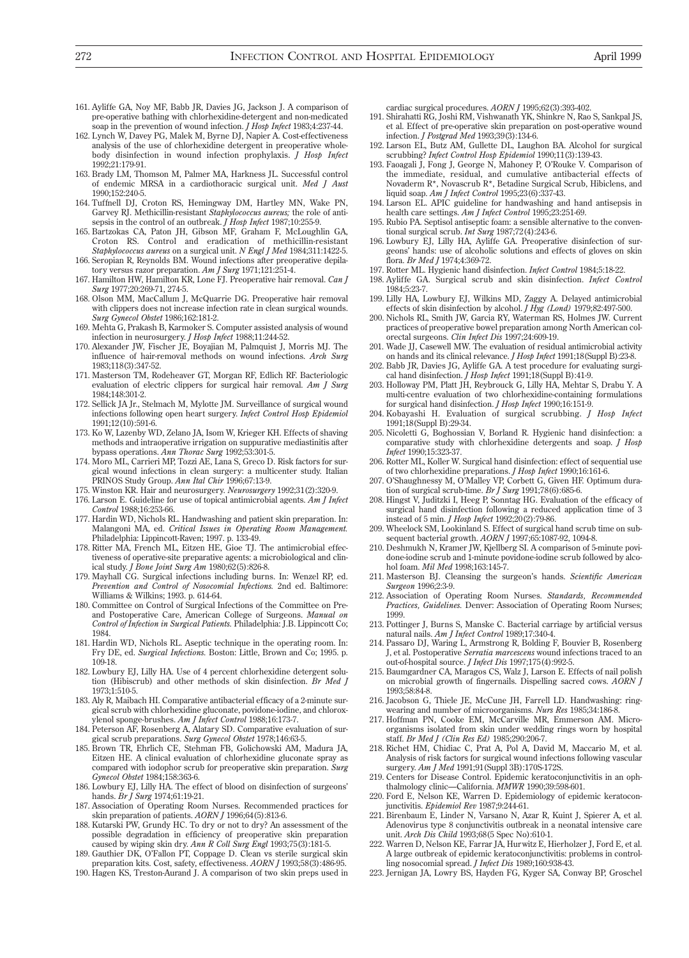- 161. Ayliffe GA, Noy MF, Babb JR, Davies JG, Jackson J. A comparison of pre-operative bathing with chlorhexidine-detergent and non-medicated soap in the prevention of wound infection. *J Hosp Infect* 1983;4:237-44.
- 162. Lynch W, Davey PG, Malek M, Byrne DJ, Napier A. Cost-effectiveness analysis of the use of chlorhexidine detergent in preoperative wholebody disinfection in wound infection prophylaxis. *J Hosp Infect* 1992;21:179-91.
- 163. Brady LM, Thomson M, Palmer MA, Harkness JL. Successful control of endemic MRSA in a cardiothoracic surgical unit. *Med J Aust* 1990;152:240-5.
- 164. Tuffnell DJ, Croton RS, Hemingway DM, Hartley MN, Wake PN, Garvey RJ. Methicillin-resistant *Staphylococcus aureus;* the role of antisepsis in the control of an outbreak. *J Hosp Infect* 1987;10:255-9.
- 165. Bartzokas CA, Paton JH, Gibson MF, Graham F, McLoughlin GA, Croton RS. Control and eradication of methicillin-resistant *Staphylococcus aureus* on a surgical unit. *N Engl J Med* 1984;311:1422-5.
- 166. Seropian R, Reynolds BM. Wound infections after preoperative depilatory versus razor preparation. *Am J Surg* 1971;121:251-4.
- 167. Hamilton HW, Hamilton KR, Lone FJ. Preoperative hair removal. *Can J Surg* 1977;20:269-71, 274-5.
- 168. Olson MM, MacCallum J, McQuarrie DG. Preoperative hair removal with clippers does not increase infection rate in clean surgical wounds. *Surg Gynecol Obstet* 1986;162:181-2.
- 169. Mehta G, Prakash B, Karmoker S. Computer assisted analysis of wound infection in neurosurgery. *J Hosp Infect* 1988;11:244-52.
- 170. Alexander JW, Fischer JE, Boyajian M, Palmquist J, Morris MJ. The influence of hair-removal methods on wound infections. *Arch Surg* 1983;118(3):347-52.
- 171. Masterson TM, Rodeheaver GT, Morgan RF, Edlich RF. Bacteriologic evaluation of electric clippers for surgical hair removal. *Am J Surg* 1984;148:301-2.
- 172. Sellick JA Jr., Stelmach M, Mylotte JM. Surveillance of surgical wound infections following open heart surgery. *Infect Control Hosp Epidemiol* 1991;12(10):591-6.
- 173. Ko W, Lazenby WD, Zelano JA, Isom W, Krieger KH. Effects of shaving methods and intraoperative irrigation on suppurative mediastinitis after bypass operations. *Ann Thorac Surg* 1992;53:301-5.
- 174. Moro ML, Carrieri MP, Tozzi AE, Lana S, Greco D. Risk factors for surgical wound infections in clean surgery: a multicenter study. Italian PRINOS Study Group. *Ann Ital Chir* 1996;67:13-9.
- 175. Winston KR. Hair and neurosurgery. *Neurosurgery* 1992;31(2):320-9.
- 176. Larson E. Guideline for use of topical antimicrobial agents. *Am J Infect Control* 1988;16:253-66.
- 177. Hardin WD, Nichols RL. Handwashing and patient skin preparation. In: Malangoni MA, ed. *Critical Issues in Operating Room Management.* Philadelphia: Lippincott-Raven; 1997. p. 133-49.
- 178. Ritter MA, French ML, Eitzen HE, Gioe TJ. The antimicrobial effectiveness of operative-site preparative agents: a microbiological and clinical study. *J Bone Joint Surg Am* 1980;62(5):826-8.
- 179. Mayhall CG. Surgical infections including burns. In: Wenzel RP, ed. *Prevention and Control of Nosocomial Infections.* 2nd ed. Baltimore: Williams & Wilkins; 1993. p. 614-64.
- 180. Committee on Control of Surgical Infections of the Committee on Preand Postoperative Care, American College of Surgeons. *Manual on Control of Infection in Surgical Patients.* Philadelphia: J.B. Lippincott Co; 1984.
- 181. Hardin WD, Nichols RL. Aseptic technique in the operating room. In: Fry DE, ed. *Surgical Infections.* Boston: Little, Brown and Co; 1995. p. 109-18.
- 182. Lowbury EJ, Lilly HA. Use of 4 percent chlorhexidine detergent solution (Hibiscrub) and other methods of skin disinfection. *Br Med J* 1973;1:510-5.
- 183. Aly R, Maibach HI. Comparative antibacterial efficacy of a 2-minute surgical scrub with chlorhexidine gluconate, povidone-iodine, and chloroxylenol sponge-brushes. *Am J Infect Control* 1988;16:173-7.
- 184. Peterson AF, Rosenberg A, Alatary SD. Comparative evaluation of surgical scrub preparations. *Surg Gynecol Obstet* 1978;146:63-5.
- 185. Brown TR, Ehrlich CE, Stehman FB, Golichowski AM, Madura JA, Eitzen HE. A clinical evaluation of chlorhexidine gluconate spray as compared with iodophor scrub for preoperative skin preparation. *Surg Gynecol Obstet* 1984;158:363-6.
- 186. Lowbury EJ, Lilly HA. The effect of blood on disinfection of surgeons' hands. *Br J Surg* 1974;61:19-21.
- 187. Association of Operating Room Nurses. Recommended practices for skin preparation of patients. *AORN J* 1996;64(5):813-6.
- 188. Kutarski PW, Grundy HC. To dry or not to dry? An assessment of the possible degradation in efficiency of preoperative skin preparation caused by wiping skin dry. *Ann R Coll Surg Engl* 1993;75(3):181-5.
- 189. Gauthier DK, O'Fallon PT, Coppage D. Clean vs sterile surgical skin preparation kits. Cost, safety, effectiveness. *AORN J* 1993;58(3):486-95.
- 190. Hagen KS, Treston-Aurand J. A comparison of two skin preps used in

cardiac surgical procedures. *AORN J* 1995;62(3):393-402.

- 191. Shirahatti RG, Joshi RM, Vishwanath YK, Shinkre N, Rao S, Sankpal JS, et al. Effect of pre-operative skin preparation on post-operative wound infection. *J Postgrad Med* 1993;39(3):134-6.
- 192. Larson EL, Butz AM, Gullette DL, Laughon BA. Alcohol for surgical scrubbing? *Infect Control Hosp Epidemiol* 1990;11(3):139-43.
- 193. Faoagali J, Fong J, George N, Mahoney P, O'Rouke V. Comparison of the immediate, residual, and cumulative antibacterial effects of Novaderm R\*, Novascrub R\*, Betadine Surgical Scrub, Hibiclens, and liquid soap. *Am J Infect Control* 1995;23(6):337-43.
- 194. Larson EL. APIC guideline for handwashing and hand antisepsis in health care settings. *Am J Infect Control* 1995;23:251-69.
- 195. Rubio PA. Septisol antiseptic foam: a sensible alternative to the conventional surgical scrub. *Int Surg* 1987;72(4):243-6.
- 196. Lowbury EJ, Lilly HA, Ayliffe GA. Preoperative disinfection of surgeons' hands: use of alcoholic solutions and effects of gloves on skin flora. *Br Med J* 1974;4:369-72.
- 197. Rotter ML. Hygienic hand disinfection. *Infect Control* 1984;5:18-22.
- 198. Ayliffe GA. Surgical scrub and skin disinfection. *Infect Control* 1984;5:23-7.
- 199. Lilly HA, Lowbury EJ, Wilkins MD, Zaggy A. Delayed antimicrobial effects of skin disinfection by alcohol. *J Hyg (Lond)* 1979;82:497-500.
- 200. Nichols RL, Smith JW, Garcia RY, Waterman RS, Holmes JW. Current practices of preoperative bowel preparation among North American colorectal surgeons. *Clin Infect Dis* 1997;24:609-19.
- 201. Wade JJ, Casewell MW. The evaluation of residual antimicrobial activity on hands and its clinical relevance. *J Hosp Infect* 1991;18(Suppl B):23-8.
- 202. Babb JR, Davies JG, Ayliffe GA. A test procedure for evaluating surgical hand disinfection. *J Hosp Infect* 1991;18(Suppl B):41-9.
- 203. Holloway PM, Platt JH, Reybrouck G, Lilly HA, Mehtar S, Drabu Y. A multi-centre evaluation of two chlorhexidine-containing formulations for surgical hand disinfection. *J Hosp Infect* 1990;16:151-9.
- 204. Kobayashi H. Evaluation of surgical scrubbing. *J Hosp Infect* 1991;18(Suppl B):29-34.
- 205. Nicoletti G, Boghossian V, Borland R. Hygienic hand disinfection: a comparative study with chlorhexidine detergents and soap. *J Hosp Infect* 1990;15:323-37.
- 206. Rotter ML, Koller W. Surgical hand disinfection: effect of sequential use of two chlorhexidine preparations. *J Hosp Infect* 1990;16:161-6.
- 207. O'Shaughnessy M, O'Malley VP, Corbett G, Given HF. Optimum duration of surgical scrub-time. *Br J Surg* 1991;78(6):685-6.
- 208. Hingst V, Juditzki I, Heeg P, Sonntag HG. Evaluation of the efficacy of surgical hand disinfection following a reduced application time of 3 instead of 5 min. *J Hosp Infect* 1992;20(2):79-86.
- 209. Wheelock SM, Lookinland S. Effect of surgical hand scrub time on subsequent bacterial growth. *AORN J* 1997;65:1087-92, 1094-8.
- 210. Deshmukh N, Kramer JW, Kjellberg SI. A comparison of 5-minute povidone-iodine scrub and 1-minute povidone-iodine scrub followed by alcohol foam. *Mil Med* 1998;163:145-7.
- 211. Masterson BJ. Cleansing the surgeon's hands. *Scientific American Surgeon* 1996;2:3-9.
- 212. Association of Operating Room Nurses. *Standards, Recommended Practices, Guidelines.* Denver: Association of Operating Room Nurses; 1999.
- 213. Pottinger J, Burns S, Manske C. Bacterial carriage by artificial versus natural nails. *Am J Infect Control* 1989;17:340-4.
- 214. Passaro DJ, Waring L, Armstrong R, Bolding F, Bouvier B, Rosenberg J, et al. Postoperative *Serratia marcescens* wound infections traced to an out-of-hospital source. *J Infect Dis* 1997;175(4):992-5.
- 215. Baumgardner CA, Maragos CS, Walz J, Larson E. Effects of nail polish on microbial growth of fingernails. Dispelling sacred cows. *AORN J* 1993;58:84-8.
- 216. Jacobson G, Thiele JE, McCune JH, Farrell LD. Handwashing: ringwearing and number of microorganisms. *Nurs Res* 1985;34:186-8.
- 217. Hoffman PN, Cooke EM, McCarville MR, Emmerson AM. Microorganisms isolated from skin under wedding rings worn by hospital staff. *Br Med J (Clin Res Ed)* 1985;290:206-7.
- 218. Richet HM, Chidiac C, Prat A, Pol A, David M, Maccario M, et al. Analysis of risk factors for surgical wound infections following vascular surgery. *Am J Med* 1991;91(Suppl 3B):170S-172S.
- 219. Centers for Disease Control. Epidemic keratoconjunctivitis in an ophthalmology clinic—California. *MMWR* 1990;39:598-601.
- 220. Ford E, Nelson KE, Warren D. Epidemiology of epidemic keratoconjunctivitis. *Epidemiol Rev* 1987;9:244-61.
- 221. Birenbaum E, Linder N, Varsano N, Azar R, Kuint J, Spierer A, et al. Adenovirus type 8 conjunctivitis outbreak in a neonatal intensive care unit. *Arch Dis Child* 1993;68(5 Spec No):610-1.
- 222. Warren D, Nelson KE, Farrar JA, Hurwitz E, Hierholzer J, Ford E, et al. A large outbreak of epidemic keratoconjunctivitis: problems in controlling nosocomial spread. *J Infect Dis* 1989;160:938-43.
- 223. Jernigan JA, Lowry BS, Hayden FG, Kyger SA, Conway BP, Groschel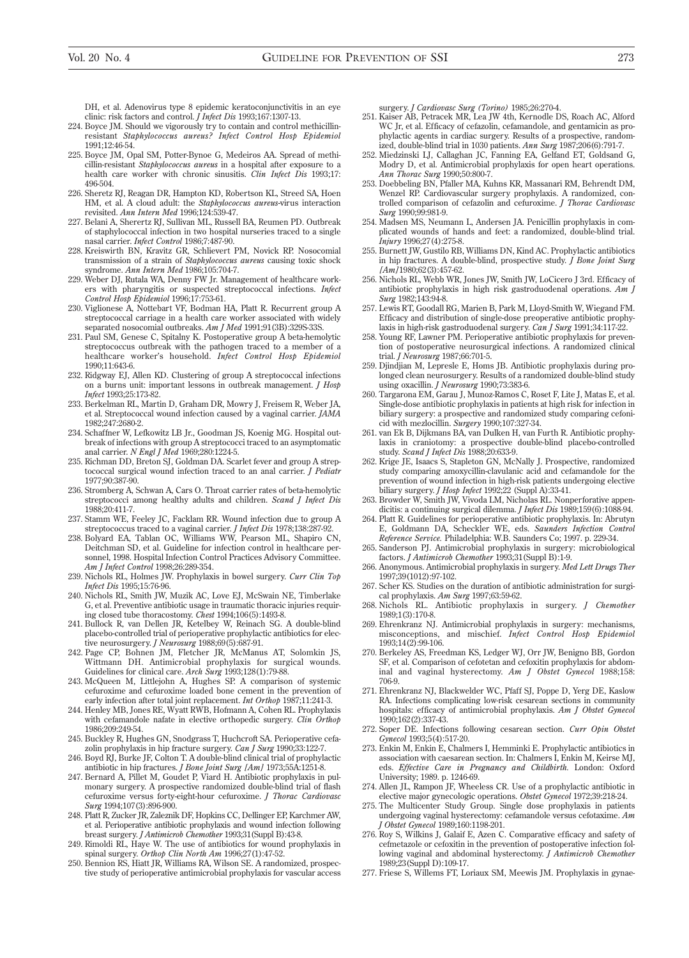DH, et al. Adenovirus type 8 epidemic keratoconjunctivitis in an eye clinic: risk factors and control. *J Infect Dis* 1993;167:1307-13.

- 224. Boyce JM. Should we vigorously try to contain and control methicillinresistant *Staphylococcus aureus? Infect Control Hosp Epidemiol* 1991;12:46-54.
- 225. Boyce JM, Opal SM, Potter-Bynoe G, Medeiros AA. Spread of methicillin-resistant *Staphylococcus aureus* in a hospital after exposure to a health care worker with chronic sinusitis. *Clin Infect Dis* 1993;17: 496-504.
- 226. Sheretz RJ, Reagan DR, Hampton KD, Robertson KL, Streed SA, Hoen HM, et al. A cloud adult: the *Staphylococcus aureus-*virus interaction revisited. *Ann Intern Med* 1996;124:539-47.
- 227. Belani A, Sherertz RJ, Sullivan ML, Russell BA, Reumen PD. Outbreak of staphylococcal infection in two hospital nurseries traced to a single nasal carrier. *Infect Control* 1986;7:487-90.
- 228. Kreiswirth BN, Kravitz GR, Schlievert PM, Novick RP. Nosocomial transmission of a strain of *Staphylococcus aureus* causing toxic shock syndrome. *Ann Intern Med* 1986;105:704-7.
- 229. Weber DJ, Rutala WA, Denny FW Jr. Management of healthcare workers with pharyngitis or suspected streptococcal infections. *Infect Control Hosp Epidemiol* 1996;17:753-61.
- 230. Viglionese A, Nottebart VF, Bodman HA, Platt R. Recurrent group A streptococcal carriage in a health care worker associated with widely separated nosocomial outbreaks. *Am J Med* 1991;91(3B):329S-33S.
- 231. Paul SM, Genese C, Spitalny K. Postoperative group A beta-hemolytic streptococcus outbreak with the pathogen traced to a member of a healthcare worker's household. *Infect Control Hosp Epidemiol* 1990;11:643-6.
- 232. Ridgway EJ, Allen KD. Clustering of group A streptococcal infections on a burns unit: important lessons in outbreak management. *J Hosp Infect* 1993;25:173-82.
- 233. Berkelman RL, Martin D, Graham DR, Mowry J, Freisem R, Weber JA, et al. Streptococcal wound infection caused by a vaginal carrier. *JAMA* 1982;247:2680-2.
- 234. Schaffner W, Lefkowitz LB Jr., Goodman JS, Koenig MG. Hospital outbreak of infections with group A streptococci traced to an asymptomatic anal carrier. *N Engl J Med* 1969;280:1224-5.
- 235. Richman DD, Breton SJ, Goldman DA. Scarlet fever and group A streptococcal surgical wound infection traced to an anal carrier. *J Pediatr* 1977;90:387-90.
- 236. Stromberg A, Schwan A, Cars O. Throat carrier rates of beta-hemolytic streptococci among healthy adults and children. *Scand J Infect Dis* 1988;20:411-7.
- 237. Stamm WE, Feeley JC, Facklam RR. Wound infection due to group A streptococcus traced to a vaginal carrier. *J Infect Dis* 1978;138:287-92.
- 238. Bolyard EA, Tablan OC, Williams WW, Pearson ML, Shapiro CN, Deitchman SD, et al. Guideline for infection control in healthcare personnel, 1998. Hospital Infection Control Practices Advisory Committee. *Am J Infect Control* 1998;26:289-354.
- 239. Nichols RL, Holmes JW. Prophylaxis in bowel surgery. *Curr Clin Top Infect Dis* 1995;15:76-96.
- 240. Nichols RL, Smith JW, Muzik AC, Love EJ, McSwain NE, Timberlake G, et al. Preventive antibiotic usage in traumatic thoracic injuries requiring closed tube thoracostomy. *Chest* 1994;106(5):1493-8.
- 241. Bullock R, van Dellen JR, Ketelbey W, Reinach SG. A double-blind placebo-controlled trial of perioperative prophylactic antibiotics for elective neurosurgery. *J Neurosurg* 1988;69(5):687-91.
- 242. Page CP, Bohnen JM, Fletcher JR, McManus AT, Solomkin JS, Wittmann DH. Antimicrobial prophylaxis for surgical wounds. Guidelines for clinical care. *Arch Surg* 1993;128(1):79-88.
- 243. McQueen M, Littlejohn A, Hughes SP. A comparison of systemic cefuroxime and cefuroxime loaded bone cement in the prevention of early infection after total joint replacement. *Int Orthop* 1987;11:241-3.
- 244. Henley MB, Jones RE, Wyatt RWB, Hofmann A, Cohen RL. Prophylaxis with cefamandole nafate in elective orthopedic surgery. *Clin Orthop* 1986;209:249-54.
- 245. Buckley R, Hughes GN, Snodgrass T, Huchcroft SA. Perioperative cefazolin prophylaxis in hip fracture surgery. *Can J Surg* 1990;33:122-7.
- 246. Boyd RJ, Burke JF, Colton T. A double-blind clinical trial of prophylactic antibiotic in hip fractures. *J Bone Joint Surg [Am]* 1973;55A:1251-8.
- 247. Bernard A, Pillet M, Goudet P, Viard H. Antibiotic prophylaxis in pulmonary surgery. A prospective randomized double-blind trial of flash cefuroxime versus forty-eight-hour cefuroxime. *J Thorac Cardiovasc Surg* 1994;107(3):896-900.
- 248. Platt R, Zucker JR, Zaleznik DF, Hopkins CC, Dellinger EP, Karchmer AW, et al. Perioperative antibiotic prophylaxis and wound infection following breast surgery. *J Antimicrob Chemother* 1993;31(Suppl B):43-8.
- 249. Rimoldi RL, Haye W. The use of antibiotics for wound prophylaxis in spinal surgery. *Orthop Clin North Am* 1996;27(1):47-52.
- 250. Bennion RS, Hiatt JR, Williams RA, Wilson SE. A randomized, prospective study of perioperative antimicrobial prophylaxis for vascular access

surgery. *J Cardiovasc Surg (Torino)* 1985;26:270-4.

- 251. Kaiser AB, Petracek MR, Lea JW 4th, Kernodle DS, Roach AC, Alford WC Jr, et al. Efficacy of cefazolin, cefamandole, and gentamicin as prophylactic agents in cardiac surgery. Results of a prospective, randomized, double-blind trial in 1030 patients. *Ann Surg* 1987;206(6):791-7.
- 252. Miedzinski LJ, Callaghan JC, Fanning EA, Gelfand ET, Goldsand G, Modry D, et al. Antimicrobial prophylaxis for open heart operations. *Ann Thorac Surg* 1990;50:800-7.
- 253. Doebbeling BN, Pfaller MA, Kuhns KR, Massanari RM, Behrendt DM, Wenzel RP. Cardiovascular surgery prophylaxis. A randomized, controlled comparison of cefazolin and cefuroxime. *J Thorac Cardiovasc Surg* 1990;99:981-9.
- 254. Madsen MS, Neumann L, Andersen JA. Penicillin prophylaxis in complicated wounds of hands and feet: a randomized, double-blind trial. *Injury* 1996;27(4):275-8.
- 255. Burnett JW, Gustilo RB, Williams DN, Kind AC. Prophylactic antibiotics in hip fractures. A double-blind, prospective study. *J Bone Joint Surg [Am]*1980;62(3):457-62.
- 256. Nichols RL, Webb WR, Jones JW, Smith JW, LoCicero J 3rd. Efficacy of antibiotic prophylaxis in high risk gastroduodenal operations. *Am J Surg* 1982;143:94-8.
- 257. Lewis RT, Goodall RG, Marien B, Park M, Lloyd-Smith W, Wiegand FM. Efficacy and distribution of single-dose preoperative antibiotic prophylaxis in high-risk gastroduodenal surgery. *Can J Surg* 1991;34:117-22.
- 258. Young RF, Lawner PM. Perioperative antibiotic prophylaxis for prevention of postoperative neurosurgical infections. A randomized clinical trial. *J Neurosurg* 1987;66:701-5.
- 259. Djindjian M, Lepresle E, Homs JB. Antibiotic prophylaxis during prolonged clean neurosurgery. Results of a randomized double-blind study using oxacillin. *J Neurosurg* 1990;73:383-6.
- 260. Targarona EM, Garau J, Munoz-Ramos C, Roset F, Lite J, Matas E, et al. Single-dose antibiotic prophylaxis in patients at high risk for infection in biliary surgery: a prospective and randomized study comparing cefonicid with mezlocillin. *Surgery* 1990;107:327-34.
- 261. van Ek B, Dijkmans BA, van Dulken H, van Furth R. Antibiotic prophylaxis in craniotomy: a prospective double-blind placebo-controlled study. *Scand J Infect Dis* 1988;20:633-9.
- 262. Krige JE, Isaacs S, Stapleton GN, McNally J. Prospective, randomized study comparing amoxycillin-clavulanic acid and cefamandole for the prevention of wound infection in high-risk patients undergoing elective biliary surgery. *J Hosp Infect* 1992;22 (Suppl A):33-41.
- 263. Browder W, Smith JW, Vivoda LM, Nicholas RL. Nonperforative appendicitis: a continuing surgical dilemma. *J Infect Dis* 1989;159(6):1088-94.
- 264. Platt R. Guidelines for perioperative antibiotic prophylaxis. In: Abrutyn E, Goldmann DA, Scheckler WE, eds. *Saunders Infection Control Reference Service.* Philadelphia: W.B. Saunders Co; 1997. p. 229-34.
- 265. Sanderson PJ. Antimicrobial prophylaxis in surgery: microbiological factors. *J Antimicrob Chemother* 1993;31(Suppl B):1-9.
- 266. Anonymous. Antimicrobial prophylaxis in surgery. *Med Lett Drugs Ther* 1997;39(1012):97-102.
- 267. Scher KS. Studies on the duration of antibiotic administration for surgical prophylaxis. *Am Surg* 1997;63:59-62.
- 268. Nichols RL. Antibiotic prophylaxis in surgery. *J Chemother* 1989;1(3):170-8.
- 269. Ehrenkranz NJ. Antimicrobial prophylaxis in surgery: mechanisms, misconceptions, and mischief. *Infect Control Hosp Epidemiol* 1993;14(2):99-106.
- 270. Berkeley AS, Freedman KS, Ledger WJ, Orr JW, Benigno BB, Gordon SF, et al. Comparison of cefotetan and cefoxitin prophylaxis for abdominal and vaginal hysterectomy. *Am J Obstet Gynecol* 1988;158: 706-9.
- 271. Ehrenkranz NJ, Blackwelder WC, Pfaff SJ, Poppe D, Yerg DE, Kaslow RA. Infections complicating low-risk cesarean sections in community hospitals: efficacy of antimicrobial prophylaxis. *Am J Obstet Gynecol* 1990;162(2):337-43.
- 272. Soper DE. Infections following cesarean section. *Curr Opin Obstet Gynecol* 1993;5(4):517-20.
- 273. Enkin M, Enkin E, Chalmers I, Hemminki E. Prophylactic antibiotics in association with caesarean section. In: Chalmers I, Enkin M, Keirse MJ, eds. *Effective Care in Pregnancy and Childbirth.* London: Oxford University; 1989. p. 1246-69.
- 274. Allen JL, Rampon JF, Wheeless CR. Use of a prophylactic antibiotic in elective major gynecologic operations. *Obstet Gynecol* 1972;39:218-24.
- 275. The Multicenter Study Group. Single dose prophylaxis in patients undergoing vaginal hysterectomy: cefamandole versus cefotaxime. *Am J Obstet Gynecol* 1989;160:1198-201.
- 276. Roy S, Wilkins J, Galaif E, Azen C. Comparative efficacy and safety of cefmetazole or cefoxitin in the prevention of postoperative infection following vaginal and abdominal hysterectomy. *J Antimicrob Chemother* 1989;23(Suppl D):109-17.
- 277. Friese S, Willems FT, Loriaux SM, Meewis JM. Prophylaxis in gynae-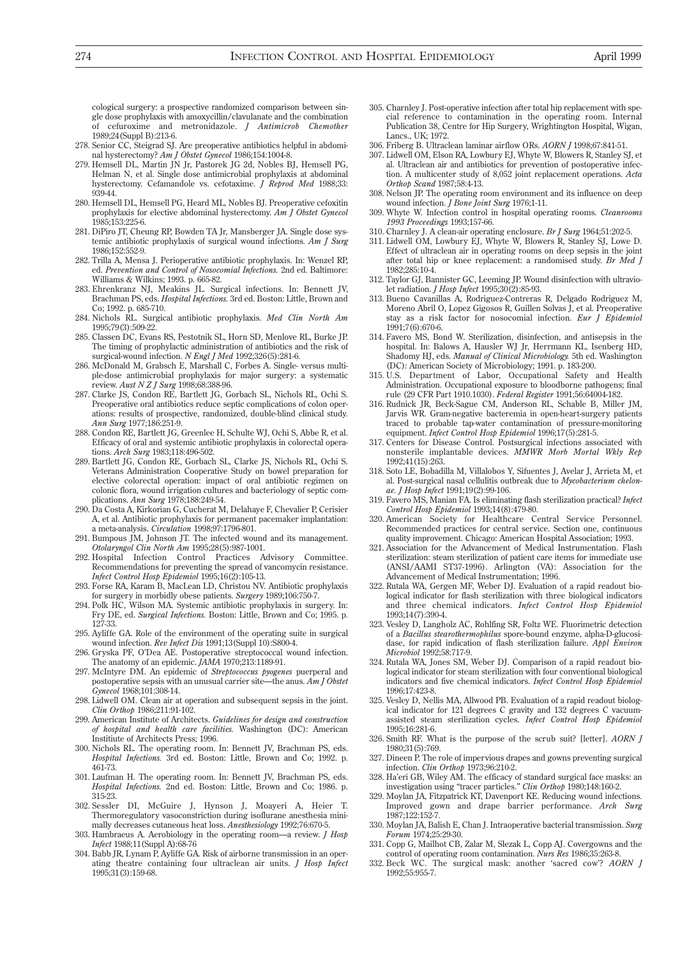cological surgery: a prospective randomized comparison between single dose prophylaxis with amoxycillin/clavulanate and the combination of cefuroxime and metronidazole. *J Antimicrob Chemother* 1989;24(Suppl B):213-6.

- 278. Senior CC, Steigrad SJ. Are preoperative antibiotics helpful in abdominal hysterectomy? *Am J Obstet Gynecol* 1986;154:1004-8.
- 279. Hemsell DL, Martin JN Jr, Pastorek JG 2d, Nobles BJ, Hemsell PG, Helman N, et al. Single dose antimicrobial prophylaxis at abdominal hysterectomy. Cefamandole vs. cefotaxime. *J Reprod Med* 1988;33: 939-44.
- 280. Hemsell DL, Hemsell PG, Heard ML, Nobles BJ. Preoperative cefoxitin prophylaxis for elective abdominal hysterectomy. *Am J Obstet Gynecol* 1985;153:225-6.
- 281. DiPiro JT, Cheung RP, Bowden TA Jr, Mansberger JA. Single dose systemic antibiotic prophylaxis of surgical wound infections. *Am J Surg* 1986;152:552-9.
- 282. Trilla A, Mensa J. Perioperative antibiotic prophylaxis. In: Wenzel RP, ed. *Prevention and Control of Nosocomial Infections.* 2nd ed. Baltimore: Williams & Wilkins; 1993. p. 665-82.
- 283. Ehrenkranz NJ, Meakins JL. Surgical infections. In: Bennett JV, Brachman PS, eds. *Hospital Infections.* 3rd ed. Boston: Little, Brown and Co; 1992. p. 685-710.
- 284. Nichols RL. Surgical antibiotic prophylaxis. *Med Clin North Am* 1995;79(3):509-22.
- 285. Classen DC, Evans RS, Pestotnik SL, Horn SD, Menlove RL, Burke JP. The timing of prophylactic administration of antibiotics and the risk of surgical-wound infection. *N Engl J Med* 1992;326(5):281-6.
- 286. McDonald M, Grabsch E, Marshall C, Forbes A. Single- versus multiple-dose antimicrobial prophylaxis for major surgery: a systematic review. *Aust N Z J Surg* 1998;68:388-96.
- 287. Clarke JS, Condon RE, Bartlett JG, Gorbach SL, Nichols RL, Ochi S. Preoperative oral antibiotics reduce septic complications of colon operations: results of prospective, randomized, double-blind clinical study. *Ann Surg* 1977;186:251-9.
- 288. Condon RE, Bartlett JG, Greenlee H, Schulte WJ, Ochi S, Abbe R, et al. Efficacy of oral and systemic antibiotic prophylaxis in colorectal operations. *Arch Surg* 1983;118:496-502.
- 289. Bartlett JG, Condon RE, Gorbach SL, Clarke JS, Nichols RL, Ochi S. Veterans Administration Cooperative Study on bowel preparation for elective colorectal operation: impact of oral antibiotic regimen on colonic flora, wound irrigation cultures and bacteriology of septic complications. *Ann Surg* 1978;188:249-54.
- 290. Da Costa A, Kirkorian G, Cucherat M, Delahaye F, Chevalier P, Cerisier A, et al. Antibiotic prophylaxis for permanent pacemaker implantation: a meta-analysis. *Circulation* 1998;97:1796-801.
- 291. Bumpous JM, Johnson JT. The infected wound and its management. *Otolaryngol Clin North Am* 1995;28(5):987-1001.
- 292. Hospital Infection Control Practices Advisory Committee. Recommendations for preventing the spread of vancomycin resistance. *Infect Control Hosp Epidemiol* 1995;16(2):105-13.
- 293. Forse RA, Karam B, MacLean LD, Christou NV. Antibiotic prophylaxis for surgery in morbidly obese patients. *Surgery* 1989;106:750-7.
- 294. Polk HC, Wilson MA. Systemic antibiotic prophylaxis in surgery. In: Fry DE, ed. *Surgical Infections.* Boston: Little, Brown and Co; 1995. p. 127-33.
- 295. Ayliffe GA. Role of the environment of the operating suite in surgical wound infection. *Rev Infect Dis* 1991;13(Suppl 10):S800-4.
- 296. Gryska PF, O'Dea AE. Postoperative streptococcal wound infection. The anatomy of an epidemic. *JAMA* 1970;213:1189-91.
- 297. McIntyre DM. An epidemic of *Streptococcus pyogenes* puerperal and postoperative sepsis with an unusual carrier site—the anus. *Am J Obstet Gynecol* 1968;101:308-14.
- 298. Lidwell OM. Clean air at operation and subsequent sepsis in the joint. *Clin Orthop* 1986;211:91-102.
- 299. American Institute of Architects. *Guidelines for design and construction of hospital and health care facilities.* Washington (DC): American Institiute of Architects Press; 1996.
- 300. Nichols RL. The operating room. In: Bennett JV, Brachman PS, eds. *Hospital Infections.* 3rd ed. Boston: Little, Brown and Co; 1992. p. 461-73.
- 301. Laufman H. The operating room. In: Bennett JV, Brachman PS, eds. *Hospital Infections.* 2nd ed. Boston: Little, Brown and Co; 1986. p. 315-23.
- 302. Sessler DI, McGuire J, Hynson J, Moayeri A, Heier T. Thermoregulatory vasoconstriction during isoflurane anesthesia minimally decreases cutaneous heat loss. *Anesthesiology* 1992;76:670-5.
- 303. Hambraeus A. Aerobiology in the operating room—a review. *J Hosp Infect* 1988;11(Suppl A):68-76
- 304. Babb JR, Lynam P, Ayliffe GA. Risk of airborne transmission in an operating theatre containing four ultraclean air units. *J Hosp Infect* 1995;31(3):159-68.
- 305. Charnley J. Post-operative infection after total hip replacement with special reference to contamination in the operating room. Internal Publication 38, Centre for Hip Surgery, Wrightington Hospital, Wigan, Lancs., UK; 1972.
- 306. Friberg B. Ultraclean laminar airflow ORs. *AORN J* 1998;67:841-51.
- 307. Lidwell OM, Elson RA, Lowbury EJ, Whyte W, Blowers R, Stanley SJ, et al. Ultraclean air and antibiotics for prevention of postoperative infection. A multicenter study of 8,052 joint replacement operations. *Acta Orthop Scand* 1987;58:4-13.
- 308. Nelson JP. The operating room environment and its influence on deep wound infection. *J Bone Joint Surg* 1976;1-11.
- 309. Whyte W. Infection control in hospital operating rooms. *Cleanrooms 1993 Proceedings* 1993;157-66.
- 310. Charnley J. A clean-air operating enclosure. *Br J Surg* 1964;51:202-5.
- 311. Lidwell OM, Lowbury EJ, Whyte W, Blowers R, Stanley SJ, Lowe D. Effect of ultraclean air in operating rooms on deep sepsis in the joint after total hip or knee replacement: a randomised study. *Br Med J* 1982;285:10-4.
- 312. Taylor GJ, Bannister GC, Leeming JP. Wound disinfection with ultraviolet radiation. *J Hosp Infect* 1995;30(2):85-93.
- 313. Bueno Cavanillas A, Rodriguez-Contreras R, Delgado Rodriguez M, Moreno Abril O, Lopez Gigosos R, Guillen Solvas J, et al. Preoperative stay as a risk factor for nosocomial infection. *Eur J Epidemiol* 1991;7(6):670-6.
- 314. Favero MS, Bond W. Sterilization, disinfection, and antisepsis in the hospital. In: Balows A, Hausler WJ Jr, Herrmann KL, Isenberg HD, Shadomy HJ, eds. *Manual of Clinical Microbiology.* 5th ed. Washington (DC): American Society of Microbiology; 1991. p. 183-200.
- 315. U.S. Department of Labor, Occupational Safety and Health Administration. Occupational exposure to bloodborne pathogens; final rule (29 CFR Part 1910.1030). *Federal Register* 1991;56:64004-182.
- 316. Rudnick JR, Beck-Sague CM, Anderson RL, Schable B, Miller JM, Jarvis WR. Gram-negative bacteremia in open-heart-surgery patients traced to probable tap-water contamination of pressure-monitoring equipment. *Infect Control Hosp Epidemiol* 1996;17(5):281-5.
- 317. Centers for Disease Control. Postsurgical infections associated with nonsterile implantable devices. *MMWR Morb Mortal Wkly Rep* 1992;41(15):263.
- 318. Soto LE, Bobadilla M, Villalobos Y, Sifuentes J, Avelar J, Arrieta M, et al. Post-surgical nasal cellulitis outbreak due to *Mycobacterium chelonae. J Hosp Infect* 1991;19(2):99-106.
- 319. Favero MS, Manian FA. Is eliminating flash sterilization practical? *Infect Control Hosp Epidemiol* 1993;14(8):479-80.
- 320. American Society for Healthcare Central Service Personnel. Recommended practices for central service. Section one, continuous quality improvement. Chicago: American Hospital Association; 1993.
- 321. Association for the Advancement of Medical Instrumentation. Flash sterilization: steam sterilization of patient care items for immediate use (ANSI/AAMI ST37-1996). Arlington (VA): Association for the Advancement of Medical Instrumentation; 1996.
- 322. Rutala WA, Gergen MF, Weber DJ. Evaluation of a rapid readout biological indicator for flash sterilization with three biological indicators and three chemical indicators. *Infect Control Hosp Epidemiol* 1993;14(7):390-4.
- 323. Vesley D, Langholz AC, Rohlfing SR, Foltz WE. Fluorimetric detection of a *Bacillus stearothermophilus* spore-bound enzyme, alpha-D-glucosidase, for rapid indication of flash sterilization failure. *Appl Environ Microbiol* 1992;58:717-9.
- 324. Rutala WA, Jones SM, Weber DJ. Comparison of a rapid readout biological indicator for steam sterilization with four conventional biological indicators and five chemical indicators. *Infect Control Hosp Epidemiol* 1996;17:423-8.
- 325. Vesley D, Nellis MA, Allwood PB. Evaluation of a rapid readout biological indicator for 121 degrees C gravity and 132 degrees C vacuumassisted steam sterilization cycles. *Infect Control Hosp Epidemiol* 1995;16:281-6.
- 326. Smith RF. What is the purpose of the scrub suit? [letter]. *AORN J* 1980;31(5):769.
- 327. Dineen P. The role of impervious drapes and gowns preventing surgical infection. *Clin Orthop* 1973;96:210-2.
- 328. Ha'eri GB, Wiley AM. The efficacy of standard surgical face masks: an investigation using "tracer particles." *Clin Orthop* 1980;148:160-2.
- 329. Moylan JA, Fitzpatrick KT, Davenport KE. Reducing wound infections. Improved gown and drape barrier performance. *Arch Surg* 1987;122:152-7.
- 330. Moylan JA, Balish E, Chan J. Intraoperative bacterial transmission. *Surg Forum* 1974;25:29-30.
- 331. Copp G, Mailhot CB, Zalar M, Slezak L, Copp AJ. Covergowns and the control of operating room contamination. *Nurs Res* 1986;35:263-8.
- 332. Beck WC. The surgical mask: another 'sacred cow'? *AORN J* 1992;55:955-7.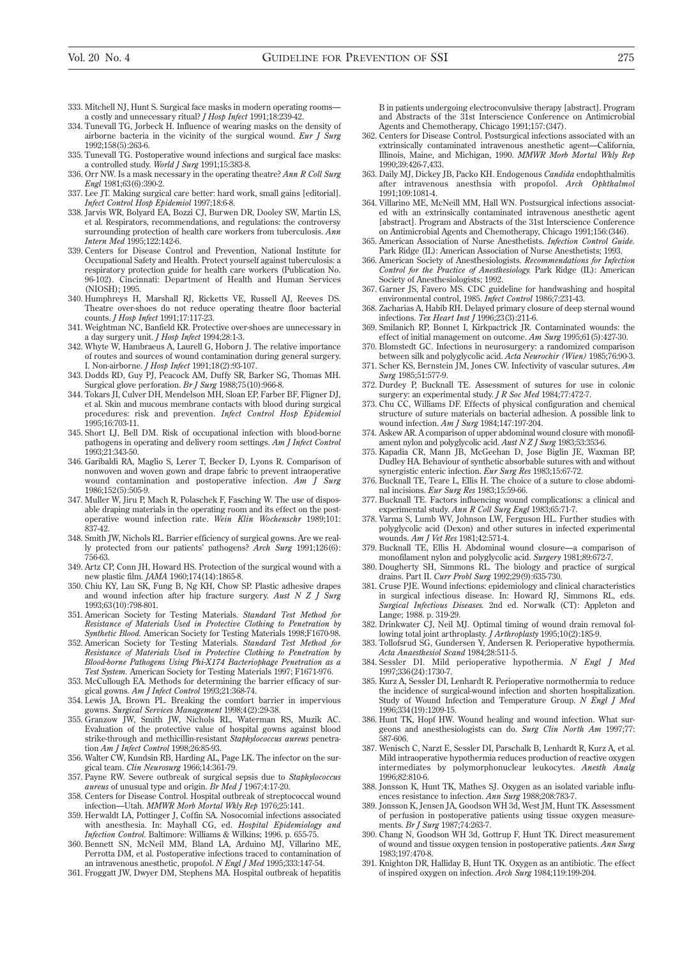- 333. Mitchell NJ, Hunt S. Surgical face masks in modern operating rooms a costly and unnecessary ritual? *J Hosp Infect* 1991;18:239-42.
- 334. Tunevall TG, Jorbeck H. Influence of wearing masks on the density of airborne bacteria in the vicinity of the surgical wound. *Eur J Surg* 1992;158(5):263-6.
- 335. Tunevall TG. Postoperative wound infections and surgical face masks: a controlled study. *World J Surg* 1991;15:383-8.
- 336. Orr NW. Is a mask necessary in the operating theatre? *Ann R Coll Surg Engl* 1981;63(6):390-2.
- 337. Lee JT. Making surgical care better: hard work, small gains [editorial]. *Infect Control Hosp Epidemiol* 1997;18:6-8.
- 338. Jarvis WR, Bolyard EA, Bozzi CJ, Burwen DR, Dooley SW, Martin LS, et al. Respirators, recommendations, and regulations: the controversy surrounding protection of health care workers from tuberculosis. *Ann Intern Med* 1995;122:142-6.
- 339. Centers for Disease Control and Prevention, National Institute for Occupational Safety and Health. Protect yourself against tuberculosis: a respiratory protection guide for health care workers (Publication No. 96-102). Cincinnati: Department of Health and Human Services (NIOSH); 1995.
- 340. Humphreys H, Marshall RJ, Ricketts VE, Russell AJ, Reeves DS. Theatre over-shoes do not reduce operating theatre floor bacterial counts. *J Hosp Infect* 1991;17:117-23.
- 341. Weightman NC, Banfield KR. Protective over-shoes are unnecessary in a day surgery unit. *J Hosp Infect* 1994;28:1-3.
- 342. Whyte W, Hambraeus A, Laurell G, Hoborn J. The relative importance of routes and sources of wound contamination during general surgery. I. Non-airborne. *J Hosp Infect* 1991;18(2):93-107.
- 343. Dodds RD, Guy PJ, Peacock AM, Duffy SR, Barker SG, Thomas MH. Surgical glove perforation. *Br J Surg* 1988;75(10):966-8.
- 344. Tokars JI, Culver DH, Mendelson MH, Sloan EP, Farber BF, Fligner DJ, et al. Skin and mucous membrane contacts with blood during surgical procedures: risk and prevention. *Infect Control Hosp Epidemiol* 1995;16:703-11.
- 345. Short LJ, Bell DM. Risk of occupational infection with blood-borne pathogens in operating and delivery room settings. *Am J Infect Control* 1993;21:343-50.
- 346. Garibaldi RA, Maglio S, Lerer T, Becker D, Lyons R. Comparison of nonwoven and woven gown and drape fabric to prevent intraoperative wound contamination and postoperative infection. *Am J Surg* 1986;152(5):505-9.
- 347. Muller W, Jiru P, Mach R, Polaschek F, Fasching W. The use of disposable draping materials in the operating room and its effect on the postoperative wound infection rate. *Wein Klin Wochenschr* 1989;101: 837-42.
- 348. Smith JW, Nichols RL. Barrier efficiency of surgical gowns. Are we really protected from our patients' pathogens? *Arch Surg* 1991;126(6): 756-63.
- 349. Artz CP, Conn JH, Howard HS. Protection of the surgical wound with a new plastic film. *JAMA* 1960;174(14):1865-8.
- 350. Chiu KY, Lau SK, Fung B, Ng KH, Chow SP. Plastic adhesive drapes and wound infection after hip fracture surgery. *Aust N Z J Surg* 1993;63(10):798-801.
- 351. American Society for Testing Materials. *Standard Test Method for Resistance of Materials Used in Protective Clothing to Penetration by Synthetic Blood.* American Society for Testing Materials 1998;F1670-98.
- 352. American Society for Testing Materials. *Standard Test Method for Resistance of Materials Used in Protective Clothing to Penetration by Blood-borne Pathogens Using Phi-X174 Bacteriophage Penetration as a Test System.* American Society for Testing Materials 1997; F1671-976.
- 353. McCullough EA. Methods for determining the barrier efficacy of surgical gowns. *Am J Infect Control* 1993;21:368-74.
- 354. Lewis JA, Brown PL. Breaking the comfort barrier in impervious gowns. *Surgical Services Management* 1998;4(2):29-38.
- 355. Granzow JW, Smith JW, Nichols RL, Waterman RS, Muzik AC. Evaluation of the protective value of hospital gowns against blood strike-through and methicillin-resistant *Staphylococcus aureus* penetration *Am J Infect Control* 1998;26:85-93.
- 356. Walter CW, Kundsin RB, Harding AL, Page LK. The infector on the surgical team. *Clin Neurosurg* 1966;14:361-79.
- 357. Payne RW. Severe outbreak of surgical sepsis due to *Staphylococcus aureus* of unusual type and origin. *Br Med J* 1967;4:17-20.
- 358. Centers for Disease Control. Hospital outbreak of streptococcal wound infection—Utah. *MMWR Morb Mortal Wkly Rep* 1976;25:141.
- 359. Herwaldt LA, Pottinger J, Coffin SA. Nosocomial infections associated with anesthesia. In: Mayhall CG, ed. *Hospital Epidemiology and Infection Control.* Baltimore: Williams & Wilkins; 1996. p. 655-75.
- 360. Bennett SN, McNeil MM, Bland LA, Arduino MJ, Villarino ME, Perrotta DM, et al. Postoperative infections traced to contamination of an intravenous anesthetic, propofol. *N Engl J Med* 1995;333:147-54.
- 361. Froggatt JW, Dwyer DM, Stephens MA. Hospital outbreak of hepatitis

B in patients undergoing electroconvulsive therapy [abstract]. Program and Abstracts of the 31st Interscience Conference on Antimicrobial Agents and Chemotherapy, Chicago 1991;157:(347).

- 362. Centers for Disease Control. Postsurgical infections associated with an extrinsically contaminated intravenous anesthetic agent—California, Illinois, Maine, and Michigan, 1990. *MMWR Morb Mortal Wkly Rep* 1990;39:426-7,433.
- 363. Daily MJ, Dickey JB, Packo KH. Endogenous *Candida* endophthalmitis after intravenous anesthsia with propofol. *Arch Ophthalmol* 1991;109:1081-4.
- 364. Villarino ME, McNeill MM, Hall WN. Postsurgical infections associated with an extrinsically contaminated intravenous anesthetic agent [abstract]. Program and Abstracts of the 31st Interscience Conference on Antimicrobial Agents and Chemotherapy, Chicago 1991;156:(346).
- 365. American Association of Nurse Anesthetists. *Infection Control Guide.* Park Ridge (IL): American Association of Nurse Anesthetists; 1993.
- 366. American Society of Anesthesiologists. *Recommendations for Infection Control for the Practice of Anesthesiology.* Park Ridge (IL): American Society of Anesthesiologists; 1992.
- 367. Garner JS, Favero MS. CDC guideline for handwashing and hospital environmental control, 1985. *Infect Control* 1986;7:231-43.
- 368. Zacharias A, Habib RH. Delayed primary closure of deep sternal wound infections. *Tex Heart Inst J* 1996;23(3):211-6.
- 369. Smilanich RP, Bonnet I, Kirkpactrick JR. Contaminated wounds: the effect of initial management on outcome. *Am Surg* 1995;61(5):427-30.
- 370. Blomstedt GC. Infections in neurosurgery: a randomized comparison between silk and polyglycolic acid. *Acta Neurochir (Wien)* 1985;76:90-3.
- 371. Scher KS, Bernstein JM, Jones CW. Infectivity of vascular sutures. *Am Surg* 1985;51:577-9.
- 372. Durdey P, Bucknall TE. Assessment of sutures for use in colonic surgery: an experimental study. *J R Soc Med* 1984;77:472-7.
- 373. Chu CC, Williams DF. Effects of physical configuration and chemical structure of suture materials on bacterial adhesion. A possible link to wound infection. *Am J Surg* 1984;147:197-204.
- 374. Askew AR. A comparison of upper abdominal wound closure with monofilament nylon and polyglycolic acid. *Aust N Z J Surg* 1983;53:353-6.
- 375. Kapadia CR, Mann JB, McGeehan D, Jose Biglin JE, Waxman BP, Dudley HA. Behaviour of synthetic absorbable sutures with and without synergistic enteric infection. *Eur Surg Res* 1983;15:67-72.
- 376. Bucknall TE, Teare L, Ellis H. The choice of a suture to close abdominal incisions. *Eur Surg Res* 1983;15:59-66.
- 377. Bucknall TE. Factors influencing wound complications: a clinical and experimental study. *Ann R Coll Surg Engl* 1983;65:71-7.
- 378. Varma S, Lumb WV, Johnson LW, Ferguson HL. Further studies with polyglycolic acid (Dexon) and other sutures in infected experimental wounds. *Am J Vet Res* 1981;42:571-4.
- 379. Bucknall TE, Ellis H. Abdominal wound closure—a comparison of monofilament nylon and polyglycolic acid. *Surgery* 1981;89:672-7.
- 380. Dougherty SH, Simmons RL. The biology and practice of surgical drains. Part II. *Curr Probl Surg* 1992;29(9):635-730.
- 381. Cruse PJE. Wound infections: epidemiology and clinical characteristics in surgical infectious disease. In: Howard RJ, Simmons RL, eds. *Surgical Infectious Diseases.* 2nd ed. Norwalk (CT): Appleton and Lange; 1988. p. 319-29.
- 382. Drinkwater CJ, Neil MJ. Optimal timing of wound drain removal following total joint arthroplasty. *J Arthroplasty* 1995;10(2):185-9.
- 383. Tollofsrud SG, Gundersen Y, Andersen R. Perioperative hypothermia. *Acta Anaesthesiol Scand* 1984;28:511-5.
- 384. Sessler DI. Mild perioperative hypothermia. *N Engl J Med* 1997;336(24):1730-7.
- 385. Kurz A, Sessler DI, Lenhardt R. Perioperative normothermia to reduce the incidence of surgical-wound infection and shorten hospitalization. Study of Wound Infection and Temperature Group. *N Engl J Med* 1996;334(19):1209-15.
- 386. Hunt TK, Hopf HW. Wound healing and wound infection. What surgeons and anesthesiologists can do. *Surg Clin North Am* 1997;77: 587-606.
- 387. Wenisch C, Narzt E, Sessler DI, Parschalk B, Lenhardt R, Kurz A, et al. Mild intraoperative hypothermia reduces production of reactive oxygen intermediates by polymorphonuclear leukocytes. *Anesth Analg* 1996;82:810-6.
- 388. Jonsson K, Hunt TK, Mathes SJ. Oxygen as an isolated variable influences resistance to infection. *Ann Surg* 1988;208:783-7.
- 389. Jonsson K, Jensen JA, Goodson WH 3d, West JM, Hunt TK. Assessment of perfusion in postoperative patients using tissue oxygen measurements. *Br J Surg* 1987;74:263-7.
- 390. Chang N, Goodson WH 3d, Gottrup F, Hunt TK. Direct measurement of wound and tissue oxygen tension in postoperative patients. *Ann Surg* 1983;197:470-8.
- 391. Knighton DR, Halliday B, Hunt TK. Oxygen as an antibiotic. The effect of inspired oxygen on infection. *Arch Surg* 1984;119:199-204.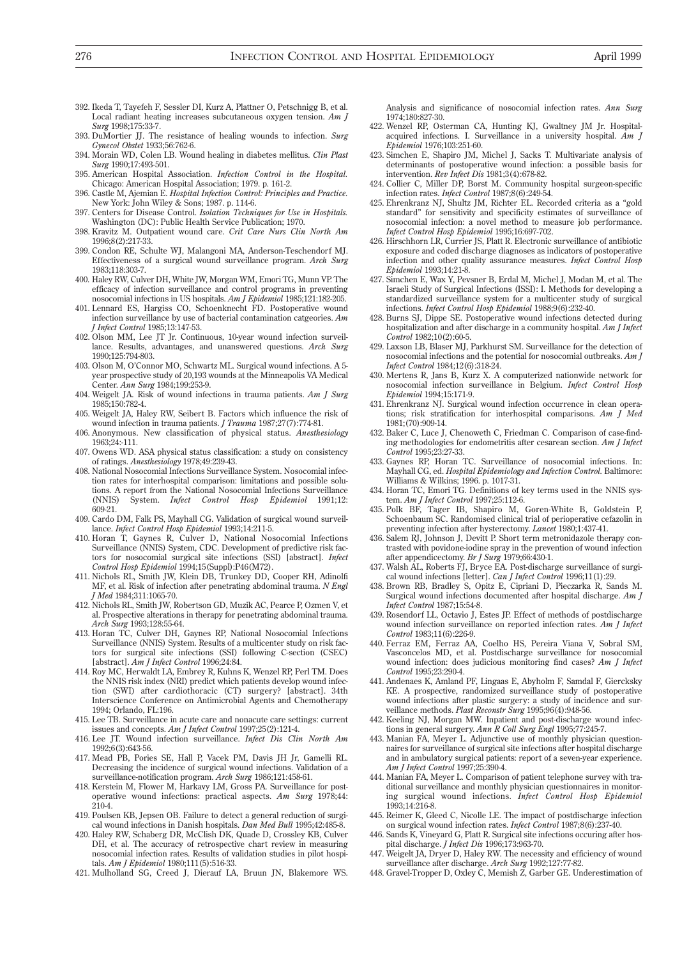- 392. Ikeda T, Tayefeh F, Sessler DI, Kurz A, Plattner O, Petschnigg B, et al. Local radiant heating increases subcutaneous oxygen tension. *Am J Surg* 1998;175:33-7.
- 393. DuMortier JJ. The resistance of healing wounds to infection. *Surg Gynecol Obstet* 1933;56:762-6.
- 394. Morain WD, Colen LB. Wound healing in diabetes mellitus. *Clin Plast Surg* 1990;17:493-501. 395. American Hospital Association. *Infection Control in the Hospital.*
- Chicago: American Hospital Association; 1979. p. 161-2.
- 396. Castle M, Ajemian E. *Hospital Infection Control: Principles and Practice.* New York: John Wiley & Sons; 1987. p. 114-6.
- 397. Centers for Disease Control. *Isolation Techniques for Use in Hospitals.* Washington (DC): Public Health Service Publication; 1970.
- 398. Kravitz M. Outpatient wound care. *Crit Care Nurs Clin North Am* 1996;8(2):217-33.
- 399. Condon RE, Schulte WJ, Malangoni MA, Anderson-Teschendorf MJ. Effectiveness of a surgical wound surveillance program. *Arch Surg* 1983;118:303-7.
- 400. Haley RW, Culver DH, White JW, Morgan WM, Emori TG, Munn VP. The efficacy of infection surveillance and control programs in preventing nosocomial infections in US hospitals. *Am J Epidemiol* 1985;121:182-205.
- 401. Lennard ES, Hargiss CO, Schoenknecht FD. Postoperative wound infection surveillance by use of bacterial contamination catgeories. *Am J Infect Control* 1985;13:147-53.
- 402. Olson MM, Lee JT Jr. Continuous, 10-year wound infection surveillance. Results, advantages, and unanswered questions. *Arch Surg* 1990;125:794-803.
- 403. Olson M, O'Connor MO, Schwartz ML. Surgical wound infections. A 5 year prospective study of 20,193 wounds at the Minneapolis VA Medical Center. *Ann Surg* 1984;199:253-9.
- 404. Weigelt JA. Risk of wound infections in trauma patients. *Am J Surg* 1985;150:782-4.
- 405. Weigelt JA, Haley RW, Seibert B. Factors which influence the risk of wound infection in trauma patients. *J Trauma* 1987;27(7):774-81.
- 406. Anonymous. New classification of physical status. *Anesthesiology* 1963;24:-111.
- 407. Owens WD. ASA physical status classification: a study on consistency of ratings. *Anesthesiology* 1978;49:239-43.
- 408. National Nosocomial Infections Surveillance System. Nosocomial infection rates for interhospital comparison: limitations and possible solutions. A report from the National Nosocomial Infections Surveillance (NNIS) System. Infect Control Hosp Epidemiol 1991;12: System. *Infect Control Hosp Epidemiol* 1991;12: 609-21.
- 409. Cardo DM, Falk PS, Mayhall CG. Validation of surgical wound surveillance. *Infect Control Hosp Epidemiol* 1993;14:211-5.
- 410. Horan T, Gaynes R, Culver D, National Nosocomial Infections Surveillance (NNIS) System, CDC. Development of predictive risk factors for nosocomial surgical site infections (SSI) [abstract]. *Infect Control Hosp Epidemiol* 1994;15(Suppl):P46(M72).
- 411. Nichols RL, Smith JW, Klein DB, Trunkey DD, Cooper RH, Adinolfi MF, et al. Risk of infection after penetrating abdominal trauma. *N Engl J Med* 1984;311:1065-70.
- 412. Nichols RL, Smith JW, Robertson GD, Muzik AC, Pearce P, Ozmen V, et al. Prospective alterations in therapy for penetrating abdominal trauma. *Arch Surg* 1993;128:55-64.
- 413. Horan TC, Culver DH, Gaynes RP, National Nosocomial Infections Surveillance (NNIS) System. Results of a multicenter study on risk factors for surgical site infections (SSI) following C-section (CSEC) [abstract]. *Am J Infect Control* 1996;24:84.
- 414. Roy MC, Herwaldt LA, Embrey R, Kuhns K, Wenzel RP, Perl TM. Does the NNIS risk index (NRI) predict which patients develop wound infection (SWI) after cardiothoracic (CT) surgery? [abstract]. 34th Interscience Conference on Antimicrobial Agents and Chemotherapy 1994; Orlando, FL:196.
- 415. Lee TB. Surveillance in acute care and nonacute care settings: current issues and concepts. *Am J Infect Control* 1997;25(2):121-4.
- 416. Lee JT. Wound infection surveillance. *Infect Dis Clin North Am* 1992;6(3):643-56.
- 417. Mead PB, Pories SE, Hall P, Vacek PM, Davis JH Jr, Gamelli RL. Decreasing the incidence of surgical wound infections. Validation of a surveillance-notification program. *Arch Surg* 1986;121:458-61.
- 418. Kerstein M, Flower M, Harkavy LM, Gross PA. Surveillance for postoperative wound infections: practical aspects. *Am Surg* 1978;44: 210-4.
- 419. Poulsen KB, Jepsen OB. Failure to detect a general reduction of surgical wound infections in Danish hospitals. *Dan Med Bull* 1995;42:485-8.
- 420. Haley RW, Schaberg DR, McClish DK, Quade D, Crossley KB, Culver DH, et al. The accuracy of retrospective chart review in measuring nosocomial infection rates. Results of validation studies in pilot hospitals. *Am J Epidemiol* 1980;111(5):516-33.
- 421. Mulholland SG, Creed J, Dierauf LA, Bruun JN, Blakemore WS.

Analysis and significance of nosocomial infection rates. *Ann Surg* 1974;180:827-30.

- 422. Wenzel RP, Osterman CA, Hunting KJ, Gwaltney JM Jr. Hospitalacquired infections. I. Surveillance in a university hospital. *Am J Epidemiol* 1976;103:251-60.
- 423. Simchen E, Shapiro JM, Michel J, Sacks T. Multivariate analysis of determinants of postoperative wound infection: a possible basis for intervention. *Rev Infect Dis* 1981;3(4):678-82.
- 424. Collier C, Miller DP, Borst M. Community hospital surgeon-specific infection rates. *Infect Control* 1987;8(6):249-54.
- 425. Ehrenkranz NJ, Shultz JM, Richter EL. Recorded criteria as a "gold standard" for sensitivity and specificity estimates of surveillance of nosocomial infection: a novel method to measure job performance. *Infect Control Hosp Epidemiol* 1995;16:697-702.
- 426. Hirschhorn LR, Currier JS, Platt R. Electronic surveillance of antibiotic exposure and coded discharge diagnoses as indicators of postoperative infection and other quality assurance measures. *Infect Control Hosp Epidemiol* 1993;14:21-8.
- 427. Simchen E, Wax Y, Pevsner B, Erdal M, Michel J, Modan M, et al. The Israeli Study of Surgical Infections (ISSI): I. Methods for developing a standardized surveillance system for a multicenter study of surgical infections. *Infect Control Hosp Epidemiol* 1988;9(6):232-40.
- 428. Burns SJ, Dippe SE. Postoperative wound infections detected during hospitalization and after discharge in a community hospital. *Am J Infect Control* 1982;10(2):60-5.
- 429. Laxson LB, Blaser MJ, Parkhurst SM. Surveillance for the detection of nosocomial infections and the potential for nosocomial outbreaks. *Am J Infect Control* 1984;12(6):318-24.
- 430. Mertens R, Jans B, Kurz X. A computerized nationwide network for nosocomial infection surveillance in Belgium. *Infect Control Hosp Epidemiol* 1994;15:171-9.
- 431. Ehrenkranz NJ. Surgical wound infection occurrence in clean operations; risk stratification for interhospital comparisons. *Am J Med* 1981;(70):909-14.
- 432. Baker C, Luce J, Chenoweth C, Friedman C. Comparison of case-finding methodologies for endometritis after cesarean section. *Am J Infect Control* 1995;23:27-33.
- 433. Gaynes RP, Horan TC. Surveillance of nosocomial infections. In: Mayhall CG, ed. *Hospital Epidemiology and Infection Control.* Baltimore: Williams & Wilkins; 1996. p. 1017-31.
- 434. Horan TC, Emori TG. Definitions of key terms used in the NNIS system. *Am J Infect Control* 1997;25:112-6.
- 435. Polk BF, Tager IB, Shapiro M, Goren-White B, Goldstein P, Schoenbaum SC. Randomised clinical trial of perioperative cefazolin in preventing infection after hysterectomy. *Lancet* 1980;1:437-41.
- 436. Salem RJ, Johnson J, Devitt P. Short term metronidazole therapy contrasted with povidone-iodine spray in the prevention of wound infection after appendicectomy. *Br J Surg* 1979;66:430-1.
- 437. Walsh AL, Roberts FJ, Bryce EA. Post-discharge surveillance of surgical wound infections [letter]. *Can J Infect Control* 1996;11(1):29.
- 438. Brown RB, Bradley S, Opitz E, Cipriani D, Pieczarka R, Sands M. Surgical wound infections documented after hospital discharge. *Am J Infect Control* 1987;15:54-8.
- 439. Rosendorf LL, Octavio J, Estes JP. Effect of methods of postdischarge wound infection surveillance on reported infection rates. *Am J Infect Control* 1983;11(6):226-9.
- 440. Ferraz EM, Ferraz AA, Coelho HS, Pereira Viana V, Sobral SM, Vasconcelos MD, et al. Postdischarge surveillance for nosocomial wound infection: does judicious monitoring find cases? *Am J Infect Control* 1995;23:290-4.
- 441. Andenaes K, Amland PF, Lingaas E, Abyholm F, Samdal F, Giercksky KE. A prospective, randomized surveillance study of postoperative wound infections after plastic surgery: a study of incidence and surveillance methods. *Plast Reconstr Surg* 1995;96(4):948-56.
- 442. Keeling NJ, Morgan MW. Inpatient and post-discharge wound infections in general surgery. *Ann R Coll Surg Engl* 1995;77:245-7.
- 443. Manian FA, Meyer L. Adjunctive use of monthly physician questionnaires for surveillance of surgical site infections after hospital discharge and in ambulatory surgical patients: report of a seven-year experience. *Am J Infect Control* 1997;25:390-4.
- 444. Manian FA, Meyer L. Comparison of patient telephone survey with traditional surveillance and monthly physician questionnaires in monitoring surgical wound infections. *Infect Control Hosp Epidemiol* 1993;14:216-8.
- 445. Reimer K, Gleed C, Nicolle LE. The impact of postdischarge infection on surgical wound infection rates. *Infect Control* 1987;8(6):237-40.
- 446. Sands K, Vineyard G, Platt R. Surgical site infections occuring after hospital discharge. *J Infect Dis* 1996;173:963-70.
- 447. Weigelt JA, Dryer D, Haley RW. The necessity and efficiency of wound surveillance after discharge. *Arch Surg* 1992;127:77-82.
- 448. Gravel-Tropper D, Oxley C, Memish Z, Garber GE. Underestimation of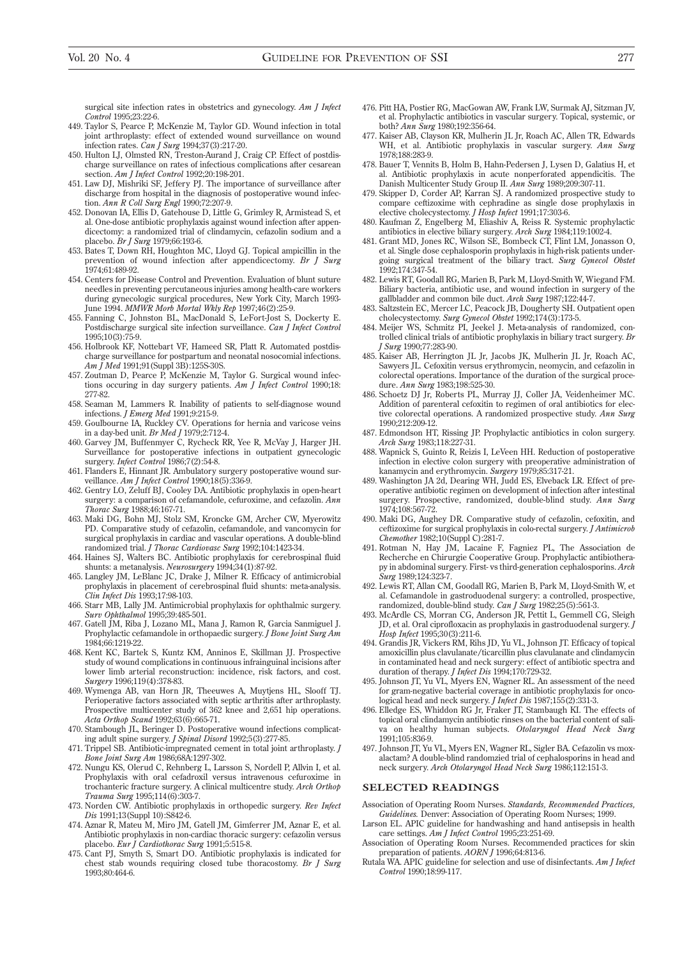surgical site infection rates in obstetrics and gynecology. *Am J Infect Control* 1995;23:22-6.

- 449. Taylor S, Pearce P, McKenzie M, Taylor GD. Wound infection in total joint arthroplasty: effect of extended wound surveillance on wound infection rates. *Can J Surg* 1994;37(3):217-20.
- 450. Hulton LJ, Olmsted RN, Treston-Aurand J, Craig CP. Effect of postdischarge surveillance on rates of infectious complications after cesarean section. *Am J Infect Control* 1992;20:198-201.
- 451. Law DJ, Mishriki SF, Jeffery PJ. The importance of surveillance after discharge from hospital in the diagnosis of postoperative wound infection. *Ann R Coll Surg Engl* 1990;72:207-9.
- 452. Donovan IA, Ellis D, Gatehouse D, Little G, Grimley R, Armistead S, et al. One-dose antibiotic prophylaxis against wound infection after appendicectomy: a randomized trial of clindamycin, cefazolin sodium and a placebo. *Br J Surg* 1979;66:193-6.
- 453. Bates T, Down RH, Houghton MC, Lloyd GJ. Topical ampicillin in the prevention of wound infection after appendicectomy. *Br J Surg* 1974;61:489-92.
- 454. Centers for Disease Control and Prevention. Evaluation of blunt suture needles in preventing percutaneous injuries among health-care workers during gynecologic surgical procedures, New York City, March 1993- June 1994. *MMWR Morb Mortal Wkly Rep* 1997;46(2):25-9.
- 455. Fanning C, Johnston BL, MacDonald S, LeFort-Jost S, Dockerty E. Postdischarge surgical site infection surveillance. *Can J Infect Control* 1995;10(3):75-9.
- 456. Holbrook KF, Nottebart VF, Hameed SR, Platt R. Automated postdischarge surveillance for postpartum and neonatal nosocomial infections. *Am J Med* 1991;91(Suppl 3B):125S-30S.
- 457. Zoutman D, Pearce P, McKenzie M, Taylor G. Surgical wound infections occuring in day surgery patients. *Am J Infect Control* 1990;18: 277-82.
- 458. Seaman M, Lammers R. Inability of patients to self-diagnose wound infections. *J Emerg Med* 1991;9:215-9.
- 459. Goulbourne IA, Ruckley CV. Operations for hernia and varicose veins in a day-bed unit. *Br Med J* 1979;2:712-4.
- 460. Garvey JM, Buffenmyer C, Rycheck RR, Yee R, McVay J, Harger JH. Surveillance for postoperative infections in outpatient gynecologic surgery. *Infect Control* 1986;7(2):54-8.
- 461. Flanders E, Hinnant JR. Ambulatory surgery postoperative wound surveillance. *Am J Infect Control* 1990;18(5):336-9.
- 462. Gentry LO, Zeluff BJ, Cooley DA. Antibiotic prophylaxis in open-heart surgery: a comparison of cefamandole, cefuroxime, and cefazolin. *Ann Thorac Surg* 1988;46:167-71.
- 463. Maki DG, Bohn MJ, Stolz SM, Kroncke GM, Archer CW, Myerowitz PD. Comparative study of cefazolin, cefamandole, and vancomycin for surgical prophylaxis in cardiac and vascular operations. A double-blind randomized trial. *J Thorac Cardiovasc Surg* 1992;104:1423-34.
- 464. Haines SJ, Walters BC. Antibiotic prophylaxis for cerebrospinal fluid shunts: a metanalysis. *Neurosurgery* 1994;34(1):87-92.
- 465. Langley JM, LeBlanc JC, Drake J, Milner R. Efficacy of antimicrobial prophylaxis in placement of cerebrospinal fluid shunts: meta-analysis. *Clin Infect Dis* 1993;17:98-103.
- 466. Starr MB, Lally JM. Antimicrobial prophylaxis for ophthalmic surgery. *Surv Ophthalmol* 1995;39:485-501.
- 467. Gatell JM, Riba J, Lozano ML, Mana J, Ramon R, Garcia Sanmiguel J. Prophylactic cefamandole in orthopaedic surgery. *J Bone Joint Surg Am* 1984;66:1219-22.
- 468. Kent KC, Bartek S, Kuntz KM, Anninos E, Skillman JJ. Prospective study of wound complications in continuous infrainguinal incisions after lower limb arterial reconstruction: incidence, risk factors, and cost. *Surgery* 1996;119(4):378-83.
- 469. Wymenga AB, van Horn JR, Theeuwes A, Muytjens HL, Slooff TJ. Perioperative factors associated with septic arthritis after arthroplasty. Prospective multicenter study of 362 knee and 2,651 hip operations. *Acta Orthop Scand* 1992;63(6):665-71.
- 470. Stambough JL, Beringer D. Postoperative wound infections complicating adult spine surgery. *J Spinal Disord* 1992;5(3):277-85.
- 471. Trippel SB. Antibiotic-impregnated cement in total joint arthroplasty. *J Bone Joint Surg Am* 1986;68A:1297-302.
- 472. Nungu KS, Olerud C, Rehnberg L, Larsson S, Nordell P, Allvin I, et al. Prophylaxis with oral cefadroxil versus intravenous cefuroxime in trochanteric fracture surgery. A clinical multicentre study. *Arch Orthop Trauma Surg* 1995;114(6):303-7.
- 473. Norden CW. Antibiotic prophylaxis in orthopedic surgery. *Rev Infect Dis* 1991;13(Suppl 10):S842-6.
- 474. Aznar R, Mateu M, Miro JM, Gatell JM, Gimferrer JM, Aznar E, et al. Antibiotic prophylaxis in non-cardiac thoracic surgery: cefazolin versus placebo. *Eur J Cardiothorac Surg* 1991;5:515-8.
- 475. Cant PJ, Smyth S, Smart DO. Antibiotic prophylaxis is indicated for chest stab wounds requiring closed tube thoracostomy. *Br J Surg* 1993;80:464-6.
- 476. Pitt HA, Postier RG, MacGowan AW, Frank LW, Surmak AJ, Sitzman JV, et al. Prophylactic antibiotics in vascular surgery. Topical, systemic, or both? *Ann Surg* 1980;192:356-64.
- 477. Kaiser AB, Clayson KR, Mulherin JL Jr, Roach AC, Allen TR, Edwards WH, et al. Antibiotic prophylaxis in vascular surgery. *Ann Surg* 1978;188:283-9.
- 478. Bauer T, Vennits B, Holm B, Hahn-Pedersen J, Lysen D, Galatius H, et al. Antibiotic prophylaxis in acute nonperforated appendicitis. The Danish Multicenter Study Group II. *Ann Surg* 1989;209:307-11.
- 479. Skipper D, Corder AP, Karran SJ. A randomized prospective study to compare ceftizoxime with cephradine as single dose prophylaxis in elective cholecystectomy. *J Hosp Infect* 1991;17:303-6.
- 480. Kaufman Z, Engelberg M, Eliashiv A, Reiss R. Systemic prophylactic antibiotics in elective biliary surgery. *Arch Surg* 1984;119:1002-4.
- 481. Grant MD, Jones RC, Wilson SE, Bombeck CT, Flint LM, Jonasson O, et al. Single dose cephalosporin prophylaxis in high-risk patients undergoing surgical treatment of the biliary tract. *Surg Gynecol Obstet* 1992;174:347-54.
- 482. Lewis RT, Goodall RG, Marien B, Park M, Lloyd-Smith W, Wiegand FM. Biliary bacteria, antibiotic use, and wound infection in surgery of the gallbladder and common bile duct. *Arch Surg* 1987;122:44-7.
- 483. Saltzstein EC, Mercer LC, Peacock JB, Dougherty SH. Outpatient open cholecystectomy. *Surg Gynecol Obstet* 1992;174(3):173-5.
- 484. Meijer WS, Schmitz PI, Jeekel J. Meta-analysis of randomized, controlled clinical trials of antibiotic prophylaxis in biliary tract surgery. *Br J Surg* 1990;77:283-90.
- 485. Kaiser AB, Herrington JL Jr, Jacobs JK, Mulherin JL Jr, Roach AC, Sawyers JL. Cefoxitin versus erythromycin, neomycin, and cefazolin in colorectal operations. Importance of the duration of the surgical procedure. *Ann Surg* 1983;198:525-30.
- 486. Schoetz DJ Jr, Roberts PL, Murray JJ, Coller JA, Veidenheimer MC. Addition of parenteral cefoxitin to regimen of oral antibiotics for elective colorectal operations. A randomized prospective study. *Ann Surg* 1990;212:209-12.
- 487. Edmondson HT, Rissing JP. Prophylactic antibiotics in colon surgery. *Arch Surg* 1983;118:227-31.
- 488. Wapnick S, Guinto R, Reizis I, LeVeen HH. Reduction of postoperative infection in elective colon surgery with preoperative administration of kanamycin and erythromycin. *Surgery* 1979;85:317-21.
- 489. Washington JA 2d, Dearing WH, Judd ES, Elveback LR. Effect of preoperative antibiotic regimen on development of infection after intestinal surgery. Prospective, randomized, double-blind study. *Ann Surg* 1974;108:567-72.
- 490. Maki DG, Aughey DR. Comparative study of cefazolin, cefoxitin, and ceftizoxime for surgical prophylaxis in colo-rectal surgery. *J Antimicrob Chemother* 1982;10(Suppl C):281-7.
- 491. Rotman N, Hay JM, Lacaine F, Fagniez PL, The Association de Recherche en Chirurgie Cooperative Group. Prophylactic antibiotherapy in abdominal surgery. First- vs third-generation cephalosporins. *Arch Surg* 1989;124:323-7.
- 492. Lewis RT, Allan CM, Goodall RG, Marien B, Park M, Lloyd-Smith W, et al. Cefamandole in gastroduodenal surgery: a controlled, prospective, randomized, double-blind study. *Can J Surg* 1982;25(5):561-3.
- 493. McArdle CS, Morran CG, Anderson JR, Pettit L, Gemmell CG, Sleigh JD, et al. Oral ciprofloxacin as prophylaxis in gastroduodenal surgery. *J Hosp Infect* 1995;30(3):211-6.
- 494. Grandis JR, Vickers RM, Rihs JD, Yu VL, Johnson JT. Efficacy of topical amoxicillin plus clavulanate/ticarcillin plus clavulanate and clindamycin in contaminated head and neck surgery: effect of antibiotic spectra and duration of therapy. *J Infect Dis* 1994;170:729-32.
- 495. Johnson JT, Yu VL, Myers EN, Wagner RL. An assessment of the need for gram-negative bacterial coverage in antibiotic prophylaxis for oncological head and neck surgery. *J Infect Dis* 1987;155(2):331-3.
- 496. Elledge ES, Whiddon RG Jr, Fraker JT, Stambaugh KI. The effects of topical oral clindamycin antibiotic rinses on the bacterial content of saliva on healthy human subjects. *Otolaryngol Head Neck Surg* 1991;105:836-9.
- 497. Johnson JT, Yu VL, Myers EN, Wagner RL, Sigler BA. Cefazolin vs moxalactam? A double-blind randomzied trial of cephalosporins in head and neck surgery. *Arch Otolaryngol Head Neck Surg* 1986;112:151-3.

#### **SELECTED READINGS**

- Association of Operating Room Nurses. *Standards, Recommended Practices, Guidelines.* Denver: Association of Operating Room Nurses; 1999.
- Larson EL. APIC guideline for handwashing and hand antisepsis in health care settings. *Am J Infect Control* 1995;23:251-69.
- Association of Operating Room Nurses. Recommended practices for skin preparation of patients. *AORN J* 1996;64:813-6.
- Rutala WA. APIC guideline for selection and use of disinfectants. *Am J Infect Control* 1990;18:99-117.